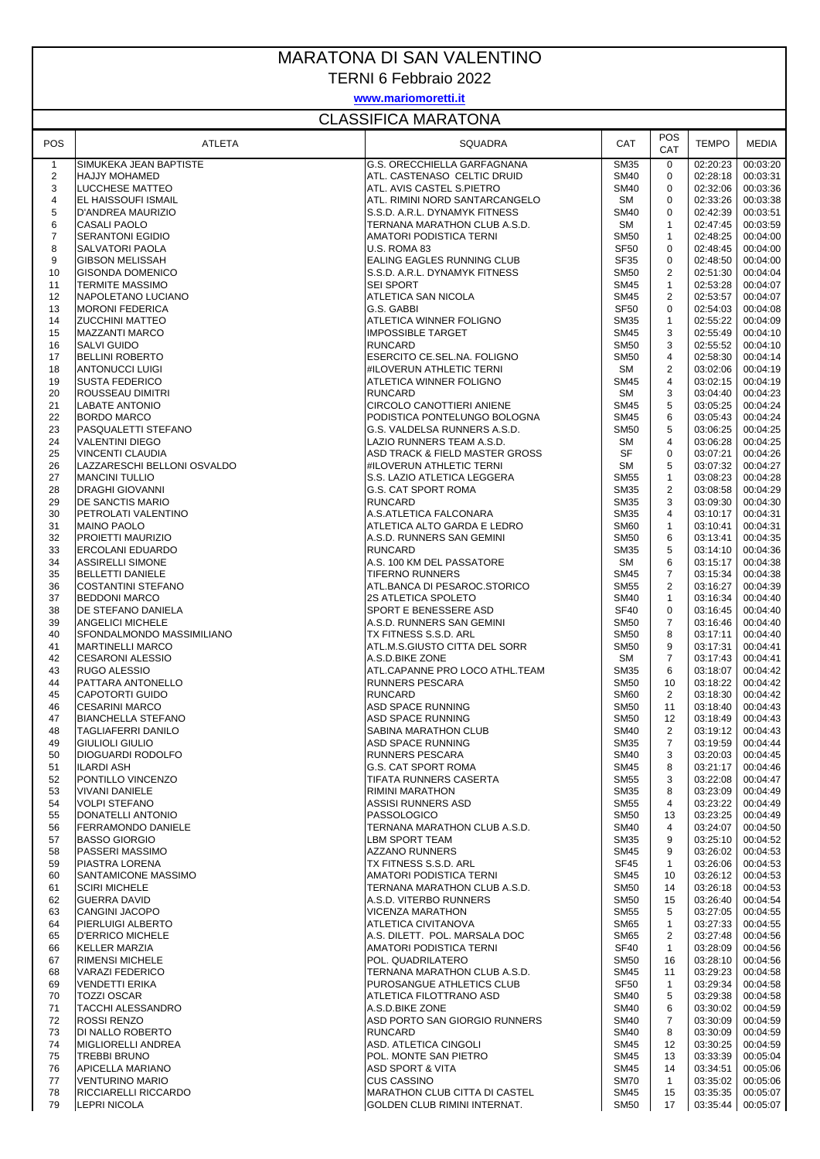## MARATONA DI SAN VALENTINO

TERNI 6 Febbraio 2022

## **www.mariomoretti.it**

## CLASSIFICA MARATONA

| <b>POS</b>     | ATLETA                                       | <b>SQUADRA</b>                                   | CAT                        | POS<br>CAT        | <b>TEMPO</b>         | MEDIA                |
|----------------|----------------------------------------------|--------------------------------------------------|----------------------------|-------------------|----------------------|----------------------|
| $\mathbf{1}$   | SIMUKEKA JEAN BAPTISTE                       | G.S. ORECCHIELLA GARFAGNANA                      | <b>SM35</b>                | 0                 | 02:20:23             | 00:03:20             |
| $\overline{2}$ | <b>HAJJY MOHAMED</b>                         | ATL. CASTENASO CELTIC DRUID                      | <b>SM40</b>                | 0                 | 02:28:18             | 00:03:31             |
| 3              | <b>LUCCHESE MATTEO</b>                       | ATL. AVIS CASTEL S.PIETRO                        | <b>SM40</b>                | $\mathbf 0$       | 02:32:06             | 00:03:36             |
| 4              | EL HAISSOUFI ISMAIL                          | ATL. RIMINI NORD SANTARCANGELO                   | <b>SM</b>                  | $\mathbf 0$       | 02:33:26             | 00:03:38             |
| 5              | D'ANDREA MAURIZIO                            | S.S.D. A.R.L. DYNAMYK FITNESS                    | <b>SM40</b>                | $\mathbf 0$       | 02:42:39             | 00:03:51             |
| 6              | <b>CASALI PAOLO</b>                          | TERNANA MARATHON CLUB A.S.D.                     | <b>SM</b>                  | $\mathbf{1}$      | 02:47:45             | 00:03:59             |
| $\overline{7}$ | <b>SERANTONI EGIDIO</b>                      | AMATORI PODISTICA TERNI                          | <b>SM50</b>                | 1                 | 02:48:25             | 00:04:00             |
| 8              | <b>SALVATORI PAOLA</b>                       | U.S. ROMA 83                                     | <b>SF50</b>                | $\mathbf 0$       | 02:48:45             | 00:04:00             |
| 9              | <b>GIBSON MELISSAH</b>                       | EALING EAGLES RUNNING CLUB                       | <b>SF35</b>                | $\mathbf 0$       | 02:48:50             | 00:04:00             |
| 10             | <b>GISONDA DOMENICO</b>                      | S.S.D. A.R.L. DYNAMYK FITNESS                    | <b>SM50</b>                | 2                 | 02:51:30             | 00:04:04             |
| 11<br>12       | <b>TERMITE MASSIMO</b>                       | <b>SEI SPORT</b><br><b>ATLETICA SAN NICOLA</b>   | <b>SM45</b><br><b>SM45</b> | $\mathbf{1}$<br>2 | 02:53:28<br>02:53:57 | 00:04:07<br>00:04:07 |
| 13             | NAPOLETANO LUCIANO<br><b>MORONI FEDERICA</b> | G.S. GABBI                                       | SF <sub>50</sub>           | 0                 | 02:54:03             | 00:04:08             |
| 14             | <b>ZUCCHINI MATTEO</b>                       | ATLETICA WINNER FOLIGNO                          | <b>SM35</b>                | 1                 | 02:55:22             | 00:04:09             |
| 15             | <b>MAZZANTI MARCO</b>                        | <b>IMPOSSIBLE TARGET</b>                         | <b>SM45</b>                | 3                 | 02:55:49             | 00:04:10             |
| 16             | <b>SALVI GUIDO</b>                           | <b>RUNCARD</b>                                   | <b>SM50</b>                | 3                 | 02:55:52             | 00:04:10             |
| 17             | <b>BELLINI ROBERTO</b>                       | ESERCITO CE.SEL.NA. FOLIGNO                      | <b>SM50</b>                | 4                 | 02:58:30             | 00:04:14             |
| 18             | <b>ANTONUCCI LUIGI</b>                       | #ILOVERUN ATHLETIC TERNI                         | SM                         | 2                 | 03:02:06             | 00:04:19             |
| 19             | <b>SUSTA FEDERICO</b>                        | ATLETICA WINNER FOLIGNO                          | <b>SM45</b>                | $\overline{4}$    | 03:02:15             | 00:04:19             |
| 20             | ROUSSEAU DIMITRI                             | <b>RUNCARD</b>                                   | SM                         | 3                 | 03:04:40             | 00:04:23             |
| 21             | <b>LABATE ANTONIO</b>                        | CIRCOLO CANOTTIERI ANIENE                        | <b>SM45</b>                | 5                 | 03:05:25             | 00:04:24             |
| 22             | <b>BORDO MARCO</b>                           | PODISTICA PONTELUNGO BOLOGNA                     | <b>SM45</b>                | 6                 | 03:05:43             | 00:04:24             |
| 23             | PASQUALETTI STEFANO                          | G.S. VALDELSA RUNNERS A.S.D.                     | <b>SM50</b>                | 5                 | 03:06:25             | 00:04:25             |
| 24             | <b>VALENTINI DIEGO</b>                       | LAZIO RUNNERS TEAM A.S.D.                        | <b>SM</b>                  | $\overline{4}$    | 03:06:28             | 00:04:25             |
| 25             | <b>VINCENTI CLAUDIA</b>                      | ASD TRACK & FIELD MASTER GROSS                   | SF                         | 0                 | 03:07:21             | 00:04:26             |
| 26             | LAZZARESCHI BELLONI OSVALDO                  | #ILOVERUN ATHLETIC TERNI                         | SM                         | 5                 | 03:07:32             | 00:04:27             |
| 27             | <b>MANCINI TULLIO</b>                        | S.S. LAZIO ATLETICA LEGGERA                      | <b>SM55</b>                | $\mathbf{1}$      | 03:08:23             | 00:04:28             |
| 28             | <b>DRAGHI GIOVANNI</b>                       | <b>G.S. CAT SPORT ROMA</b>                       | <b>SM35</b>                | 2                 | 03:08:58             | 00:04:29             |
| 29             | <b>DE SANCTIS MARIO</b>                      | <b>RUNCARD</b>                                   | <b>SM35</b>                | 3                 | 03:09:30             | 00:04:30             |
| 30             | <b>PETROLATI VALENTINO</b>                   | A.S.ATLETICA FALCONARA                           | <b>SM35</b>                | 4                 | 03:10:17             | 00:04:31             |
| 31             | <b>MAINO PAOLO</b>                           | ATLETICA ALTO GARDA E LEDRO                      | <b>SM60</b>                | $\mathbf{1}$      | 03:10:41             | 00:04:31             |
| 32             | PROIETTI MAURIZIO                            | A.S.D. RUNNERS SAN GEMINI                        | <b>SM50</b>                | 6                 | 03:13:41             | 00:04:35             |
| 33             | <b>ERCOLANI EDUARDO</b>                      | <b>RUNCARD</b>                                   | <b>SM35</b>                | 5                 | 03:14:10             | 00:04:36             |
| 34             | <b>ASSIRELLI SIMONE</b>                      | A.S. 100 KM DEL PASSATORE                        | SM                         | 6                 | 03:15:17             | 00:04:38             |
| 35             | <b>BELLETTI DANIELE</b>                      | <b>TIFERNO RUNNERS</b>                           | <b>SM45</b>                | 7                 | 03:15:34             | 00:04:38             |
| 36             | <b>COSTANTINI STEFANO</b>                    | ATL.BANCA DI PESAROC.STORICO                     | <b>SM55</b>                | $\overline{2}$    | 03:16:27             | 00:04:39             |
| 37             | <b>BEDDONI MARCO</b>                         | <b>2S ATLETICA SPOLETO</b>                       | <b>SM40</b>                | 1                 | 03:16:34             | 00:04:40             |
| 38             | <b>DE STEFANO DANIELA</b>                    | <b>SPORT E BENESSERE ASD</b>                     | <b>SF40</b>                | 0                 | 03:16:45             | 00:04:40             |
| 39             | <b>ANGELICI MICHELE</b>                      | A.S.D. RUNNERS SAN GEMINI                        | <b>SM50</b>                | $\overline{7}$    | 03:16:46             | 00:04:40             |
| 40             | SFONDALMONDO MASSIMILIANO                    | TX FITNESS S.S.D. ARL                            | <b>SM50</b>                | 8                 | 03:17:11             | 00:04:40             |
| 41             | <b>MARTINELLI MARCO</b>                      | ATL.M.S.GIUSTO CITTA DEL SORR                    | <b>SM50</b>                | 9                 | 03:17:31             | 00:04:41             |
| 42             | <b>CESARONI ALESSIO</b>                      | A.S.D.BIKE ZONE                                  | SM                         | $\overline{7}$    | 03:17:43             | 00:04:41             |
| 43             | <b>RUGO ALESSIO</b>                          | ATL.CAPANNE PRO LOCO ATHL.TEAM                   | <b>SM35</b>                | 6                 | 03:18:07             | 00:04:42             |
| 44             | PATTARA ANTONELLO                            | <b>RUNNERS PESCARA</b>                           | <b>SM50</b>                | 10                | 03:18:22             | 00:04:42             |
| 45             | <b>CAPOTORTI GUIDO</b>                       | <b>RUNCARD</b>                                   | <b>SM60</b>                | 2                 | 03:18:30             | 00:04:42             |
| 46             | <b>CESARINI MARCO</b>                        | ASD SPACE RUNNING                                | <b>SM50</b>                | 11                | 03:18:40             | 00:04:43             |
| 47             | <b>BIANCHELLA STEFANO</b>                    | ASD SPACE RUNNING                                | <b>SM50</b>                | 12                | 03:18:49             | 00:04:43             |
| 48             | <b>TAGLIAFERRI DANILO</b>                    | SABINA MARATHON CLUB                             | <b>SM40</b>                | 2                 | 03:19:12             | 00:04:43             |
| 49             | <b>GIULIOLI GIULIO</b>                       | ASD SPACE RUNNING                                | <b>SM35</b>                | 7                 |                      | 03:19:59 00:04:44    |
| 50             | <b>DIOGUARDI RODOLFO</b>                     | RUNNERS PESCARA                                  | <b>SM40</b>                | 3<br>8            | 03:20:03<br>03:21:17 | 00:04:45             |
| 51             | <b>ILARDI ASH</b>                            | <b>G.S. CAT SPORT ROMA</b>                       | <b>SM45</b>                |                   |                      | 00:04:46             |
| 52<br>53       | PONTILLO VINCENZO<br><b>VIVANI DANIELE</b>   | TIFATA RUNNERS CASERTA<br><b>RIMINI MARATHON</b> | SM55<br><b>SM35</b>        | 3<br>8            | 03:22:08<br>03:23:09 | 00:04:47<br>00:04:49 |
| 54             | VOLPI STEFANO                                | ASSISI RUNNERS ASD                               | <b>SM55</b>                | 4                 | 03:23:22             | 00:04:49             |
| 55             | DONATELLI ANTONIO                            | <b>PASSOLOGICO</b>                               | <b>SM50</b>                | 13                | 03:23:25             | 00:04:49             |
| 56             | <b>FERRAMONDO DANIELE</b>                    | TERNANA MARATHON CLUB A.S.D.                     | <b>SM40</b>                | 4                 | 03:24:07             | 00:04:50             |
| 57             | <b>BASSO GIORGIO</b>                         | <b>LBM SPORT TEAM</b>                            | <b>SM35</b>                | 9                 | 03:25:10             | 00:04:52             |
| 58             | <b>PASSERI MASSIMO</b>                       | <b>AZZANO RUNNERS</b>                            | <b>SM45</b>                | 9                 | 03:26:02             | 00:04:53             |
| 59             | PIASTRA LORENA                               | TX FITNESS S.S.D. ARL                            | SF45                       | 1                 | 03:26:06             | 00:04:53             |
| 60             | SANTAMICONE MASSIMO                          | AMATORI PODISTICA TERNI                          | <b>SM45</b>                | 10                | 03:26:12             | 00:04:53             |
| 61             | <b>SCIRI MICHELE</b>                         | TERNANA MARATHON CLUB A.S.D.                     | <b>SM50</b>                | 14                | 03:26:18             | 00:04:53             |
| 62             | <b>GUERRA DAVID</b>                          | A.S.D. VITERBO RUNNERS                           | <b>SM50</b>                | 15                | 03:26:40             | 00:04:54             |
| 63             | CANGINI JACOPO                               | <b>VICENZA MARATHON</b>                          | <b>SM55</b>                | 5                 | 03:27:05             | 00:04:55             |
| 64             | PIERLUIGI ALBERTO                            | ATLETICA CIVITANOVA                              | <b>SM65</b>                | $\mathbf{1}$      | 03:27:33             | 00:04:55             |
| 65             | <b>D'ERRICO MICHELE</b>                      | A.S. DILETT. POL. MARSALA DOC                    | <b>SM65</b>                | 2                 | 03:27:48             | 00:04:56             |
| 66             | <b>KELLER MARZIA</b>                         | AMATORI PODISTICA TERNI                          | <b>SF40</b>                | $\mathbf{1}$      | 03:28:09             | 00:04:56             |
| 67             | <b>RIMENSI MICHELE</b>                       | POL. QUADRILATERO                                | <b>SM50</b>                | 16                | 03:28:10             | 00:04:56             |
| 68             | VARAZI FEDERICO                              | TERNANA MARATHON CLUB A.S.D.                     | <b>SM45</b>                | 11                | 03:29:23             | 00:04:58             |
| 69             | <b>VENDETTI ERIKA</b>                        | PUROSANGUE ATHLETICS CLUB                        | <b>SF50</b>                | $\mathbf{1}$      | 03:29:34             | 00:04:58             |
| 70             | <b>TOZZI OSCAR</b>                           | ATLETICA FILOTTRANO ASD                          | <b>SM40</b>                | 5                 | 03:29:38             | 00:04:58             |
| 71             | TACCHI ALESSANDRO                            | A.S.D.BIKE ZONE                                  | <b>SM40</b>                | 6                 | 03:30:02             | 00:04:59             |
| 72             | <b>ROSSI RENZO</b>                           | ASD PORTO SAN GIORGIO RUNNERS                    | <b>SM40</b>                | 7                 | 03:30:09             | 00:04:59             |
| 73             | DI NALLO ROBERTO                             | <b>RUNCARD</b>                                   | <b>SM40</b>                | 8                 | 03:30:09             | 00:04:59             |
| 74             | <b>MIGLIORELLI ANDREA</b>                    | ASD. ATLETICA CINGOLI                            | <b>SM45</b>                | 12                | 03:30:25             | 00:04:59             |
| 75             | <b>TREBBI BRUNO</b>                          | POL. MONTE SAN PIETRO                            | <b>SM45</b>                | 13                | 03:33:39             | 00:05:04             |
| 76             | <b>APICELLA MARIANO</b>                      | ASD SPORT & VITA                                 | <b>SM45</b>                | 14                | 03:34:51             | 00:05:06             |
| 77             | VENTURINO MARIO                              | <b>CUS CASSINO</b>                               | <b>SM70</b>                | $\mathbf{1}$      | 03:35:02             | 00:05:06             |
| 78             | <b>RICCIARELLI RICCARDO</b>                  | MARATHON CLUB CITTA DI CASTEL                    | SM45                       | 15                | 03:35:35             | 00:05:07             |
| 79             | <b>LEPRI NICOLA</b>                          | GOLDEN CLUB RIMINI INTERNAT.                     | <b>SM50</b>                | 17                | 03:35:44             | 00:05:07             |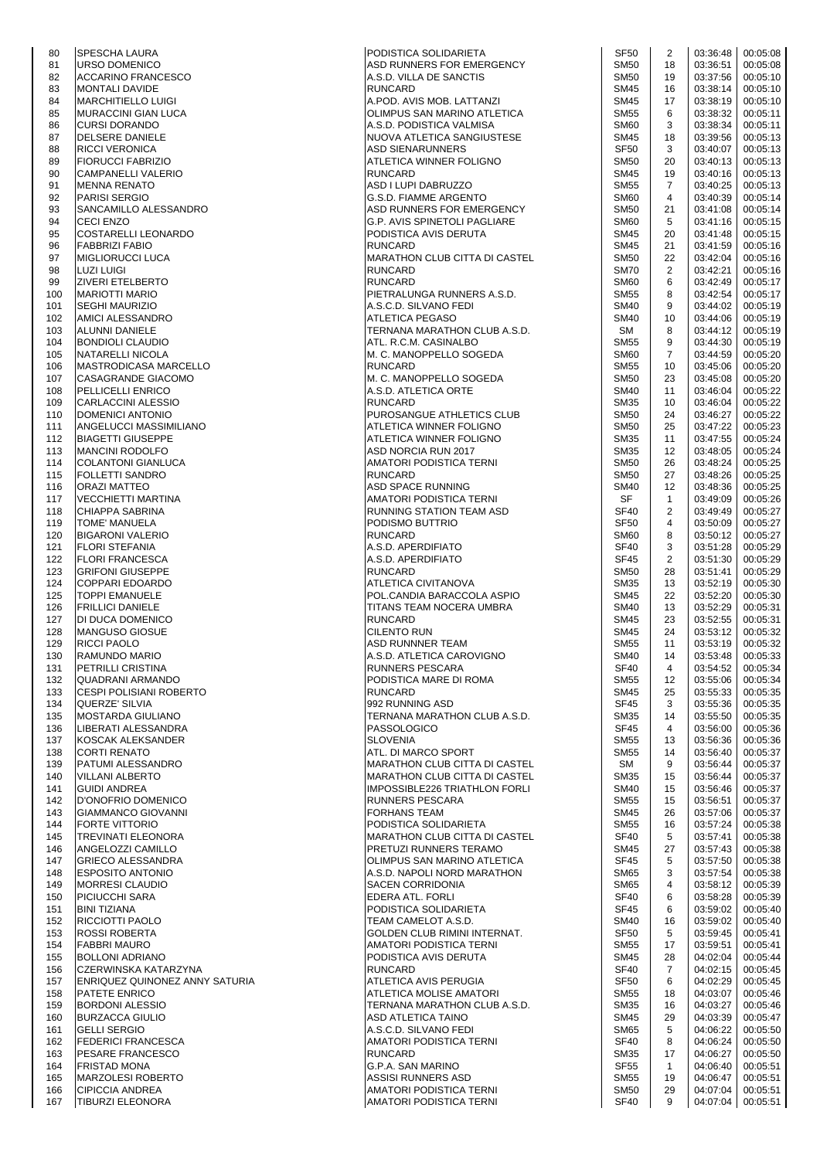| 80         | <b>SPESCHA LAURA</b>                                | PODISTICA SOLIDARIETA                                  | <b>SF50</b>                | 2              | 03:36:48             | 00:05:08             |
|------------|-----------------------------------------------------|--------------------------------------------------------|----------------------------|----------------|----------------------|----------------------|
| 81         | <b>URSO DOMENICO</b>                                | ASD RUNNERS FOR EMERGENCY                              | <b>SM50</b>                | 18             | 03:36:51             | 00:05:08             |
| 82         | <b>ACCARINO FRANCESCO</b>                           | A.S.D. VILLA DE SANCTIS                                | <b>SM50</b>                | 19             | 03:37:56             | 00:05:10             |
| 83         | <b>MONTALI DAVIDE</b>                               | <b>RUNCARD</b>                                         | <b>SM45</b>                | 16             | 03:38:14             | 00:05:10             |
| 84         | <b>MARCHITIELLO LUIGI</b>                           | A.POD. AVIS MOB. LATTANZI                              | <b>SM45</b>                | 17             | 03:38:19             | 00:05:10             |
| 85         | MURACCINI GIAN LUCA                                 | OLIMPUS SAN MARINO ATLETICA                            | <b>SM55</b>                | 6              | 03:38:32             | 00:05:11             |
| 86         | <b>CURSI DORANDO</b>                                | A.S.D. PODISTICA VALMISA                               | <b>SM60</b>                | 3              | 03:38:34             | 00:05:11             |
| 87         | DELSERE DANIELE                                     | NUOVA ATLETICA SANGIUSTESE                             | SM45                       | 18             | 03:39:56             | 00:05:13             |
| 88         | <b>RICCI VERONICA</b>                               | <b>ASD SIENARUNNERS</b>                                | SF <sub>50</sub>           | 3              | 03:40:07             | 00:05:13             |
| 89         | <b>FIORUCCI FABRIZIO</b>                            | ATLETICA WINNER FOLIGNO                                | <b>SM50</b>                | 20             | 03:40:13             | 00:05:13             |
| 90         | CAMPANELLI VALERIO                                  | <b>RUNCARD</b>                                         | <b>SM45</b>                | 19             | 03:40:16             | 00:05:13             |
| 91         | MENNA RENATO                                        | ASD I LUPI DABRUZZO                                    | <b>SM55</b>                | $\overline{7}$ | 03:40:25             | 00:05:13             |
| 92         | <b>PARISI SERGIO</b>                                | G.S.D. FIAMME ARGENTO                                  | <b>SM60</b>                | 4              | 03:40:39             | 00:05:14             |
| 93         | SANCAMILLO ALESSANDRO                               | ASD RUNNERS FOR EMERGENCY                              | <b>SM50</b>                | 21             | 03:41:08             | 00:05:14             |
| 94         | <b>CECI ENZO</b>                                    | G.P. AVIS SPINETOLI PAGLIARE                           | <b>SM60</b>                | 5              | 03:41:16             | 00:05:15             |
| 95         | COSTARELLI LEONARDO                                 | PODISTICA AVIS DERUTA                                  | SM45                       | 20             | 03:41:48             | 00:05:15             |
| 96         | <b>FABBRIZI FABIO</b>                               | RUNCARD                                                | <b>SM45</b>                | 21             | 03:41:59             | 00:05:16             |
| 97         | <b>MIGLIORUCCI LUCA</b>                             | MARATHON CLUB CITTA DI CASTEL                          | <b>SM50</b>                | 22             | 03:42:04             | 00:05:16             |
| 98<br>99   | <b>LUZI LUIGI</b><br><b>ZIVERI ETELBERTO</b>        | <b>RUNCARD</b><br><b>RUNCARD</b>                       | <b>SM70</b><br><b>SM60</b> | 2<br>6         | 03:42:21<br>03:42:49 | 00:05:16<br>00:05:17 |
|            | <b>MARIOTTI MARIO</b>                               | PIETRALUNGA RUNNERS A.S.D.                             | <b>SM55</b>                | 8              | 03:42:54             | 00:05:17             |
| 100<br>101 | <b>SEGHI MAURIZIO</b>                               | A.S.C.D. SILVANO FEDI                                  | <b>SM40</b>                | 9              | 03:44:02             | 00:05:19             |
| 102        | AMICI ALESSANDRO                                    | ATLETICA PEGASO                                        | <b>SM40</b>                | 10             | 03:44:06             | 00:05:19             |
| 103        | ALUNNI DANIELE                                      | TERNANA MARATHON CLUB A.S.D.                           | SM                         | 8              | 03:44:12             | 00:05:19             |
| 104        | <b>BONDIOLI CLAUDIO</b>                             | ATL. R.C.M. CASINALBO                                  | <b>SM55</b>                | 9              | 03:44:30             | 00:05:19             |
| 105        | NATARELLI NICOLA                                    | M. C. MANOPPELLO SOGEDA                                | <b>SM60</b>                | $\overline{7}$ | 03:44:59             | 00:05:20             |
| 106        | MASTRODICASA MARCELLO                               | RUNCARD                                                | <b>SM55</b>                | 10             | 03:45:06             | 00:05:20             |
| 107        | CASAGRANDE GIACOMO                                  | M. C. MANOPPELLO SOGEDA                                | <b>SM50</b>                | 23             | 03:45:08             | 00:05:20             |
| 108        | <b>PELLICELLI ENRICO</b>                            | A.S.D. ATLETICA ORTE                                   | <b>SM40</b>                | 11             | 03:46:04             | 00:05:22             |
| 109        | CARLACCINI ALESSIO                                  | <b>RUNCARD</b>                                         | SM35                       | 10             | 03:46:04             | 00:05:22             |
| 110        | DOMENICI ANTONIO                                    | PUROSANGUE ATHLETICS CLUB                              | <b>SM50</b>                | 24             | 03:46:27             | 00:05:22             |
| 111        | <b>ANGELUCCI MASSIMILIANO</b>                       | ATLETICA WINNER FOLIGNO                                | <b>SM50</b>                | 25             | 03:47:22             | 00:05:23             |
| 112        | <b>BIAGETTI GIUSEPPE</b>                            | ATLETICA WINNER FOLIGNO                                | <b>SM35</b>                | 11             | 03:47:55             | 00:05:24             |
| 113        | <b>MANCINI RODOLFO</b>                              | ASD NORCIA RUN 2017                                    | SM35                       | 12             | 03:48:05             | 00:05:24             |
| 114        | COLANTONI GIANLUCA                                  | AMATORI PODISTICA TERNI                                | <b>SM50</b>                | 26             | 03:48:24             | 00:05:25             |
| 115        | <b>FOLLETTI SANDRO</b>                              | RUNCARD                                                | <b>SM50</b>                | 27             | 03:48:26             | 00:05:25             |
| 116        | <b>ORAZI MATTEO</b>                                 | ASD SPACE RUNNING                                      | <b>SM40</b>                | 12             | 03:48:36             | 00:05:25             |
| 117        | VECCHIETTI MARTINA                                  | AMATORI PODISTICA TERNI                                | SF                         | $\mathbf{1}$   | 03:49:09             | 00:05:26             |
| 118        | CHIAPPA SABRINA                                     | RUNNING STATION TEAM ASD                               | SF40                       | 2              | 03:49:49             | 00:05:27             |
| 119        | <b>TOME' MANUELA</b>                                | PODISMO BUTTRIO                                        | <b>SF50</b>                | 4              | 03:50:09             | 00:05:27             |
| 120        | <b>BIGARONI VALERIO</b>                             | RUNCARD                                                | SM60                       | 8              | 03:50:12             | 00:05:27             |
| 121        | <b>FLORI STEFANIA</b>                               | A.S.D. APERDIFIATO                                     | SF40                       | 3              | 03:51:28             | 00:05:29             |
| 122        | <b>FLORI FRANCESCA</b>                              | A.S.D. APERDIFIATO                                     | SF45                       | 2              | 03:51:30             | 00:05:29             |
| 123        | <b>GRIFONI GIUSEPPE</b>                             | <b>RUNCARD</b>                                         | <b>SM50</b>                | 28             | 03:51:41             | 00:05:29             |
| 124        | <b>COPPARI EDOARDO</b>                              | ATLETICA CIVITANOVA                                    | <b>SM35</b>                | 13             | 03:52:19             | 00:05:30             |
| 125        | <b>TOPPI EMANUELE</b>                               | POL.CANDIA BARACCOLA ASPIO                             | <b>SM45</b>                | 22             | 03:52:20             | 00:05:30             |
| 126        | <b>FRILLICI DANIELE</b>                             | TITANS TEAM NOCERA UMBRA                               | <b>SM40</b>                | 13             | 03:52:29             | 00:05:31             |
| 127        | <b>DI DUCA DOMENICO</b>                             | <b>RUNCARD</b>                                         | <b>SM45</b>                | 23             | 03:52:55             | 00:05:31             |
| 128        | <b>MANGUSO GIOSUE</b>                               | CILENTO RUN                                            | SM45                       | 24             | 03:53:12             | 00:05:32             |
| 129        | <b>RICCI PAOLO</b>                                  | ASD RUNNNER TEAM                                       | <b>SM55</b>                | 11             | 03:53:19             | 00:05:32             |
| 130        | <b>RAMUNDO MARIO</b>                                | A.S.D. ATLETICA CAROVIGNO                              | <b>SM40</b>                | 14             | 03:53:48             | 00:05:33             |
| 131        | <b>PETRILLI CRISTINA</b>                            | RUNNERS PESCARA                                        | SF40                       | 4              | 03:54:52             | 00:05:34             |
| 132        | QUADRANI ARMANDO                                    | PODISTICA MARE DI ROMA                                 | <b>SM55</b>                | 12             | 03:55:06             | 00:05:34             |
| 133        | <b>CESPI POLISIANI ROBERTO</b>                      | RUNCARD                                                | SM45                       | 25             | 03:55:33             | 00:05:35             |
| 134        | QUERZE' SILVIA                                      | 992 RUNNING ASD                                        | SF45                       | 3              | 03:55:36             | 00:05:35             |
| 135        | <b>MOSTARDA GIULIANO</b>                            | TERNANA MARATHON CLUB A.S.D.                           | <b>SM35</b>                | 14             | 03:55:50             | 00:05:35             |
| 136        | LIBERATI ALESSANDRA                                 | PASSOLOGICO                                            | <b>SF45</b>                | $\overline{4}$ | 03:56:00             | 00:05:36             |
| 137        | KOSCAK ALEKSANDER                                   | SLOVENIA                                               | <b>SM55</b>                | 13             | 03:56:36             | 00:05:36             |
| 138        | <b>CORTI RENATO</b>                                 | ATL. DI MARCO SPORT                                    | <b>SM55</b>                | 14             | 03:56:40             | 00:05:37             |
| 139        | <b>PATUMI ALESSANDRO</b>                            | MARATHON CLUB CITTA DI CASTEL                          | SM                         | 9              | 03:56:44             | 00:05:37             |
| 140        | <b>VILLANI ALBERTO</b>                              | <b>MARATHON CLUB CITTA DI CASTEL</b>                   | <b>SM35</b>                | 15             | 03:56:44             | 00:05:37             |
| 141        | <b>GUIDI ANDREA</b>                                 | IMPOSSIBLE226 TRIATHLON FORLI                          | <b>SM40</b>                | 15             | 03:56:46             | 00:05:37             |
| 142        | D'ONOFRIO DOMENICO                                  | RUNNERS PESCARA                                        | <b>SM55</b>                | 15             | 03:56:51             | 00:05:37             |
| 143        | GIAMMANCO GIOVANNI                                  | FORHANS TEAM                                           | <b>SM45</b>                | 26             | 03:57:06             | 00:05:37             |
| 144<br>145 | <b>FORTE VITTORIO</b><br><b>TREVINATI ELEONORA</b>  | PODISTICA SOLIDARIETA<br>MARATHON CLUB CITTA DI CASTEL | <b>SM55</b><br>SF40        | 16<br>5        | 03:57:24<br>03:57:41 | 00:05:38<br>00:05:38 |
|            |                                                     |                                                        |                            |                |                      |                      |
| 146        | ANGELOZZI CAMILLO                                   | PRETUZI RUNNERS TERAMO                                 | <b>SM45</b><br>SF45        | 27<br>5        | 03:57:43             | 00:05:38             |
| 147        | <b>GRIECO ALESSANDRA</b><br><b>ESPOSITO ANTONIO</b> | OLIMPUS SAN MARINO ATLETICA                            | <b>SM65</b>                | 3              | 03:57:50<br>03:57:54 | 00:05:38             |
| 148        | <b>MORRESI CLAUDIO</b>                              | A.S.D. NAPOLI NORD MARATHON<br>SACEN CORRIDONIA        | <b>SM65</b>                | 4              | 03:58:12             | 00:05:38<br>00:05:39 |
| 149<br>150 | <b>PICIUCCHI SARA</b>                               | EDERA ATL. FORLI                                       | SF40                       | 6              | 03:58:28             | 00:05:39             |
| 151        | <b>BINI TIZIANA</b>                                 | PODISTICA SOLIDARIETA                                  | <b>SF45</b>                | 6              | 03:59:02             | 00:05:40             |
| 152        | <b>RICCIOTTI PAOLO</b>                              | TEAM CAMELOT A.S.D.                                    | <b>SM40</b>                | 16             | 03:59:02             | 00:05:40             |
| 153        | <b>ROSSI ROBERTA</b>                                | GOLDEN CLUB RIMINI INTERNAT.                           | SF <sub>50</sub>           | 5              | 03:59:45             | 00:05:41             |
| 154        | <b>FABBRI MAURO</b>                                 | AMATORI PODISTICA TERNI                                | <b>SM55</b>                | 17             | 03:59:51             | 00:05:41             |
| 155        | <b>BOLLONI ADRIANO</b>                              | PODISTICA AVIS DERUTA                                  | <b>SM45</b>                | 28             | 04:02:04             | 00:05:44             |
| 156        | CZERWINSKA KATARZYNA                                | RUNCARD                                                | <b>SF40</b>                | 7              | 04:02:15             | 00:05:45             |
| 157        | ENRIQUEZ QUINONEZ ANNY SATURIA                      | ATLETICA AVIS PERUGIA                                  | <b>SF50</b>                | 6              | 04:02:29             | 00:05:45             |
| 158        | <b>PATETE ENRICO</b>                                | ATLETICA MOLISE AMATORI                                | <b>SM55</b>                | 18             | 04:03:07             | 00:05:46             |
| 159        | <b>BORDONI ALESSIO</b>                              | TERNANA MARATHON CLUB A.S.D.                           | <b>SM35</b>                | 16             | 04:03:27             | 00:05:46             |
| 160        | <b>BURZACCA GIULIO</b>                              | ASD ATLETICA TAINO                                     | <b>SM45</b>                | 29             | 04:03:39             | 00:05:47             |
| 161        | <b>GELLI SERGIO</b>                                 | A.S.C.D. SILVANO FEDI                                  | <b>SM65</b>                | 5              | 04:06:22             | 00:05:50             |
| 162        | <b>FEDERICI FRANCESCA</b>                           | AMATORI PODISTICA TERNI                                | <b>SF40</b>                | 8              | 04:06:24             | 00:05:50             |
| 163        | <b>PESARE FRANCESCO</b>                             | <b>RUNCARD</b>                                         | <b>SM35</b>                | 17             | 04:06:27             | 00:05:50             |
| 164        | <b>FRISTAD MONA</b>                                 | G.P.A. SAN MARINO                                      | SF <sub>55</sub>           | $\mathbf{1}$   | 04:06:40             | 00:05:51             |
| 165        | <b>MARZOLESI ROBERTO</b>                            | ASSISI RUNNERS ASD                                     | <b>SM55</b>                | 19             | 04:06:47             | 00:05:51             |
| 166        | <b>CIPICCIA ANDREA</b>                              | AMATORI PODISTICA TERNI                                | <b>SM50</b>                | 29             | 04:07:04             | 00:05:51             |
| 167        | <b>TIBURZI ELEONORA</b>                             | AMATORI PODISTICA TERNI                                | SF40                       | 9              | 04:07:04             | 00:05:51             |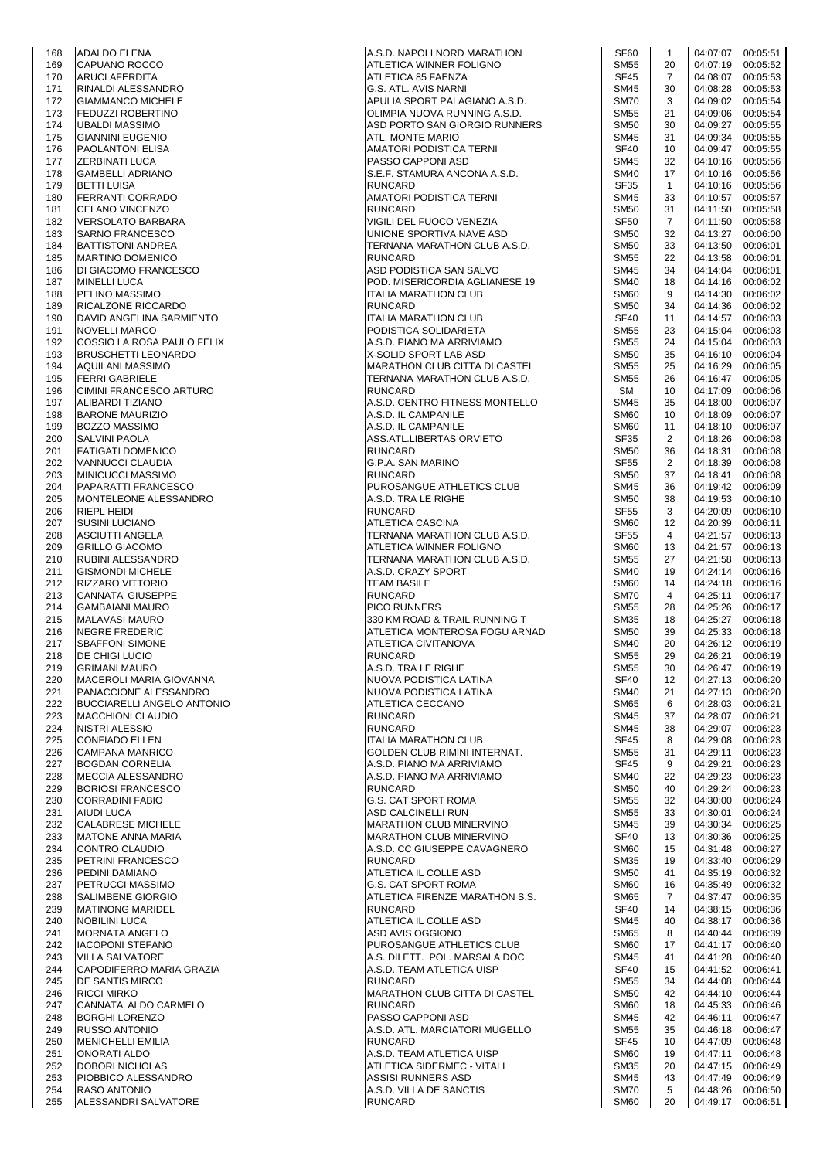| 168 | <b>ADALDO ELENA</b>               | A.S.D. NAPOLI NORD MARATHON          | <b>SF60</b>      | $\mathbf{1}$   | 04:07:07 | 00:05:51 |
|-----|-----------------------------------|--------------------------------------|------------------|----------------|----------|----------|
| 169 | CAPUANO ROCCO                     | ATLETICA WINNER FOLIGNO              | <b>SM55</b>      | 20             | 04:07:19 | 00:05:52 |
| 170 | <b>ARUCI AFERDITA</b>             | ATLETICA 85 FAENZA                   | <b>SF45</b>      | $\overline{7}$ | 04:08:07 | 00:05:53 |
| 171 | <b>RINALDI ALESSANDRO</b>         | G.S. ATL. AVIS NARNI                 | <b>SM45</b>      | 30             | 04:08:28 | 00:05:53 |
| 172 | <b>GIAMMANCO MICHELE</b>          | APULIA SPORT PALAGIANO A.S.D.        | <b>SM70</b>      | 3              | 04:09:02 | 00:05:54 |
| 173 | FEDUZZI ROBERTINO                 | OLIMPIA NUOVA RUNNING A.S.D.         | <b>SM55</b>      | 21             | 04:09:06 | 00:05:54 |
|     |                                   |                                      |                  |                |          |          |
| 174 | <b>UBALDI MASSIMO</b>             | ASD PORTO SAN GIORGIO RUNNERS        | <b>SM50</b>      | 30             | 04:09:27 | 00:05:55 |
| 175 | <b>GIANNINI EUGENIO</b>           | ATL. MONTE MARIO                     | <b>SM45</b>      | 31             | 04:09:34 | 00:05:55 |
| 176 | PAOLANTONI ELISA                  | AMATORI PODISTICA TERNI              | <b>SF40</b>      | 10             | 04:09:47 | 00:05:55 |
| 177 | <b>ZERBINATI LUCA</b>             | PASSO CAPPONI ASD                    | <b>SM45</b>      | 32             | 04:10:16 | 00:05:56 |
| 178 | <b>GAMBELLI ADRIANO</b>           | S.E.F. STAMURA ANCONA A.S.D.         | <b>SM40</b>      | 17             | 04:10:16 | 00:05:56 |
|     |                                   |                                      |                  |                |          |          |
| 179 | <b>BETTI LUISA</b>                | <b>RUNCARD</b>                       | <b>SF35</b>      | $\mathbf{1}$   | 04:10:16 | 00:05:56 |
| 180 | FERRANTI CORRADO                  | AMATORI PODISTICA TERNI              | <b>SM45</b>      | 33             | 04:10:57 | 00:05:57 |
| 181 | <b>CELANO VINCENZO</b>            | <b>RUNCARD</b>                       | <b>SM50</b>      | 31             | 04:11:50 | 00:05:58 |
| 182 | <b>VERSOLATO BARBARA</b>          | VIGILI DEL FUOCO VENEZIA             | <b>SF50</b>      | $\overline{7}$ | 04:11:50 | 00:05:58 |
| 183 | <b>SARNO FRANCESCO</b>            | UNIONE SPORTIVA NAVE ASD             | <b>SM50</b>      | 32             | 04:13:27 | 00:06:00 |
|     |                                   |                                      |                  |                |          |          |
| 184 | <b>BATTISTONI ANDREA</b>          | TERNANA MARATHON CLUB A.S.D.         | <b>SM50</b>      | 33             | 04:13:50 | 00:06:01 |
| 185 | <b>MARTINO DOMENICO</b>           | <b>RUNCARD</b>                       | <b>SM55</b>      | 22             | 04:13:58 | 00:06:01 |
| 186 | DI GIACOMO FRANCESCO              | ASD PODISTICA SAN SALVO              | <b>SM45</b>      | 34             | 04:14:04 | 00:06:01 |
| 187 | <b>MINELLI LUCA</b>               | POD. MISERICORDIA AGLIANESE 19       | <b>SM40</b>      | 18             | 04:14:16 | 00:06:02 |
| 188 | PELINO MASSIMO                    | <b>ITALIA MARATHON CLUB</b>          | SM <sub>60</sub> | 9              | 04:14:30 | 00:06:02 |
|     |                                   |                                      |                  |                |          |          |
| 189 | RICALZONE RICCARDO                | RUNCARD                              | <b>SM50</b>      | 34             | 04:14:36 | 00:06:02 |
| 190 | DAVID ANGELINA SARMIENTO          | <b>ITALIA MARATHON CLUB</b>          | <b>SF40</b>      | 11             | 04:14:57 | 00:06:03 |
| 191 | <b>NOVELLI MARCO</b>              | PODISTICA SOLIDARIETA                | <b>SM55</b>      | 23             | 04:15:04 | 00:06:03 |
| 192 | COSSIO LA ROSA PAULO FELIX        | A.S.D. PIANO MA ARRIVIAMO            | <b>SM55</b>      | 24             | 04:15:04 | 00:06:03 |
| 193 | <b>BRUSCHETTI LEONARDO</b>        | X-SOLID SPORT LAB ASD                | <b>SM50</b>      | 35             | 04:16:10 | 00:06:04 |
|     |                                   |                                      |                  |                |          |          |
| 194 | <b>AQUILANI MASSIMO</b>           | <b>MARATHON CLUB CITTA DI CASTEL</b> | <b>SM55</b>      | 25             | 04:16:29 | 00:06:05 |
| 195 | <b>FERRI GABRIELE</b>             | TERNANA MARATHON CLUB A.S.D.         | <b>SM55</b>      | 26             | 04:16:47 | 00:06:05 |
| 196 | CIMINI FRANCESCO ARTURO           | <b>RUNCARD</b>                       | <b>SM</b>        | 10             | 04:17:09 | 00:06:06 |
| 197 | ALIBARDI TIZIANO                  | A.S.D. CENTRO FITNESS MONTELLO       | <b>SM45</b>      | 35             | 04:18:00 | 00:06:07 |
| 198 | <b>BARONE MAURIZIO</b>            | A.S.D. IL CAMPANILE                  | <b>SM60</b>      | 10             | 04:18:09 | 00:06:07 |
|     |                                   |                                      |                  |                |          |          |
| 199 | <b>BOZZO MASSIMO</b>              | A.S.D. IL CAMPANILE                  | <b>SM60</b>      | 11             | 04:18:10 | 00:06:07 |
| 200 | <b>SALVINI PAOLA</b>              | ASS.ATL.LIBERTAS ORVIETO             | <b>SF35</b>      | $\overline{2}$ | 04:18:26 | 00:06:08 |
| 201 | <b>FATIGATI DOMENICO</b>          | <b>RUNCARD</b>                       | <b>SM50</b>      | 36             | 04:18:31 | 00:06:08 |
| 202 | VANNUCCI CLAUDIA                  | G.P.A. SAN MARINO                    | <b>SF55</b>      | $\overline{2}$ | 04:18:39 | 00:06:08 |
| 203 | <b>MINICUCCI MASSIMO</b>          | <b>RUNCARD</b>                       | <b>SM50</b>      | 37             | 04:18:41 | 00:06:08 |
|     |                                   |                                      |                  |                |          |          |
| 204 | PAPARATTI FRANCESCO               | PUROSANGUE ATHLETICS CLUB            | <b>SM45</b>      | 36             | 04:19:42 | 00:06:09 |
| 205 | MONTELEONE ALESSANDRO             | A.S.D. TRA LE RIGHE                  | <b>SM50</b>      | 38             | 04:19:53 | 00:06:10 |
| 206 | <b>RIEPL HEIDI</b>                | <b>RUNCARD</b>                       | <b>SF55</b>      | 3              | 04:20:09 | 00:06:10 |
| 207 | <b>SUSINI LUCIANO</b>             | ATLETICA CASCINA                     | SM <sub>60</sub> | 12             | 04:20:39 | 00:06:11 |
| 208 |                                   |                                      | <b>SF55</b>      | 4              | 04:21:57 | 00:06:13 |
|     | <b>ASCIUTTI ANGELA</b>            | TERNANA MARATHON CLUB A.S.D.         |                  |                |          |          |
| 209 | <b>GRILLO GIACOMO</b>             | ATLETICA WINNER FOLIGNO              | <b>SM60</b>      | 13             | 04:21:57 | 00:06:13 |
| 210 | RUBINI ALESSANDRO                 | TERNANA MARATHON CLUB A.S.D.         | <b>SM55</b>      | 27             | 04:21:58 | 00:06:13 |
| 211 | <b>GISMONDI MICHELE</b>           | A.S.D. CRAZY SPORT                   | <b>SM40</b>      | 19             | 04:24:14 | 00:06:16 |
| 212 | <b>RIZZARO VITTORIO</b>           | <b>TEAM BASILE</b>                   | SM <sub>60</sub> | 14             | 04:24:18 | 00:06:16 |
|     |                                   |                                      |                  | 4              |          |          |
| 213 | <b>CANNATA' GIUSEPPE</b>          | <b>RUNCARD</b>                       | <b>SM70</b>      |                | 04:25:11 | 00:06:17 |
| 214 | <b>GAMBAIANI MAURO</b>            | <b>PICO RUNNERS</b>                  | <b>SM55</b>      | 28             | 04:25:26 | 00:06:17 |
| 215 | MALAVASI MAURO                    | 330 KM ROAD & TRAIL RUNNING T        | <b>SM35</b>      | 18             | 04:25:27 | 00:06:18 |
| 216 | <b>INEGRE FREDERIC</b>            | ATLETICA MONTEROSA FOGU ARNAD        | <b>SM50</b>      | 39             | 04:25:33 | 00:06:18 |
| 217 | <b>SBAFFONI SIMONE</b>            | ATLETICA CIVITANOVA                  | <b>SM40</b>      | 20             | 04:26:12 | 00:06:19 |
| 218 | <b>DE CHIGI LUCIO</b>             | <b>RUNCARD</b>                       | <b>SM55</b>      | 29             | 04:26:21 | 00:06:19 |
|     |                                   |                                      |                  |                |          |          |
| 219 | <b>GRIMANI MAURO</b>              | A.S.D. TRA LE RIGHE                  | <b>SM55</b>      | 30             | 04:26:47 | 00:06:19 |
| 220 | MACEROLI MARIA GIOVANNA           | NUOVA PODISTICA LATINA               | <b>SF40</b>      | 12             | 04:27:13 | 00:06:20 |
| 221 | PANACCIONE ALESSANDRO             | NUOVA PODISTICA LATINA               | <b>SM40</b>      | 21             | 04:27:13 | 00:06:20 |
| 222 | <b>BUCCIARELLI ANGELO ANTONIO</b> | ATLETICA CECCANO                     | <b>SM65</b>      | 6              | 04:28:03 | 00:06:21 |
| 223 | <b>MACCHIONI CLAUDIO</b>          | <b>RUNCARD</b>                       | <b>SM45</b>      | 37             | 04:28:07 | 00:06:21 |
| 224 | NISTRI ALESSIO                    | <b>RUNCARD</b>                       | <b>SM45</b>      | 38             | 04:29:07 | 00:06:23 |
|     |                                   |                                      |                  |                |          |          |
| 225 | CONFIADO ELLEN                    | <b>ITALIA MARATHON CLUB</b>          | <b>SF45</b>      | 8              | 04:29:08 | 00:06:23 |
| 226 | CAMPANA MANRICO                   | GOLDEN CLUB RIMINI INTERNAT.         | <b>SM55</b>      | 31             | 04:29:11 | 00:06:23 |
| 227 | <b>BOGDAN CORNELIA</b>            | A.S.D. PIANO MA ARRIVIAMO            | <b>SF45</b>      | 9              | 04:29:21 | 00:06:23 |
| 228 | <b>MECCIA ALESSANDRO</b>          | A.S.D. PIANO MA ARRIVIAMO            | <b>SM40</b>      | 22             | 04:29:23 | 00:06:23 |
| 229 | <b>BORIOSI FRANCESCO</b>          | <b>RUNCARD</b>                       | <b>SM50</b>      | 40             | 04:29:24 | 00:06:23 |
|     |                                   |                                      |                  |                |          |          |
| 230 | <b>CORRADINI FABIO</b>            | G.S. CAT SPORT ROMA                  | <b>SM55</b>      | 32             | 04:30:00 | 00:06:24 |
| 231 | <b>AIUDI LUCA</b>                 | <b>ASD CALCINELLI RUN</b>            | <b>SM55</b>      | 33             | 04:30:01 | 00:06:24 |
| 232 | <b>CALABRESE MICHELE</b>          | MARATHON CLUB MINERVINO              | <b>SM45</b>      | 39             | 04:30:34 | 00:06:25 |
| 233 | <b>MATONE ANNA MARIA</b>          | MARATHON CLUB MINERVINO              | <b>SF40</b>      | 13             | 04:30:36 | 00:06:25 |
| 234 | <b>CONTRO CLAUDIO</b>             | A.S.D. CC GIUSEPPE CAVAGNERO         | <b>SM60</b>      | 15             | 04:31:48 | 00:06:27 |
| 235 | PETRINI FRANCESCO                 | <b>RUNCARD</b>                       | SM35             | 19             | 04:33:40 | 00:06:29 |
|     |                                   |                                      |                  |                |          |          |
| 236 | PEDINI DAMIANO                    | ATLETICA IL COLLE ASD                | <b>SM50</b>      | 41             | 04:35:19 | 00:06:32 |
| 237 | <b>PETRUCCI MASSIMO</b>           | G.S. CAT SPORT ROMA                  | SM <sub>60</sub> | 16             | 04:35:49 | 00:06:32 |
| 238 | <b>SALIMBENE GIORGIO</b>          | ATLETICA FIRENZE MARATHON S.S.       | <b>SM65</b>      | $\overline{7}$ | 04:37:47 | 00:06:35 |
| 239 | <b>MATINONG MARIDEL</b>           | <b>RUNCARD</b>                       | <b>SF40</b>      | 14             | 04:38:15 | 00:06:36 |
| 240 | <b>NOBILINI LUCA</b>              | ATLETICA IL COLLE ASD                | <b>SM45</b>      | 40             | 04:38:17 | 00:06:36 |
| 241 | <b>MORNATA ANGELO</b>             | ASD AVIS OGGIONO                     | <b>SM65</b>      | 8              | 04:40:44 | 00:06:39 |
|     |                                   |                                      |                  |                |          |          |
| 242 | <b>IACOPONI STEFANO</b>           | PUROSANGUE ATHLETICS CLUB            | <b>SM60</b>      | 17             | 04:41:17 | 00:06:40 |
| 243 | <b>VILLA SALVATORE</b>            | A.S. DILETT. POL. MARSALA DOC        | <b>SM45</b>      | 41             | 04:41:28 | 00:06:40 |
| 244 | CAPODIFERRO MARIA GRAZIA          | A.S.D. TEAM ATLETICA UISP            | <b>SF40</b>      | 15             | 04:41:52 | 00:06:41 |
| 245 | <b>DE SANTIS MIRCO</b>            | <b>RUNCARD</b>                       | <b>SM55</b>      | 34             | 04:44:08 | 00:06:44 |
| 246 | <b>RICCI MIRKO</b>                | MARATHON CLUB CITTA DI CASTEL        | <b>SM50</b>      | 42             | 04:44:10 | 00:06:44 |
|     |                                   |                                      |                  |                |          |          |
| 247 | CANNATA' ALDO CARMELO             | <b>RUNCARD</b>                       | <b>SM60</b>      | 18             | 04:45:33 | 00:06:46 |
| 248 | <b>BORGHI LORENZO</b>             | PASSO CAPPONI ASD                    | <b>SM45</b>      | 42             | 04:46:11 | 00:06:47 |
| 249 | <b>RUSSO ANTONIO</b>              | A.S.D. ATL. MARCIATORI MUGELLO       | <b>SM55</b>      | 35             | 04:46:18 | 00:06:47 |
| 250 | <b>MENICHELLI EMILIA</b>          | <b>RUNCARD</b>                       | <b>SF45</b>      | 10             | 04:47:09 | 00:06:48 |
| 251 | <b>ONORATI ALDO</b>               | A.S.D. TEAM ATLETICA UISP            | <b>SM60</b>      | 19             | 04:47:11 | 00:06:48 |
| 252 |                                   |                                      |                  | 20             |          |          |
|     | DOBORI NICHOLAS                   | ATLETICA SIDERMEC - VITALI           | <b>SM35</b>      |                | 04:47:15 | 00:06:49 |
| 253 | PIOBBICO ALESSANDRO               | ASSISI RUNNERS ASD                   | <b>SM45</b>      | 43             | 04:47:49 | 00:06:49 |
| 254 | <b>RASO ANTONIO</b>               | A.S.D. VILLA DE SANCTIS              | SM70             | 5              | 04:48:26 | 00:06:50 |
| 255 | ALESSANDRI SALVATORE              | <b>RUNCARD</b>                       | SM60             | 20             | 04:49:17 | 00:06:51 |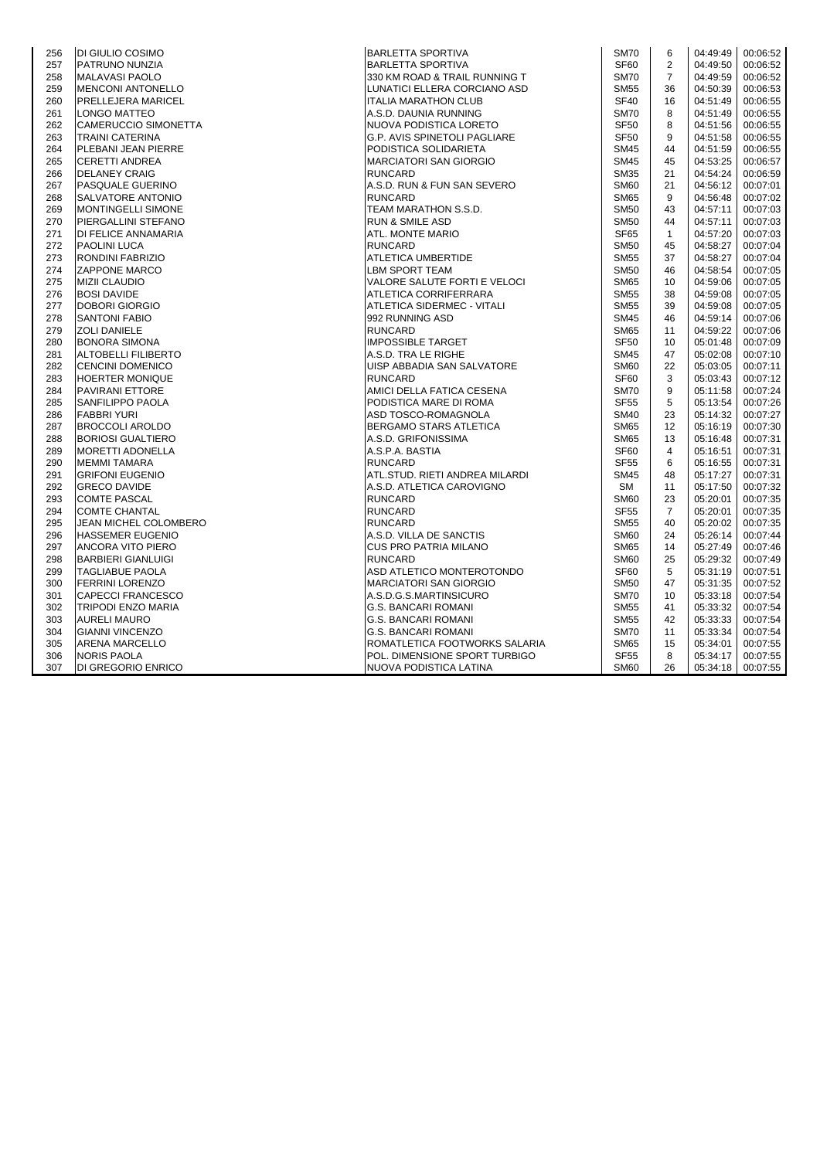| 256 | <b>DI GIULIO COSIMO</b>   | <b>BARLETTA SPORTIVA</b>            | <b>SM70</b>      | 6              | 04:49:49 | 00:06:52 |
|-----|---------------------------|-------------------------------------|------------------|----------------|----------|----------|
| 257 | PATRUNO NUNZIA            | <b>BARLETTA SPORTIVA</b>            | <b>SF60</b>      | $\overline{2}$ | 04:49:50 | 00:06:52 |
| 258 | MALAVASI PAOLO            | 330 KM ROAD & TRAIL RUNNING T       | <b>SM70</b>      | $\overline{7}$ | 04:49:59 | 00:06:52 |
| 259 | <b>MENCONI ANTONELLO</b>  | LUNATICI ELLERA CORCIANO ASD        | <b>SM55</b>      | 36             | 04:50:39 | 00:06:53 |
| 260 | PRELLEJERA MARICEL        | <b>ITALIA MARATHON CLUB</b>         | <b>SF40</b>      | 16             | 04:51:49 | 00:06:55 |
| 261 | <b>LONGO MATTEO</b>       | A.S.D. DAUNIA RUNNING               | <b>SM70</b>      | 8              | 04:51:49 | 00:06:55 |
| 262 | CAMERUCCIO SIMONETTA      | <b>INUOVA PODISTICA LORETO</b>      | <b>SF50</b>      | 8              | 04:51:56 | 00:06:55 |
| 263 | <b>TRAINI CATERINA</b>    | <b>G.P. AVIS SPINETOLI PAGLIARE</b> | <b>SF50</b>      | 9              | 04:51:58 | 00:06:55 |
| 264 | PLEBANI JEAN PIERRE       | PODISTICA SOLIDARIETA               | <b>SM45</b>      | 44             | 04:51:59 | 00:06:55 |
| 265 | <b>CERETTI ANDREA</b>     | <b>MARCIATORI SAN GIORGIO</b>       | <b>SM45</b>      | 45             | 04:53:25 | 00:06:57 |
| 266 | <b>DELANEY CRAIG</b>      | <b>RUNCARD</b>                      | <b>SM35</b>      | 21             | 04:54:24 | 00:06:59 |
| 267 | PASQUALE GUERINO          | A.S.D. RUN & FUN SAN SEVERO         | <b>SM60</b>      | 21             | 04:56:12 | 00:07:01 |
| 268 | SALVATORE ANTONIO         | <b>RUNCARD</b>                      | <b>SM65</b>      | 9              | 04:56:48 | 00:07:02 |
| 269 | <b>MONTINGELLI SIMONE</b> | TEAM MARATHON S.S.D.                | <b>SM50</b>      | 43             | 04:57:11 | 00:07:03 |
| 270 | PIERGALLINI STEFANO       | <b>RUN &amp; SMILE ASD</b>          | <b>SM50</b>      | 44             | 04:57:11 | 00:07:03 |
| 271 | DI FELICE ANNAMARIA       | ATL. MONTE MARIO                    | SF65             | $\mathbf{1}$   | 04:57:20 | 00:07:03 |
| 272 | <b>PAOLINI LUCA</b>       | <b>RUNCARD</b>                      | <b>SM50</b>      | 45             | 04:58:27 | 00:07:04 |
| 273 | RONDINI FABRIZIO          | ATLETICA UMBERTIDE                  | <b>SM55</b>      | 37             | 04:58:27 | 00:07:04 |
| 274 | <b>ZAPPONE MARCO</b>      | <b>LBM SPORT TEAM</b>               | <b>SM50</b>      | 46             | 04:58:54 | 00:07:05 |
| 275 | <b>MIZII CLAUDIO</b>      | VALORE SALUTE FORTI E VELOCI        | <b>SM65</b>      | 10             | 04:59:06 | 00:07:05 |
| 276 | <b>BOSI DAVIDE</b>        | ATLETICA CORRIFERRARA               | <b>SM55</b>      | 38             | 04:59:08 | 00:07:05 |
| 277 | <b>DOBORI GIORGIO</b>     | ATLETICA SIDERMEC - VITALI          | <b>SM55</b>      | 39             | 04:59:08 | 00:07:05 |
| 278 | <b>SANTONI FABIO</b>      | 992 RUNNING ASD                     | <b>SM45</b>      | 46             | 04:59:14 | 00:07:06 |
| 279 | <b>ZOLI DANIELE</b>       | <b>RUNCARD</b>                      | <b>SM65</b>      | 11             | 04:59:22 | 00:07:06 |
| 280 | <b>BONORA SIMONA</b>      | <b>IMPOSSIBLE TARGET</b>            | SF <sub>50</sub> | 10             | 05:01:48 | 00:07:09 |
| 281 | ALTOBELLI FILIBERTO       | A.S.D. TRA LE RIGHE                 | <b>SM45</b>      | 47             | 05:02:08 | 00:07:10 |
| 282 | <b>CENCINI DOMENICO</b>   | UISP ABBADIA SAN SALVATORE          | <b>SM60</b>      | 22             | 05:03:05 | 00:07:11 |
| 283 | <b>HOERTER MONIQUE</b>    | <b>RUNCARD</b>                      | SF60             | 3              | 05:03:43 | 00:07:12 |
| 284 | <b>PAVIRANI ETTORE</b>    | AMICI DELLA FATICA CESENA           | <b>SM70</b>      | 9              | 05:11:58 | 00:07:24 |
| 285 | <b>SANFILIPPO PAOLA</b>   | PODISTICA MARE DI ROMA              | <b>SF55</b>      | 5              | 05:13:54 | 00:07:26 |
| 286 | <b>FABBRI YURI</b>        | ASD TOSCO-ROMAGNOLA                 | <b>SM40</b>      | 23             | 05:14:32 | 00:07:27 |
| 287 | <b>BROCCOLI AROLDO</b>    | <b>BERGAMO STARS ATLETICA</b>       | <b>SM65</b>      | 12             | 05:16:19 | 00:07:30 |
| 288 | <b>BORIOSI GUALTIERO</b>  | A.S.D. GRIFONISSIMA                 | <b>SM65</b>      | 13             | 05:16:48 | 00:07:31 |
| 289 | <b>MORETTI ADONELLA</b>   | A.S.P.A. BASTIA                     | SF <sub>60</sub> | 4              | 05:16:51 | 00:07:31 |
| 290 | <b>MEMMI TAMARA</b>       | <b>RUNCARD</b>                      | <b>SF55</b>      | 6              | 05:16:55 | 00:07:31 |
| 291 | <b>GRIFONI EUGENIO</b>    | ATL.STUD. RIETI ANDREA MILARDI      | <b>SM45</b>      | 48             | 05:17:27 | 00:07:31 |
| 292 | <b>GRECO DAVIDE</b>       | A.S.D. ATLETICA CAROVIGNO           | <b>SM</b>        | 11             | 05:17:50 | 00:07:32 |
| 293 | <b>COMTE PASCAL</b>       | <b>RUNCARD</b>                      | <b>SM60</b>      | 23             | 05:20:01 | 00:07:35 |
| 294 | <b>COMTE CHANTAL</b>      | <b>RUNCARD</b>                      | <b>SF55</b>      | 7              | 05:20:01 | 00:07:35 |
| 295 | JEAN MICHEL COLOMBERO     | <b>RUNCARD</b>                      | <b>SM55</b>      | 40             | 05:20:02 | 00:07:35 |
| 296 | <b>HASSEMER EUGENIO</b>   | A.S.D. VILLA DE SANCTIS             | <b>SM60</b>      | 24             | 05:26:14 | 00:07:44 |
| 297 | <b>ANCORA VITO PIERO</b>  | <b>CUS PRO PATRIA MILANO</b>        | <b>SM65</b>      | 14             | 05:27:49 | 00:07:46 |
| 298 | <b>BARBIERI GIANLUIGI</b> | <b>RUNCARD</b>                      | <b>SM60</b>      | 25             | 05:29:32 | 00:07:49 |
| 299 | <b>TAGLIABUE PAOLA</b>    | ASD ATLETICO MONTEROTONDO           | SF60             | 5              | 05:31:19 | 00:07:51 |
| 300 | <b>FERRINI LORENZO</b>    | <b>MARCIATORI SAN GIORGIO</b>       | <b>SM50</b>      | 47             | 05:31:35 | 00:07:52 |
| 301 | <b>CAPECCI FRANCESCO</b>  | A.S.D.G.S.MARTINSICURO              | <b>SM70</b>      | 10             | 05:33:18 | 00:07:54 |
| 302 | TRIPODI ENZO MARIA        | <b>G.S. BANCARI ROMANI</b>          | <b>SM55</b>      | 41             | 05:33:32 | 00:07:54 |
| 303 | <b>AURELI MAURO</b>       | G.S. BANCARI ROMANI                 | <b>SM55</b>      | 42             | 05:33:33 | 00:07:54 |
| 304 | <b>GIANNI VINCENZO</b>    | <b>G.S. BANCARI ROMANI</b>          | <b>SM70</b>      | 11             | 05:33:34 | 00:07:54 |
| 305 | ARENA MARCELLO            | ROMATLETICA FOOTWORKS SALARIA       | SM65             | 15             | 05:34:01 | 00:07:55 |
| 306 | <b>NORIS PAOLA</b>        | POL. DIMENSIONE SPORT TURBIGO       | <b>SF55</b>      | 8              | 05:34:17 | 00:07:55 |
| 307 | DI GREGORIO ENRICO        | NUOVA PODISTICA LATINA              | <b>SM60</b>      | 26             | 05:34:18 | 00:07:55 |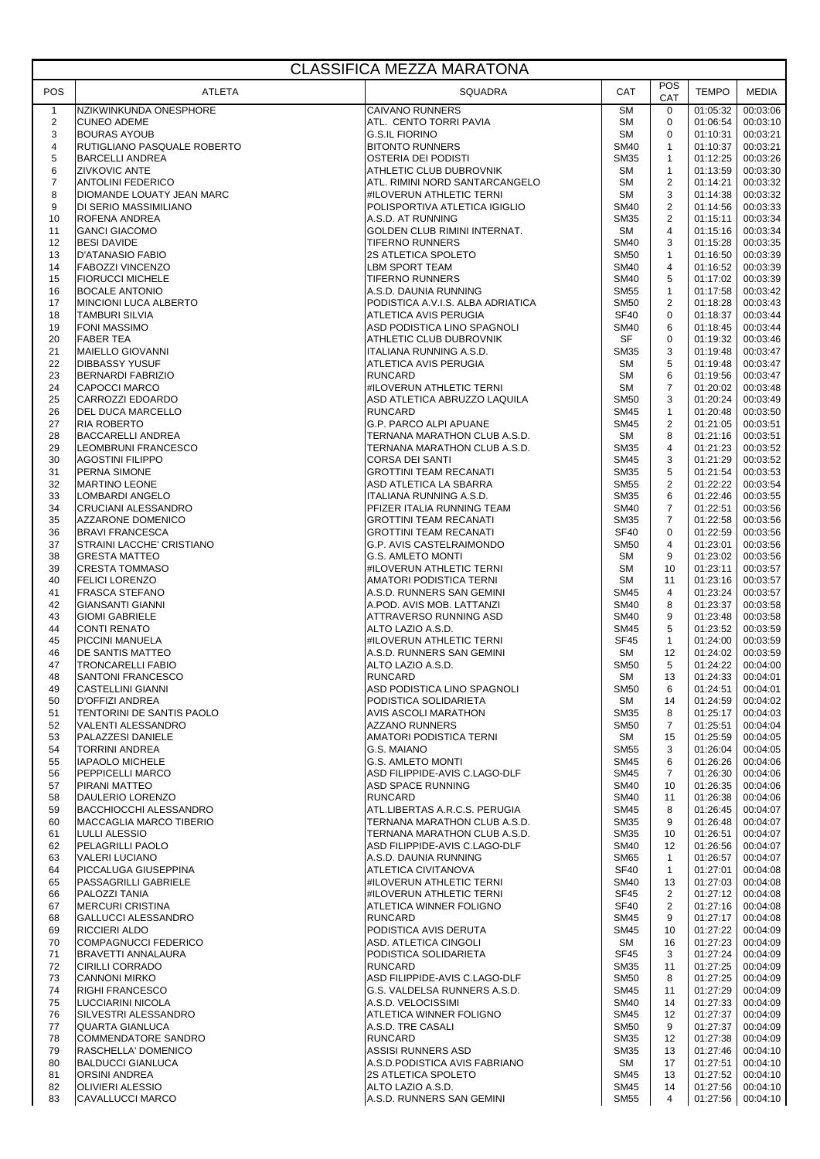## CLASSIFICA MEZZA MARATONA

| POS                     | ATLETA                                                 | <b>SQUADRA</b>                                         | CAT                        | POS<br>CAT         | <b>TEMPO</b>         | MEDIA                |
|-------------------------|--------------------------------------------------------|--------------------------------------------------------|----------------------------|--------------------|----------------------|----------------------|
| $\mathbf{1}$            | NZIKWINKUNDA ONESPHORE                                 | <b>CAIVANO RUNNERS</b>                                 | <b>SM</b>                  | $\mathbf 0$        | 01:05:32             | 00:03:06             |
| $\overline{c}$          | <b>CUNEO ADEME</b>                                     | ATL. CENTO TORRI PAVIA                                 | <b>SM</b>                  | $\mathbf 0$        | 01:06:54             | 00:03:10             |
| 3                       | <b>BOURAS AYOUB</b>                                    | <b>G.S.IL FIORINO</b>                                  | <b>SM</b>                  | $\mathbf 0$        | 01:10:31             | 00:03:21             |
| $\overline{\mathbf{4}}$ | RUTIGLIANO PASQUALE ROBERTO                            | <b>BITONTO RUNNERS</b>                                 | <b>SM40</b>                | $\mathbf{1}$       | 01:10:37             | 00:03:21             |
| $\mathbf 5$             | <b>BARCELLI ANDREA</b>                                 | OSTERIA DEI PODISTI                                    | <b>SM35</b>                | 1                  | 01:12:25             | 00:03:26             |
| 6                       | <b>ZIVKOVIC ANTE</b>                                   | ATHLETIC CLUB DUBROVNIK                                | SM                         | $\mathbf{1}$       | 01:13:59             | 00:03:30             |
| $\overline{7}$          | <b>ANTOLINI FEDERICO</b>                               | ATL. RIMINI NORD SANTARCANGELO                         | <b>SM</b>                  | $\mathbf{2}$       | 01:14:21             | 00:03:32             |
| 8                       | DIOMANDE LOUATY JEAN MARC                              | #ILOVERUN ATHLETIC TERNI                               | <b>SM</b>                  | 3                  | 01:14:38             | 00:03:32             |
| 9                       | DI SERIO MASSIMILIANO                                  | POLISPORTIVA ATLETICA IGIGLIO                          | <b>SM40</b>                | 2                  | 01:14:56             | 00:03:33             |
| 10                      | ROFENA ANDREA                                          | A.S.D. AT RUNNING                                      | <b>SM35</b>                | 2                  | 01:15:11             | 00:03:34             |
| 11                      | <b>GANCI GIACOMO</b>                                   | GOLDEN CLUB RIMINI INTERNAT.                           | <b>SM</b>                  | $\overline{4}$     | 01:15:16             | 00:03:34             |
| 12                      | <b>BESI DAVIDE</b>                                     | <b>TIFERNO RUNNERS</b>                                 | <b>SM40</b>                | 3                  | 01:15:28             | 00:03:35             |
| 13                      | D'ATANASIO FABIO                                       | 2S ATLETICA SPOLETO                                    | <b>SM50</b>                | $\mathbf{1}$       | 01:16:50             | 00:03:39             |
| 14                      | <b>FABOZZI VINCENZO</b>                                | <b>LBM SPORT TEAM</b>                                  | <b>SM40</b>                | 4                  | 01:16:52             | 00:03:39             |
| 15                      | <b>FIORUCCI MICHELE</b>                                | <b>TIFERNO RUNNERS</b>                                 | <b>SM40</b>                | 5                  | 01:17:02             | 00:03:39             |
| 16                      | <b>BOCALE ANTONIO</b>                                  | A.S.D. DAUNIA RUNNING                                  | <b>SM55</b>                | $\mathbf{1}$       | 01:17:58             | 00:03:42             |
| 17                      | <b>MINCIONI LUCA ALBERTO</b>                           | PODISTICA A.V.I.S. ALBA ADRIATICA                      | <b>SM50</b>                | $\overline{2}$     | 01:18:28             | 00:03:43             |
| 18                      | TAMBURI SILVIA                                         | ATLETICA AVIS PERUGIA                                  | <b>SF40</b>                | $\mathbf 0$        | 01:18:37             | 00:03:44             |
| 19                      | <b>FONI MASSIMO</b>                                    | ASD PODISTICA LINO SPAGNOLI                            | <b>SM40</b>                | 6                  | 01:18:45             | 00:03:44             |
| 20                      | <b>FABER TEA</b>                                       | ATHLETIC CLUB DUBROVNIK                                | SF                         | 0                  | 01:19:32             | 00:03:46             |
| 21                      | MAIELLO GIOVANNI                                       | ITALIANA RUNNING A.S.D.                                | <b>SM35</b>                | 3                  | 01:19:48             | 00:03:47             |
| 22                      | <b>DIBBASSY YUSUF</b>                                  | ATLETICA AVIS PERUGIA                                  | <b>SM</b>                  | 5                  | 01:19:48             | 00:03:47             |
| 23                      | <b>BERNARDI FABRIZIO</b>                               | <b>RUNCARD</b>                                         | <b>SM</b>                  | 6                  | 01:19:56             | 00:03:47             |
| 24                      | <b>CAPOCCI MARCO</b>                                   | #ILOVERUN ATHLETIC TERNI                               | <b>SM</b>                  | $\overline{7}$     | 01:20:02             | 00:03:48             |
| 25                      | CARROZZI EDOARDO                                       | ASD ATLETICA ABRUZZO LAQUILA                           | <b>SM50</b>                | 3                  | 01:20:24             | 00:03:49             |
| 26                      | <b>DEL DUCA MARCELLO</b>                               | <b>RUNCARD</b>                                         | <b>SM45</b>                | $\mathbf{1}$       | 01:20:48             | 00:03:50             |
| 27                      | <b>RIA ROBERTO</b>                                     | <b>G.P. PARCO ALPI APUANE</b>                          | <b>SM45</b>                | $\mathbf{2}$       | 01:21:05             | 00:03:51             |
| 28                      | <b>BACCARELLI ANDREA</b>                               | TERNANA MARATHON CLUB A.S.D.                           | <b>SM</b>                  | 8                  | 01:21:16             | 00:03:51             |
| 29                      | LEOMBRUNI FRANCESCO                                    | TERNANA MARATHON CLUB A.S.D.                           | <b>SM35</b>                | $\overline{4}$     | 01:21:23             | 00:03:52             |
| 30                      | <b>AGOSTINI FILIPPO</b>                                | <b>CORSA DEI SANTI</b>                                 | <b>SM45</b>                | 3                  | 01:21:29             | 00:03:52             |
| 31                      | <b>PERNA SIMONE</b>                                    | <b>GROTTINI TEAM RECANATI</b>                          | <b>SM35</b>                | 5                  | 01:21:54             | 00:03:53             |
| 32                      | <b>MARTINO LEONE</b>                                   | ASD ATLETICA LA SBARRA                                 | <b>SM55</b>                | 2                  | 01:22:22             | 00:03:54             |
| 33                      | LOMBARDI ANGELO                                        |                                                        | <b>SM35</b>                | 6                  |                      | 00:03:55             |
| 34                      |                                                        | ITALIANA RUNNING A.S.D.<br>PFIZER ITALIA RUNNING TEAM  | <b>SM40</b>                | $\overline{7}$     | 01:22:46             |                      |
| 35                      | CRUCIANI ALESSANDRO<br>AZZARONE DOMENICO               |                                                        | <b>SM35</b>                | $\overline{7}$     | 01:22:51             | 00:03:56<br>00:03:56 |
|                         |                                                        | <b>GROTTINI TEAM RECANATI</b>                          | <b>SF40</b>                | $\mathbf 0$        | 01:22:58<br>01:22:59 | 00:03:56             |
| 36                      | <b>BRAVI FRANCESCA</b>                                 | <b>GROTTINI TEAM RECANATI</b>                          |                            |                    |                      |                      |
| 37                      | STRAINI LACCHE' CRISTIANO                              | G.P. AVIS CASTELRAIMONDO                               | <b>SM50</b>                | $\overline{4}$     | 01:23:01             | 00:03:56             |
| 38                      | <b>GRESTA MATTEO</b>                                   | <b>G.S. AMLETO MONTI</b>                               | <b>SM</b>                  | 9                  | 01:23:02             | 00:03:56             |
| 39                      | <b>CRESTA TOMMASO</b>                                  | #ILOVERUN ATHLETIC TERNI                               | <b>SM</b>                  | 10                 | 01:23:11             | 00:03:57             |
| 40                      | <b>FELICI LORENZO</b>                                  | AMATORI PODISTICA TERNI                                | <b>SM</b>                  | 11                 | 01:23:16             | 00:03:57             |
| 41                      | FRASCA STEFANO                                         | A.S.D. RUNNERS SAN GEMINI                              | <b>SM45</b>                | $\overline{4}$     | 01:23:24             | 00:03:57             |
| 42                      | <b>GIANSANTI GIANNI</b>                                | A.POD. AVIS MOB. LATTANZI                              | <b>SM40</b>                | 8                  | 01:23:37             | 00:03:58             |
| 43                      | <b>GIOMI GABRIELE</b>                                  | ATTRAVERSO RUNNING ASD                                 | <b>SM40</b>                | 9                  | 01:23:48             | 00:03:58             |
| 44                      | <b>CONTI RENATO</b>                                    | ALTO LAZIO A.S.D.                                      | <b>SM45</b>                | 5                  | 01:23:52             | 00:03:59             |
| 45                      | <b>PICCINI MANUELA</b>                                 | #ILOVERUN ATHLETIC TERNI                               | <b>SF45</b>                | $\mathbf{1}$       | 01:24:00             | 00:03:59             |
| 46                      | <b>IDE SANTIS MATTEO</b>                               | A.S.D. RUNNERS SAN GEMINI                              | SM                         | 12                 | 01:24:02             | 00:03:59             |
| 47                      | <b>TRONCARELLI FABIO</b>                               | ALTO LAZIO A.S.D.                                      | <b>SM50</b>                | 5                  | 01:24:22             | 00:04:00             |
| 48                      | <b>SANTONI FRANCESCO</b>                               | <b>RUNCARD</b>                                         | <b>SM</b>                  | 13                 | 01:24:33             | 00:04:01             |
| 49                      | <b>CASTELLINI GIANNI</b>                               | IASD PODISTICA LINO SPAGNOLI                           | <b>SM50</b>                | 6                  | 01:24:51             | 00:04:01             |
| 50                      | <b>D'OFFIZI ANDREA</b>                                 | PODISTICA SOLIDARIETA                                  | <b>SM</b>                  | 14                 | 01:24:59             | 00:04:02             |
| 51                      | TENTORINI DE SANTIS PAOLO                              | AVIS ASCOLI MARATHON                                   | SM35                       | 8                  | 01:25:17             | 00:04:03             |
| 52                      | VALENTI ALESSANDRO                                     | <b>AZZANO RUNNERS</b>                                  | <b>SM50</b>                | $\overline{7}$     | 01:25:51             | 00:04:04             |
| 53                      | <b>PALAZZESI DANIELE</b>                               | AMATORI PODISTICA TERNI                                | SM                         | 15                 | 01:25:59             | 00:04:05             |
| 54                      | <b>TORRINI ANDREA</b>                                  | G.S. MAIANO                                            | <b>SM55</b>                | 3                  | 01:26:04             | 00:04:05             |
| 55                      | <b>IAPAOLO MICHELE</b>                                 | <b>G.S. AMLETO MONTI</b>                               | <b>SM45</b>                | 6                  | 01:26:26             | 00:04:06             |
| 56                      | PEPPICELLI MARCO                                       | ASD FILIPPIDE-AVIS C.LAGO-DLF                          | <b>SM45</b>                | 7                  | 01:26:30             | 00:04:06             |
| 57<br>58                | <b>PIRANI MATTEO</b>                                   | ASD SPACE RUNNING<br><b>RUNCARD</b>                    | <b>SM40</b><br><b>SM40</b> | 10<br>11           | 01:26:35             | 00:04:06<br>00:04:06 |
|                         | DAULERIO LORENZO                                       |                                                        |                            |                    | 01:26:38             |                      |
| 59                      | <b>BACCHIOCCHI ALESSANDRO</b>                          | ATL.LIBERTAS A.R.C.S. PERUGIA                          | <b>SM45</b>                | 8<br>9             | 01:26:45             | 00:04:07             |
| 60                      | <b>MACCAGLIA MARCO TIBERIO</b><br><b>LULLI ALESSIO</b> | TERNANA MARATHON CLUB A.S.D.                           | <b>SM35</b><br><b>SM35</b> |                    | 01:26:48<br>01:26:51 | 00:04:07             |
| 61                      |                                                        | TERNANA MARATHON CLUB A.S.D.                           |                            | 10                 |                      | 00:04:07             |
| 62<br>63                | PELAGRILLI PAOLO<br>VALERI LUCIANO                     | ASD FILIPPIDE-AVIS C.LAGO-DLF<br>A.S.D. DAUNIA RUNNING | <b>SM40</b><br><b>SM65</b> | 12<br>$\mathbf{1}$ | 01:26:56<br>01:26:57 | 00:04:07<br>00:04:07 |
|                         |                                                        |                                                        |                            |                    |                      |                      |
| 64                      | <b>PICCALUGA GIUSEPPINA</b>                            | ATLETICA CIVITANOVA                                    | <b>SF40</b><br><b>SM40</b> | $\mathbf{1}$       | 01:27:01             | 00:04:08             |
| 65<br>66                | <b>PASSAGRILLI GABRIELE</b><br>PALOZZI TANIA           | #ILOVERUN ATHLETIC TERNI<br>#ILOVERUN ATHLETIC TERNI   | <b>SF45</b>                | 13<br>2            | 01:27:03<br>01:27:12 | 00:04:08<br>00:04:08 |
|                         | <b>MERCURI CRISTINA</b>                                | ATLETICA WINNER FOLIGNO                                | <b>SF40</b>                | 2                  | 01:27:16             |                      |
| 67<br>68                |                                                        | <b>RUNCARD</b>                                         | SM45                       | 9                  | 01:27:17             | 00:04:08             |
|                         | <b>GALLUCCI ALESSANDRO</b><br><b>RICCIERI ALDO</b>     | PODISTICA AVIS DERUTA                                  | <b>SM45</b>                |                    | 01:27:22             | 00:04:08             |
| 69                      |                                                        |                                                        |                            | 10                 |                      | 00:04:09             |
| 70<br>71                | COMPAGNUCCI FEDERICO<br><b>BRAVETTI ANNALAURA</b>      | ASD. ATLETICA CINGOLI<br>PODISTICA SOLIDARIETA         | SM<br><b>SF45</b>          | 16<br>3            | 01:27:23<br>01:27:24 | 00:04:09<br>00:04:09 |
| 72                      |                                                        |                                                        | <b>SM35</b>                |                    |                      |                      |
| 73                      | <b>CIRILLI CORRADO</b><br><b>CANNONI MIRKO</b>         | <b>RUNCARD</b><br>ASD FILIPPIDE-AVIS C.LAGO-DLF        | <b>SM50</b>                | 11<br>8            | 01:27:25<br>01:27:25 | 00:04:09<br>00:04:09 |
| 74                      | <b>RIGHI FRANCESCO</b>                                 | G.S. VALDELSA RUNNERS A.S.D.                           | <b>SM45</b>                | 11                 | 01:27:29             | 00:04:09             |
| 75                      | LUCCIARINI NICOLA                                      | A.S.D. VELOCISSIMI                                     | <b>SM40</b>                | 14                 | 01:27:33             | 00:04:09             |
| 76                      | SILVESTRI ALESSANDRO                                   | ATLETICA WINNER FOLIGNO                                | <b>SM45</b>                | 12                 | 01:27:37             | 00:04:09             |
| 77                      | QUARTA GIANLUCA                                        | A.S.D. TRE CASALI                                      | <b>SM50</b>                | 9                  | 01:27:37             | 00:04:09             |
| 78                      | COMMENDATORE SANDRO                                    | <b>RUNCARD</b>                                         | <b>SM35</b>                | 12                 | 01:27:38             | 00:04:09             |
| 79                      | RASCHELLA' DOMENICO                                    | ASSISI RUNNERS ASD                                     | <b>SM35</b>                | 13                 | 01:27:46             | 00:04:10             |
| 80                      | <b>BALDUCCI GIANLUCA</b>                               | A.S.D.PODISTICA AVIS FABRIANO                          | SM                         | 17                 | 01:27:51             | 00:04:10             |
| 81                      | <b>ORSINI ANDREA</b>                                   | 2S ATLETICA SPOLETO                                    | <b>SM45</b>                | 13                 | 01:27:52             | 00:04:10             |
| 82                      | <b>OLIVIERI ALESSIO</b>                                | ALTO LAZIO A.S.D.                                      | SM45                       | 14                 | 01:27:56             | 00:04:10             |
| 83                      | CAVALLUCCI MARCO                                       | A.S.D. RUNNERS SAN GEMINI                              | <b>SM55</b>                | 4                  | 01:27:56             | 00:04:10             |
|                         |                                                        |                                                        |                            |                    |                      |                      |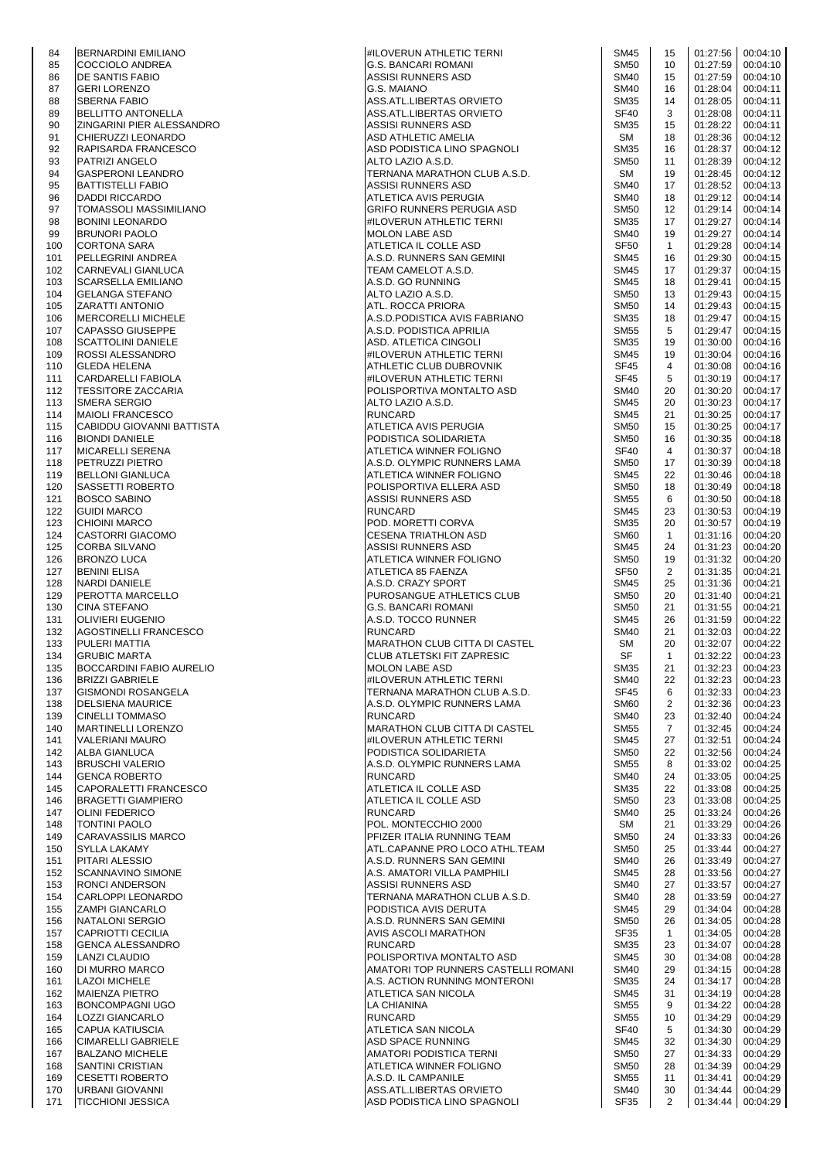| 84         | <b>BERNARDINI EMILIANO</b>                                | <b>#ILOVERUN ATHLETIC TERNI</b>                                  | <b>SM45</b>                     | 15                   |                      | 01:27:56 00:04:10             |
|------------|-----------------------------------------------------------|------------------------------------------------------------------|---------------------------------|----------------------|----------------------|-------------------------------|
| 85         | <b>COCCIOLO ANDREA</b>                                    | G.S. BANCARI ROMANI                                              | <b>SM50</b>                     | 10                   |                      | 01:27:59 00:04:10             |
| 86<br>87   | <b>DE SANTIS FABIO</b><br><b>GERI LORENZO</b>             | ASSISI RUNNERS ASD<br><b>G.S. MAIANO</b>                         | <b>SM40</b><br><b>SM40</b>      | 15<br>16             | 01:27:59<br>01:28:04 | 00:04:10<br>00:04:11          |
| 88         | <b>SBERNA FABIO</b>                                       | ASS.ATL.LIBERTAS ORVIETO                                         | <b>SM35</b>                     | 14                   | 01:28:05             | 00:04:11                      |
| 89         | <b>BELLITTO ANTONELLA</b>                                 | ASS.ATL.LIBERTAS ORVIETO                                         | SF40                            | 3                    | 01:28:08             | 00:04:11                      |
| 90<br>91   | ZINGARINI PIER ALESSANDRO<br>CHIERUZZI LEONARDO           | ASSISI RUNNERS ASD<br>ASD ATHLETIC AMELIA                        | <b>SM35</b><br>SM               | 15<br>18             | 01:28:22<br>01:28:36 | 00:04:11<br>00:04:12          |
| 92         | RAPISARDA FRANCESCO                                       | ASD PODISTICA LINO SPAGNOLI                                      | <b>SM35</b>                     | 16                   | 01:28:37             | 00:04:12                      |
| 93         | PATRIZI ANGELO                                            | ALTO LAZIO A.S.D.                                                | <b>SM50</b>                     | 11                   | 01:28:39             | 00:04:12                      |
| 94         | <b>GASPERONI LEANDRO</b>                                  | TERNANA MARATHON CLUB A.S.D.                                     | SM                              | 19                   | 01:28:45             | 00:04:12                      |
| 95<br>96   | <b>BATTISTELLI FABIO</b><br><b>DADDI RICCARDO</b>         | ASSISI RUNNERS ASD<br>ATLETICA AVIS PERUGIA                      | <b>SM40</b><br><b>SM40</b>      | 17<br>18             | 01:28:52             | 00:04:13<br>01:29:12 00:04:14 |
| 97         | TOMASSOLI MASSIMILIANO                                    | GRIFO RUNNERS PERUGIA ASD                                        | <b>SM50</b>                     | 12                   | 01:29:14             | 00:04:14                      |
| 98         | <b>BONINI LEONARDO</b>                                    | #ILOVERUN ATHLETIC TERNI                                         | <b>SM35</b>                     | 17                   | 01:29:27             | 00:04:14                      |
| 99         | <b>BRUNORI PAOLO</b>                                      | <b>MOLON LABE ASD</b>                                            | <b>SM40</b>                     | 19                   | 01:29:27             | 00:04:14                      |
| 100<br>101 | <b>CORTONA SARA</b><br>PELLEGRINI ANDREA                  | ATLETICA IL COLLE ASD<br>A.S.D. RUNNERS SAN GEMINI               | <b>SF50</b><br><b>SM45</b>      | $\mathbf{1}$<br>16   | 01:29:28<br>01:29:30 | 00:04:14<br>00:04:15          |
| 102        | CARNEVALI GIANLUCA                                        | TEAM CAMELOT A.S.D.                                              | <b>SM45</b>                     | 17                   | 01:29:37             | 00:04:15                      |
| 103        | <b>SCARSELLA EMILIANO</b>                                 | A.S.D. GO RUNNING                                                | <b>SM45</b>                     | 18                   | 01:29:41             | 00:04:15                      |
| 104<br>105 | <b>GELANGA STEFANO</b><br><b>ZARATTI ANTONIO</b>          | ALTO LAZIO A.S.D.<br>ATL. ROCCA PRIORA                           | <b>SM50</b><br><b>SM50</b>      | 13<br>14             | 01:29:43<br>01:29:43 | 00:04:15<br>00:04:15          |
| 106        | <b>MERCORELLI MICHELE</b>                                 | A.S.D. PODISTICA AVIS FABRIANO                                   | <b>SM35</b>                     | 18                   | 01:29:47             | 00:04:15                      |
| 107        | <b>ICAPASSO GIUSEPPE</b>                                  | A.S.D. PODISTICA APRILIA                                         | <b>SM55</b>                     | 5                    | 01:29:47             | 00:04:15                      |
| 108        | SCATTOLINI DANIELE                                        | ASD. ATLETICA CINGOLI                                            | <b>SM35</b>                     | 19                   | 01:30:00             | 00:04:16                      |
| 109<br>110 | ROSSI ALESSANDRO<br> GLEDA HELENA                         | #ILOVERUN ATHLETIC TERNI<br>ATHLETIC CLUB DUBROVNIK              | <b>SM45</b><br><b>SF45</b>      | 19<br>4              | 01:30:04<br>01:30:08 | 00:04:16<br>00:04:16          |
| 111        | CARDARELLI FABIOLA                                        | #ILOVERUN ATHLETIC TERNI                                         | <b>SF45</b>                     | 5                    | 01:30:19             | 00:04:17                      |
| 112        | <b>TESSITORE ZACCARIA</b>                                 | POLISPORTIVA MONTALTO ASD                                        | <b>SM40</b>                     | 20                   | 01:30:20             | 00:04:17                      |
| 113<br>114 | <b>SMERA SERGIO</b><br><b>MAIOLI FRANCESCO</b>            | ALTO LAZIO A.S.D.<br><b>RUNCARD</b>                              | <b>SM45</b><br><b>SM45</b>      | 20<br>21             | 01:30:23<br>01:30:25 | 00:04:17<br>00:04:17          |
| 115        | CABIDDU GIOVANNI BATTISTA                                 | ATLETICA AVIS PERUGIA                                            | <b>SM50</b>                     | 15                   | 01:30:25             | 00:04:17                      |
| 116        | <b>BIONDI DANIELE</b>                                     | PODISTICA SOLIDARIETA                                            | <b>SM50</b>                     | 16                   | 01:30:35             | 00:04:18                      |
| 117        | <b>MICARELLI SERENA</b>                                   | ATLETICA WINNER FOLIGNO                                          | <b>SF40</b>                     | $\overline{4}$       | 01:30:37             | 00:04:18                      |
| 118<br>119 | PETRUZZI PIETRO<br><b>BELLONI GIANLUCA</b>                | A.S.D. OLYMPIC RUNNERS LAMA<br>ATLETICA WINNER FOLIGNO           | <b>SM50</b><br><b>SM45</b>      | 17<br>22             | 01:30:39<br>01:30:46 | 00:04:18<br>00:04:18          |
| 120        | <b>ISASSETTI ROBERTO</b>                                  | POLISPORTIVA ELLERA ASD                                          | <b>SM50</b>                     | 18                   | 01:30:49             | 00:04:18                      |
| 121        | <b>BOSCO SABINO</b>                                       | ASSISI RUNNERS ASD                                               | <b>SM55</b>                     | 6                    | 01:30:50             | 00:04:18                      |
| 122<br>123 | <b>GUIDI MARCO</b><br><b>CHIOINI MARCO</b>                | <b>RUNCARD</b><br>POD. MORETTI CORVA                             | <b>SM45</b><br><b>SM35</b>      | 23<br>20             | 01:30:57             | 01:30:53 00:04:19<br>00:04:19 |
| 124        | CASTORRI GIACOMO                                          | CESENA TRIATHLON ASD                                             | <b>SM60</b>                     | $\mathbf{1}$         |                      | 01:31:16 00:04:20             |
| 125        | <b>CORBA SILVANO</b>                                      | ASSISI RUNNERS ASD                                               | <b>SM45</b>                     | 24                   | 01:31:23             | 00:04:20                      |
| 126        | <b>BRONZO LUCA</b>                                        | ATLETICA WINNER FOLIGNO                                          | <b>SM50</b>                     | 19                   | 01:31:32             | 00:04:20                      |
| 127<br>128 | <b>BENINI ELISA</b><br>NARDI DANIELE                      | ATLETICA 85 FAENZA<br>A.S.D. CRAZY SPORT                         | SF <sub>50</sub><br><b>SM45</b> | 2<br>25              | 01:31:35<br>01:31:36 | 00:04:21<br>00:04:21          |
| 129        | PEROTTA MARCELLO                                          | PUROSANGUE ATHLETICS CLUB                                        | <b>SM50</b>                     | 20                   | 01:31:40             | 00:04:21                      |
| 130        | <b>CINA STEFANO</b>                                       | G.S. BANCARI ROMANI                                              | <b>SM50</b>                     | 21                   | 01:31:55             | 00:04:21                      |
| 131<br>132 | <b>OLIVIERI EUGENIO</b><br>AGOSTINELLI FRANCESCO          | A.S.D. TOCCO RUNNER<br><b>RUNCARD</b>                            | <b>SM45</b><br><b>SM40</b>      | 26<br>21             | 01:32:03             | 01:31:59 00:04:22<br>00:04:22 |
| 133        | <b>PULERI MATTIA</b>                                      | MARATHON CLUB CITTA DI CASTEL                                    | SM                              | 20                   | 01:32:07             | 00:04:22                      |
| 134        | <b>GRUBIC MARTA</b>                                       | <b>CLUB ATLETSKI FIT ZAPRESIC</b>                                | SF                              | $\mathbf{1}$         | 01:32:22             | 00:04:23                      |
| 135        | <b>BOCCARDINI FABIO AURELIO</b><br><b>BRIZZI GABRIELE</b> | <b>MOLON LABE ASD</b>                                            | <b>SM35</b><br><b>SM40</b>      | 21<br>22             | 01:32:23<br>01:32:23 | 00:04:23<br>00:04:23          |
| 136<br>137 | <b>GISMONDI ROSANGELA</b>                                 | #ILOVERUN ATHLETIC TERNI<br>ITERNANA MARATHON CLUB A.S.D.        | <b>SF45</b>                     | 6                    | 01:32:33             | 00:04:23                      |
| 138        | <b>DELSIENA MAURICE</b>                                   | A.S.D. OLYMPIC RUNNERS LAMA                                      | <b>SM60</b>                     | 2                    | 01:32:36             | 00:04:23                      |
| 139        | <b>CINELLI TOMMASO</b>                                    | <b>RUNCARD</b>                                                   | <b>SM40</b>                     | 23                   | 01:32:40             | 00:04:24                      |
| 140<br>141 | <b>MARTINELLI LORENZO</b><br><b>VALERIANI MAURO</b>       | <b>MARATHON CLUB CITTA DI CASTEL</b><br>#ILOVERUN ATHLETIC TERNI | <b>SM55</b><br><b>SM45</b>      | $\overline{7}$<br>27 | 01:32:45<br>01:32:51 | 00:04:24<br>00:04:24          |
| 142        | <b>ALBA GIANLUCA</b>                                      | PODISTICA SOLIDARIETA                                            | <b>SM50</b>                     | 22                   | 01:32:56             | 00:04:24                      |
| 143        | <b>BRUSCHI VALERIO</b>                                    | A.S.D. OLYMPIC RUNNERS LAMA                                      | <b>SM55</b>                     | 8                    | 01:33:02             | 00:04:25                      |
| 144<br>145 | <b>GENCA ROBERTO</b><br>CAPORALETTI FRANCESCO             | <b>RUNCARD</b><br>ATLETICA IL COLLE ASD                          | <b>SM40</b><br><b>SM35</b>      | 24<br>22             | 01:33:05<br>01:33:08 | 00:04:25<br>00:04:25          |
| 146        | <b>BRAGETTI GIAMPIERO</b>                                 | ATLETICA IL COLLE ASD                                            | <b>SM50</b>                     | 23                   | 01:33:08             | 00:04:25                      |
| 147        | <b>OLINI FEDERICO</b>                                     | <b>RUNCARD</b>                                                   | <b>SM40</b>                     | 25                   | 01:33:24             | 00:04:26                      |
| 148        | <b>TONTINI PAOLO</b>                                      | POL. MONTECCHIO 2000<br>PFIZER ITALIA RUNNING TEAM               | SM<br><b>SM50</b>               | 21<br>24             | 01:33:29             | 00:04:26                      |
| 149<br>150 | <b>CARAVASSILIS MARCO</b><br><b>SYLLA LAKAMY</b>          | ATL.CAPANNE PRO LOCO ATHL.TEAM                                   | <b>SM50</b>                     | 25                   | 01:33:33<br>01:33:44 | 00:04:26<br>00:04:27          |
| 151        | PITARI ALESSIO                                            | A.S.D. RUNNERS SAN GEMINI                                        | <b>SM40</b>                     | 26                   | 01:33:49             | 00:04:27                      |
| 152        | <b>SCANNAVINO SIMONE</b>                                  | A.S. AMATORI VILLA PAMPHILI                                      | <b>SM45</b>                     | 28                   | 01:33:56             | 00:04:27                      |
| 153<br>154 | <b>RONCI ANDERSON</b><br>CARLOPPI LEONARDO                | ASSISI RUNNERS ASD<br>TERNANA MARATHON CLUB A.S.D.               | <b>SM40</b><br><b>SM40</b>      | 27<br>28             | 01:33:57<br>01:33:59 | 00:04:27<br>00:04:27          |
| 155        | <b>ZAMPI GIANCARLO</b>                                    | PODISTICA AVIS DERUTA                                            | <b>SM45</b>                     | 29                   | 01:34:04             | 00:04:28                      |
| 156        | NATALONI SERGIO                                           | A.S.D. RUNNERS SAN GEMINI                                        | <b>SM50</b>                     | 26                   | 01:34:05             | 00:04:28                      |
| 157<br>158 | <b>CAPRIOTTI CECILIA</b><br><b>GENCA ALESSANDRO</b>       | <b>AVIS ASCOLI MARATHON</b><br><b>RUNCARD</b>                    | <b>SF35</b><br><b>SM35</b>      | $\mathbf{1}$<br>23   | 01:34:05<br>01:34:07 | 00:04:28<br>00:04:28          |
| 159        | <b>LANZI CLAUDIO</b>                                      | POLISPORTIVA MONTALTO ASD                                        | <b>SM45</b>                     | 30                   | 01:34:08             | 00:04:28                      |
| 160        | DI MURRO MARCO                                            | AMATORI TOP RUNNERS CASTELLI ROMANI                              | <b>SM40</b>                     | 29                   | 01:34:15             | 00:04:28                      |
| 161        | <b>LAZOI MICHELE</b>                                      | A.S. ACTION RUNNING MONTERONI                                    | <b>SM35</b>                     | 24                   | 01:34:17             | 00:04:28                      |
| 162<br>163 | <b>MAIENZA PIETRO</b><br><b>BONCOMPAGNI UGO</b>           | ATLETICA SAN NICOLA<br>LA CHIANINA                               | <b>SM45</b><br><b>SM55</b>      | 31<br>9              | 01:34:19<br>01:34:22 | 00:04:28<br>00:04:28          |
| 164        | <b>LOZZI GIANCARLO</b>                                    | <b>RUNCARD</b>                                                   | <b>SM55</b>                     | 10                   | 01:34:29             | 00:04:29                      |
| 165        | <b>CAPUA KATIUSCIA</b>                                    | ATLETICA SAN NICOLA                                              | SF40                            | 5                    | 01:34:30             | 00:04:29                      |
| 166<br>167 | <b>CIMARELLI GABRIELE</b><br><b>BALZANO MICHELE</b>       | ASD SPACE RUNNING<br>AMATORI PODISTICA TERNI                     | <b>SM45</b><br><b>SM50</b>      | 32<br>27             | 01:34:30<br>01:34:33 | 00:04:29<br>00:04:29          |
| 168        | <b>SANTINI CRISTIAN</b>                                   | ATLETICA WINNER FOLIGNO                                          | <b>SM50</b>                     | 28                   | 01:34:39             | 00:04:29                      |
| 169        | <b>CESETTI ROBERTO</b>                                    | A.S.D. IL CAMPANILE                                              | <b>SM55</b>                     | 11                   | 01:34:41             | 00:04:29                      |
| 170<br>171 | URBANI GIOVANNI<br><b>TICCHIONI JESSICA</b>               | ASS.ATL.LIBERTAS ORVIETO<br>ASD PODISTICA LINO SPAGNOLI          | <b>SM40</b><br>SF35             | 30<br>2              | 01:34:44<br>01:34:44 | 00:04:29<br>00:04:29          |
|            |                                                           |                                                                  |                                 |                      |                      |                               |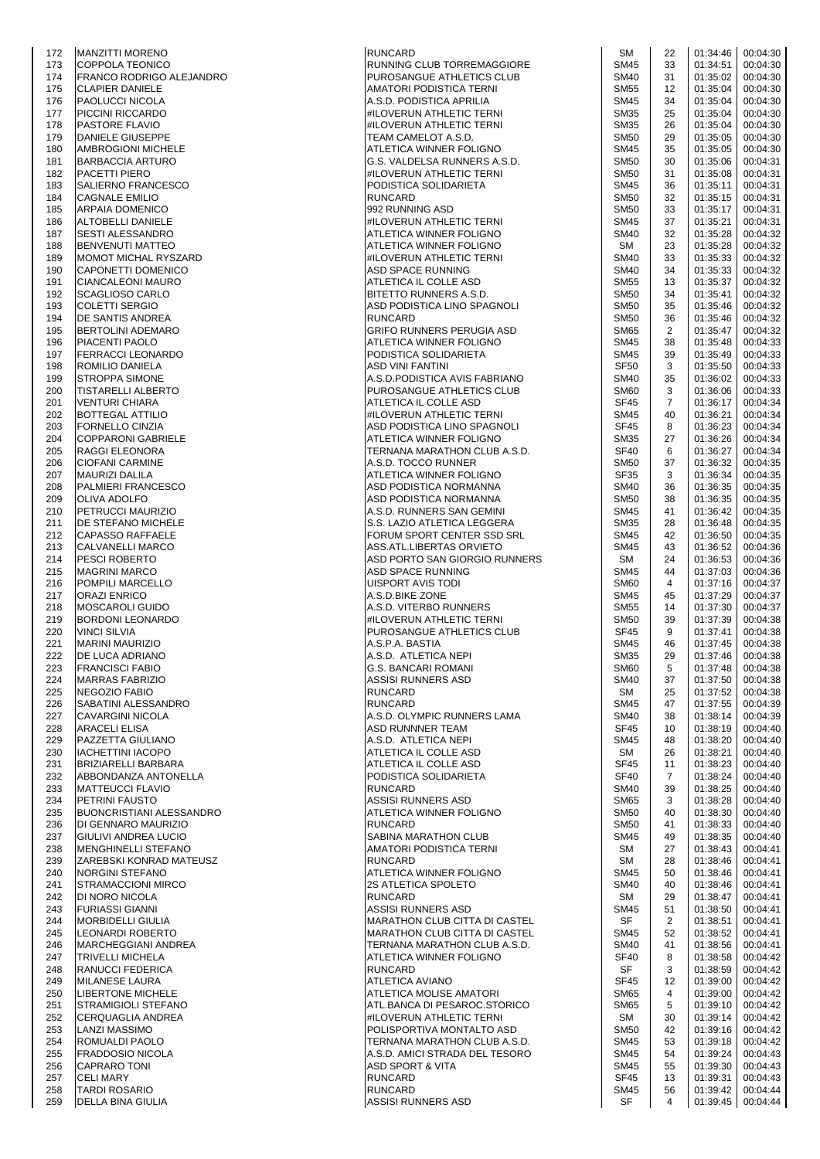| 172 | <b>MANZITTI MORENO</b>          | <b>RUNCARD</b>                 | SM               | 22             | 01:34:46 | 00:04:30          |
|-----|---------------------------------|--------------------------------|------------------|----------------|----------|-------------------|
| 173 | <b>COPPOLA TEONICO</b>          | RUNNING CLUB TORREMAGGIORE     | <b>SM45</b>      | 33             | 01:34:51 | 00:04:30          |
| 174 | FRANCO RODRIGO ALEJANDRO        | PUROSANGUE ATHLETICS CLUB      | <b>SM40</b>      | 31             | 01:35:02 | 00:04:30          |
| 175 | <b>CLAPIER DANIELE</b>          | AMATORI PODISTICA TERNI        | <b>SM55</b>      | 12             | 01:35:04 | 00:04:30          |
| 176 | <b>PAOLUCCI NICOLA</b>          | A.S.D. PODISTICA APRILIA       | <b>SM45</b>      | 34             | 01:35:04 | 00:04:30          |
| 177 | PICCINI RICCARDO                | #ILOVERUN ATHLETIC TERNI       | <b>SM35</b>      | 25             | 01:35:04 | 00:04:30          |
| 178 | PASTORE FLAVIO                  | #ILOVERUN ATHLETIC TERNI       | <b>SM35</b>      | 26             | 01:35:04 | 00:04:30          |
| 179 | DANIELE GIUSEPPE                | TEAM CAMELOT A.S.D.            | <b>SM50</b>      | 29             | 01:35:05 | 00:04:30          |
| 180 | AMBROGIONI MICHELE              | <b>ATLETICA WINNER FOLIGNO</b> | <b>SM45</b>      | 35             | 01:35:05 | 00:04:30          |
| 181 | <b>BARBACCIA ARTURO</b>         | G.S. VALDELSA RUNNERS A.S.D.   | <b>SM50</b>      | 30             | 01:35:06 | 00:04:31          |
| 182 | PACETTI PIERO                   | #ILOVERUN ATHLETIC TERNI       | <b>SM50</b>      | 31             | 01:35:08 | 00:04:31          |
| 183 | SALIERNO FRANCESCO              | PODISTICA SOLIDARIETA          | <b>SM45</b>      | 36             | 01:35:11 | 00:04:31          |
|     |                                 |                                |                  |                |          | 00:04:31          |
| 184 | <b>CAGNALE EMILIO</b>           | <b>RUNCARD</b>                 | <b>SM50</b>      | 32             | 01:35:15 |                   |
| 185 | <b>ARPAIA DOMENICO</b>          | 992 RUNNING ASD                | <b>SM50</b>      | 33             | 01:35:17 | 00:04:31          |
| 186 | <b>ALTOBELLI DANIELE</b>        | #ILOVERUN ATHLETIC TERNI       | <b>SM45</b>      | 37             | 01:35:21 | 00:04:31          |
| 187 | <b>SESTI ALESSANDRO</b>         | ATLETICA WINNER FOLIGNO        | <b>SM40</b>      | 32             | 01:35:28 | 00:04:32          |
| 188 | <b>BENVENUTI MATTEO</b>         | ATLETICA WINNER FOLIGNO        | SM               | 23             | 01:35:28 | 00:04:32          |
| 189 | MOMOT MICHAL RYSZARD            | #ILOVERUN ATHLETIC TERNI       | <b>SM40</b>      | 33             | 01:35:33 | 00:04:32          |
| 190 | CAPONETTI DOMENICO              | ASD SPACE RUNNING              | <b>SM40</b>      | 34             | 01:35:33 | 00:04:32          |
| 191 | <b>CIANCALEONI MAURO</b>        | ATLETICA IL COLLE ASD          | <b>SM55</b>      | 13             | 01:35:37 | 00:04:32          |
| 192 | <b>SCAGLIOSO CARLO</b>          | BITETTO RUNNERS A.S.D.         | <b>SM50</b>      | 34             | 01:35:41 | 00:04:32          |
| 193 | <b>COLETTI SERGIO</b>           | ASD PODISTICA LINO SPAGNOLI    | <b>SM50</b>      | 35             | 01:35:46 | 00:04:32          |
| 194 | DE SANTIS ANDREA                | <b>RUNCARD</b>                 | <b>SM50</b>      | 36             | 01:35:46 | 00:04:32          |
| 195 | <b>BERTOLINI ADEMARO</b>        | GRIFO RUNNERS PERUGIA ASD      | <b>SM65</b>      | 2              | 01:35:47 | 00:04:32          |
| 196 | PIACENTI PAOLO                  | ATLETICA WINNER FOLIGNO        | <b>SM45</b>      | 38             | 01:35:48 | 00:04:33          |
| 197 | <b>FERRACCI LEONARDO</b>        | PODISTICA SOLIDARIETA          | <b>SM45</b>      | 39             | 01:35:49 | 00:04:33          |
| 198 | ROMILIO DANIELA                 | ASD VINI FANTINI               | <b>SF50</b>      | 3              | 01:35:50 | 00:04:33          |
|     |                                 | A.S.D. PODISTICA AVIS FABRIANO |                  | 35             |          | 00:04:33          |
| 199 | <b>STROPPA SIMONE</b>           |                                | <b>SM40</b>      |                | 01:36:02 |                   |
| 200 | <b>TISTARELLI ALBERTO</b>       | PUROSANGUE ATHLETICS CLUB      | <b>SM60</b>      | 3              | 01:36:06 | 00:04:33          |
| 201 | <b>VENTURI CHIARA</b>           | ATLETICA IL COLLE ASD          | <b>SF45</b>      | 7              | 01:36:17 | 00:04:34          |
| 202 | <b>BOTTEGAL ATTILIO</b>         | #ILOVERUN ATHLETIC TERNI       | <b>SM45</b>      | 40             | 01:36:21 | 00:04:34          |
| 203 | <b>FORNELLO CINZIA</b>          | ASD PODISTICA LINO SPAGNOLI    | <b>SF45</b>      | 8              | 01:36:23 | 00:04:34          |
| 204 | <b>COPPARONI GABRIELE</b>       | ATLETICA WINNER FOLIGNO        | <b>SM35</b>      | 27             | 01:36:26 | 00:04:34          |
| 205 | RAGGI ELEONORA                  | TERNANA MARATHON CLUB A.S.D.   | <b>SF40</b>      | 6              | 01:36:27 | 00:04:34          |
| 206 | <b>CIOFANI CARMINE</b>          | A.S.D. TOCCO RUNNER            | <b>SM50</b>      | 37             | 01:36:32 | 00:04:35          |
| 207 | <b>MAURIZI DALILA</b>           | ATLETICA WINNER FOLIGNO        | <b>SF35</b>      | 3              | 01:36:34 | 00:04:35          |
| 208 | PALMIERI FRANCESCO              | ASD PODISTICA NORMANNA         | <b>SM40</b>      | 36             | 01:36:35 | 00:04:35          |
| 209 | <b>OLIVA ADOLFO</b>             | ASD PODISTICA NORMANNA         | <b>SM50</b>      | 38             | 01:36:35 | 00:04:35          |
| 210 | PETRUCCI MAURIZIO               | A.S.D. RUNNERS SAN GEMINI      | <b>SM45</b>      | 41             | 01:36:42 | 00:04:35          |
|     |                                 |                                | <b>SM35</b>      |                | 01:36:48 | 00:04:35          |
| 211 | <b>IDE STEFANO MICHELE</b>      | S.S. LAZIO ATLETICA LEGGERA    |                  | 28             |          |                   |
| 212 | <b>CAPASSO RAFFAELE</b>         | FORUM SPORT CENTER SSD SRL     | <b>SM45</b>      | 42             | 01:36:50 | 00:04:35          |
| 213 | CALVANELLI MARCO                | ASS.ATL.LIBERTAS ORVIETO       | <b>SM45</b>      | 43             | 01:36:52 | 00:04:36          |
| 214 | <b>PESCI ROBERTO</b>            | ASD PORTO SAN GIORGIO RUNNERS  | SM               | 24             | 01:36:53 | 00:04:36          |
| 215 | <b>MAGRINI MARCO</b>            | <b>ASD SPACE RUNNING</b>       | <b>SM45</b>      | 44             | 01:37:03 | 00:04:36          |
| 216 | POMPILI MARCELLO                | UISPORT AVIS TODI              | SM <sub>60</sub> | 4              | 01:37:16 | 00:04:37          |
| 217 | <b>ORAZI ENRICO</b>             | A.S.D.BIKE ZONE                | <b>SM45</b>      | 45             | 01:37:29 | 00:04:37          |
| 218 | <b>MOSCAROLI GUIDO</b>          | A.S.D. VITERBO RUNNERS         | <b>SM55</b>      | 14             | 01:37:30 | 00:04:37          |
| 219 | <b>BORDONI LEONARDO</b>         | #ILOVERUN ATHLETIC TERNI       | <b>SM50</b>      | 39             | 01:37:39 | 00:04:38          |
| 220 | <b>VINCI SILVIA</b>             | PUROSANGUE ATHLETICS CLUB      | <b>SF45</b>      | 9              | 01:37:41 | 00:04:38          |
| 221 | <b>MARINI MAURIZIO</b>          | A.S.P.A. BASTIA                | <b>SM45</b>      | 46             | 01:37:45 | 00:04:38          |
| 222 | DE LUCA ADRIANO                 | A.S.D. ATLETICA NEPI           | <b>SM35</b>      | 29             | 01:37:46 | 00:04:38          |
| 223 | <b>FRANCISCI FABIO</b>          | <b>G.S. BANCARI ROMANI</b>     | <b>SM60</b>      | 5              | 01:37:48 | 00:04:38          |
| 224 | MARRAS FABRIZIO                 | ASSISI RUNNERS ASD             | <b>SM40</b>      | 37             | 01:37:50 | 00:04:38          |
| 225 | <b>NEGOZIO FABIO</b>            | <b>RUNCARD</b>                 | SM               | 25             | 01:37:52 | 00:04:38          |
| 226 | SABATINI ALESSANDRO             | <b>RUNCARD</b>                 | <b>SM45</b>      | 47             | 01:37:55 | 00:04:39          |
|     |                                 |                                |                  | 38             | 01:38:14 | 00:04:39          |
| 227 | <b>CAVARGINI NICOLA</b>         | A.S.D. OLYMPIC RUNNERS LAMA    | <b>SM40</b>      |                |          |                   |
| 228 | <b>ARACELI ELISA</b>            | ASD RUNNNER TEAM               | <b>SF45</b>      | 10             | 01:38:19 | 00:04:40          |
| 229 | PAZZETTA GIULIANO               | A.S.D. ATLETICA NEPI           | <b>SM45</b>      | 48             | 01:38:20 | 00:04:40          |
| 230 | <b>IACHETTINI IACOPO</b>        | ATLETICA IL COLLE ASD          | SM               | 26             | 01:38:21 | 00:04:40          |
| 231 | <b>BRIZIARELLI BARBARA</b>      | ATLETICA IL COLLE ASD          | <b>SF45</b>      | 11             | 01:38:23 | 00:04:40          |
| 232 | ABBONDANZA ANTONELLA            | PODISTICA SOLIDARIETA          | <b>SF40</b>      | $\overline{7}$ | 01:38:24 | 00:04:40          |
| 233 | <b>MATTEUCCI FLAVIO</b>         | <b>RUNCARD</b>                 | <b>SM40</b>      | 39             | 01:38:25 | 00:04:40          |
| 234 | PETRINI FAUSTO                  | ASSISI RUNNERS ASD             | <b>SM65</b>      | 3              | 01:38:28 | 00:04:40          |
| 235 | <b>BUONCRISTIANI ALESSANDRO</b> | ATLETICA WINNER FOLIGNO        | <b>SM50</b>      | 40             | 01:38:30 | 00:04:40          |
| 236 | DI GENNARO MAURIZIO             | <b>RUNCARD</b>                 | <b>SM50</b>      | 41             | 01:38:33 | 00:04:40          |
| 237 | GIULIVI ANDREA LUCIO            | SABINA MARATHON CLUB           | <b>SM45</b>      | 49             | 01:38:35 | 00:04:40          |
| 238 | <b>MENGHINELLI STEFANO</b>      | AMATORI PODISTICA TERNI        | SM               | 27             | 01:38:43 | 00:04:41          |
| 239 | ZAREBSKI KONRAD MATEUSZ         | <b>RUNCARD</b>                 | SM               | 28             | 01:38:46 | 00:04:41          |
| 240 | <b>NORGINI STEFANO</b>          | ATLETICA WINNER FOLIGNO        | <b>SM45</b>      | 50             | 01:38:46 | 00:04:41          |
| 241 | <b>STRAMACCIONI MIRCO</b>       | <b>2S ATLETICA SPOLETO</b>     | <b>SM40</b>      | 40             | 01:38:46 | 00:04:41          |
| 242 | DI NORO NICOLA                  | <b>RUNCARD</b>                 | SM               | 29             | 01:38:47 | 00:04:41          |
| 243 | <b>FURIASSI GIANNI</b>          | ASSISI RUNNERS ASD             | <b>SM45</b>      | 51             | 01:38:50 | 00:04:41          |
| 244 | <b>MORBIDELLI GIULIA</b>        | MARATHON CLUB CITTA DI CASTEL  | SF               | 2              | 01:38:51 | 00:04:41          |
| 245 | LEONARDI ROBERTO                | MARATHON CLUB CITTA DI CASTEL  | <b>SM45</b>      | 52             | 01:38:52 | 00:04:41          |
| 246 | MARCHEGGIANI ANDREA             | TERNANA MARATHON CLUB A.S.D.   | <b>SM40</b>      | 41             | 01:38:56 | 00:04:41          |
| 247 | <b>TRIVELLI MICHELA</b>         | ATLETICA WINNER FOLIGNO        | <b>SF40</b>      | 8              | 01:38:58 | 00:04:42          |
| 248 | RANUCCI FEDERICA                |                                | SF               | 3              | 01:38:59 | 00:04:42          |
|     |                                 | <b>RUNCARD</b>                 |                  |                |          |                   |
| 249 | MILANESE LAURA                  | <b>ATLETICA AVIANO</b>         | <b>SF45</b>      | 12             | 01:39:00 | 00:04:42          |
| 250 | <b>LIBERTONE MICHELE</b>        | ATLETICA MOLISE AMATORI        | <b>SM65</b>      | 4              | 01:39:00 | 00:04:42          |
| 251 | <b>STRAMIGIOLI STEFANO</b>      | ATL.BANCA DI PESAROC.STORICO   | <b>SM65</b>      | 5              | 01:39:10 | 00:04:42          |
| 252 | <b>CERQUAGLIA ANDREA</b>        | #ILOVERUN ATHLETIC TERNI       | SM               | 30             | 01:39:14 | 00:04:42          |
| 253 | <b>LANZI MASSIMO</b>            | POLISPORTIVA MONTALTO ASD      | <b>SM50</b>      | 42             | 01:39:16 | 00:04:42          |
| 254 | ROMUALDI PAOLO                  | TERNANA MARATHON CLUB A.S.D.   | <b>SM45</b>      | 53             | 01:39:18 | 00:04:42          |
| 255 | <b>FRADDOSIO NICOLA</b>         | A.S.D. AMICI STRADA DEL TESORO | <b>SM45</b>      | 54             | 01:39:24 | 00:04:43          |
| 256 | <b>CAPRARO TONI</b>             | <b>ASD SPORT &amp; VITA</b>    | <b>SM45</b>      | 55             | 01:39:30 | 00:04:43          |
| 257 | <b>CELI MARY</b>                | <b>RUNCARD</b>                 | <b>SF45</b>      | 13             | 01:39:31 | 00:04:43          |
| 258 | <b>TARDI ROSARIO</b>            | <b>RUNCARD</b>                 | SM45             | 56             | 01:39:42 | 00:04:44          |
| 259 | <b>DELLA BINA GIULIA</b>        | <b>ASSISI RUNNERS ASD</b>      | SF               | $\overline{4}$ |          | 01:39:45 00:04:44 |
|     |                                 |                                |                  |                |          |                   |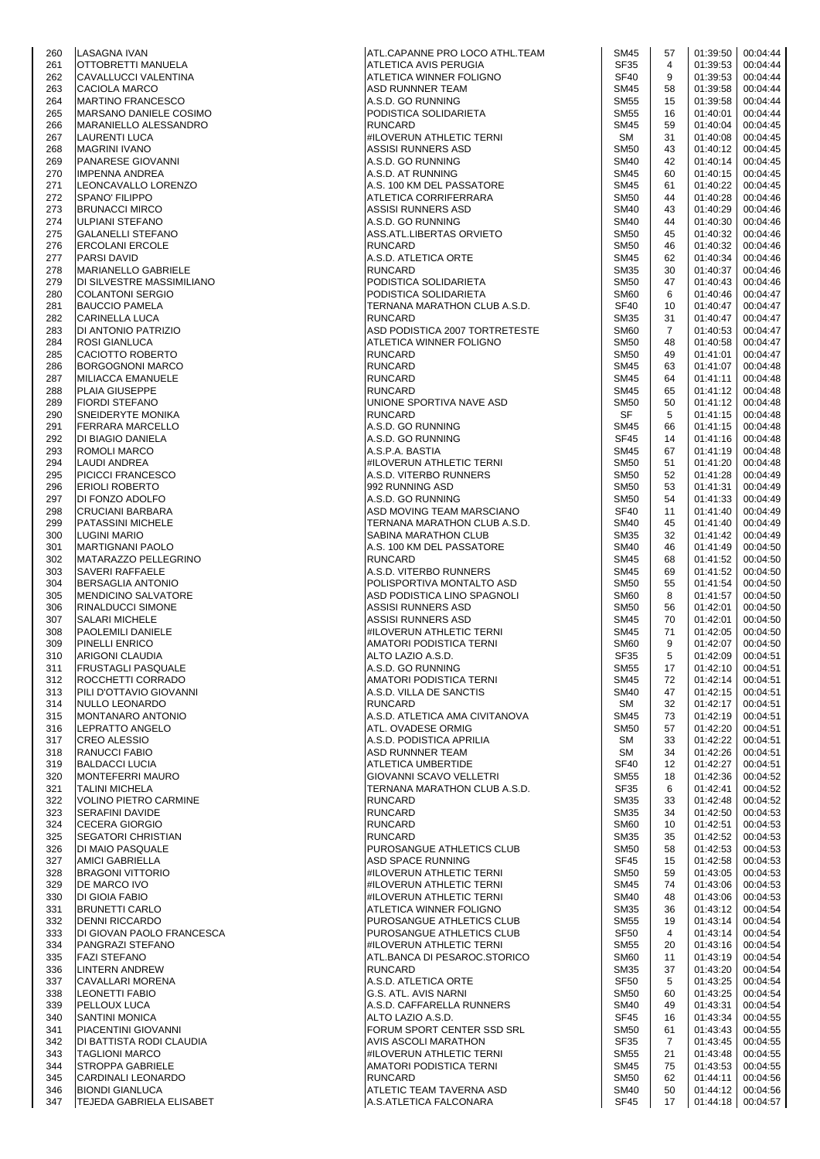| 260 | LASAGNA IVAN                 | ATL.CAPANNE PRO LOCO ATHL.TEAM | SM45             | 57               | 01:39:50          | 00:04:44 |
|-----|------------------------------|--------------------------------|------------------|------------------|-------------------|----------|
| 261 | OTTOBRETTI MANUELA           | ATLETICA AVIS PERUGIA          | SF35             | 4                | 01:39:53          | 00:04:44 |
| 262 |                              |                                | <b>SF40</b>      | 9                | 01:39:53          | 00:04:44 |
|     | CAVALLUCCI VALENTINA         | ATLETICA WINNER FOLIGNO        |                  |                  |                   |          |
| 263 | CACIOLA MARCO                | <b>ASD RUNNNER TEAM</b>        | <b>SM45</b>      | 58               | 01:39:58          | 00:04:44 |
| 264 | <b>MARTINO FRANCESCO</b>     | A.S.D. GO RUNNING              | <b>SM55</b>      | 15               | 01:39:58          | 00:04:44 |
| 265 | MARSANO DANIELE COSIMO       | PODISTICA SOLIDARIETA          | <b>SM55</b>      | 16               | 01:40:01          | 00:04:44 |
|     |                              |                                |                  |                  |                   |          |
| 266 | MARANIELLO ALESSANDRO        | <b>RUNCARD</b>                 | <b>SM45</b>      | 59               | 01:40:04          | 00:04:45 |
| 267 | <b>LAURENTI LUCA</b>         | #ILOVERUN ATHLETIC TERNI       | SM               | 31               | 01:40:08          | 00:04:45 |
| 268 | <b>MAGRINI IVANO</b>         | ASSISI RUNNERS ASD             | <b>SM50</b>      | 43               | 01:40:12          | 00:04:45 |
|     |                              |                                |                  |                  |                   |          |
| 269 | PANARESE GIOVANNI            | A.S.D. GO RUNNING              | <b>SM40</b>      | 42               | 01:40:14          | 00:04:45 |
| 270 | <b>IMPENNA ANDREA</b>        | A.S.D. AT RUNNING              | <b>SM45</b>      | 60               | 01:40:15          | 00:04:45 |
| 271 | LEONCAVALLO LORENZO          | A.S. 100 KM DEL PASSATORE      | <b>SM45</b>      | 61               | 01:40:22          | 00:04:45 |
| 272 | <b>SPANO' FILIPPO</b>        | ATLETICA CORRIFERRARA          | <b>SM50</b>      | 44               | 01:40:28          | 00:04:46 |
|     |                              |                                |                  |                  |                   |          |
| 273 | <b>BRUNACCI MIRCO</b>        | ASSISI RUNNERS ASD             | <b>SM40</b>      | 43               | 01:40:29          | 00:04:46 |
| 274 | <b>ULPIANI STEFANO</b>       | A.S.D. GO RUNNING              | <b>SM40</b>      | 44               | 01:40:30          | 00:04:46 |
| 275 | <b>GALANELLI STEFANO</b>     | ASS.ATL.LIBERTAS ORVIETO       | <b>SM50</b>      | 45               | 01:40:32          | 00:04:46 |
|     |                              |                                |                  |                  |                   |          |
| 276 | <b>ERCOLANI ERCOLE</b>       | <b>RUNCARD</b>                 | <b>SM50</b>      | 46               | 01:40:32          | 00:04:46 |
| 277 | <b>PARSI DAVID</b>           | A.S.D. ATLETICA ORTE           | <b>SM45</b>      | 62               | 01:40:34          | 00:04:46 |
| 278 | MARIANELLO GABRIELE          | <b>RUNCARD</b>                 | SM35             | 30               | 01:40:37          | 00:04:46 |
| 279 | IDI SILVESTRE MASSIMILIANO   | PODISTICA SOLIDARIETA          | <b>SM50</b>      | 47               | 01:40:43          | 00:04:46 |
|     |                              |                                |                  |                  |                   |          |
| 280 | <b>COLANTONI SERGIO</b>      | PODISTICA SOLIDARIETA          | <b>SM60</b>      | 6                | 01:40:46          | 00:04:47 |
| 281 | <b>BAUCCIO PAMELA</b>        | TERNANA MARATHON CLUB A.S.D.   | <b>SF40</b>      | 10               | 01:40:47          | 00:04:47 |
| 282 | CARINELLA LUCA               | <b>RUNCARD</b>                 | <b>SM35</b>      | 31               | 01:40:47          | 00:04:47 |
|     |                              |                                |                  |                  |                   |          |
| 283 | DI ANTONIO PATRIZIO          | ASD PODISTICA 2007 TORTRETESTE | <b>SM60</b>      | 7                | 01:40:53          | 00:04:47 |
| 284 | <b>ROSI GIANLUCA</b>         | ATLETICA WINNER FOLIGNO        | <b>SM50</b>      | 48               | 01:40:58          | 00:04:47 |
| 285 | CACIOTTO ROBERTO             | <b>RUNCARD</b>                 | <b>SM50</b>      | 49               | 01:41:01          | 00:04:47 |
| 286 | <b>BORGOGNONI MARCO</b>      | <b>RUNCARD</b>                 | <b>SM45</b>      | 63               | 01:41:07          | 00:04:48 |
|     |                              |                                |                  |                  |                   |          |
| 287 | MILIACCA EMANUELE            | <b>RUNCARD</b>                 | <b>SM45</b>      | 64               | 01:41:11          | 00:04:48 |
| 288 | PLAIA GIUSEPPE               | <b>RUNCARD</b>                 | <b>SM45</b>      | 65               | 01:41:12          | 00:04:48 |
| 289 | <b>FIORDI STEFANO</b>        | UNIONE SPORTIVA NAVE ASD       | <b>SM50</b>      | 50               | 01:41:12          | 00:04:48 |
|     |                              |                                |                  |                  |                   |          |
| 290 | <b>SNEIDERYTE MONIKA</b>     | <b>RUNCARD</b>                 | SF               | 5                | 01:41:15          | 00:04:48 |
| 291 | <b>FERRARA MARCELLO</b>      | A.S.D. GO RUNNING              | <b>SM45</b>      | 66               | 01:41:15          | 00:04:48 |
| 292 | DI BIAGIO DANIELA            | A.S.D. GO RUNNING              | SF45             | 14               | 01:41:16          | 00:04:48 |
|     |                              |                                |                  |                  |                   |          |
| 293 | ROMOLI MARCO                 | A.S.P.A. BASTIA                | <b>SM45</b>      | 67               | 01:41:19          | 00:04:48 |
| 294 | LAUDI ANDREA                 | #ILOVERUN ATHLETIC TERNI       | <b>SM50</b>      | 51               | 01:41:20          | 00:04:48 |
| 295 | <b>PICICCI FRANCESCO</b>     | A.S.D. VITERBO RUNNERS         | <b>SM50</b>      | 52               | 01:41:28          | 00:04:49 |
| 296 | <b>ERIOLI ROBERTO</b>        | 992 RUNNING ASD                | <b>SM50</b>      | 53               | 01:41:31          | 00:04:49 |
|     |                              |                                |                  |                  |                   |          |
| 297 | DI FONZO ADOLFO              | A.S.D. GO RUNNING              | <b>SM50</b>      | 54               | 01:41:33          | 00:04:49 |
| 298 | <b>CRUCIANI BARBARA</b>      | ASD MOVING TEAM MARSCIANO      | <b>SF40</b>      | 11               | 01:41:40          | 00:04:49 |
| 299 | PATASSINI MICHELE            | TERNANA MARATHON CLUB A.S.D.   | <b>SM40</b>      | 45               | 01:41:40          | 00:04:49 |
|     |                              |                                |                  |                  |                   |          |
| 300 | <b>LUGINI MARIO</b>          | SABINA MARATHON CLUB           | <b>SM35</b>      | 32               | 01:41:42          | 00:04:49 |
| 301 | <b>MARTIGNANI PAOLO</b>      | A.S. 100 KM DEL PASSATORE      | <b>SM40</b>      | 46               | 01:41:49          | 00:04:50 |
| 302 | MATARAZZO PELLEGRINO         | <b>RUNCARD</b>                 | <b>SM45</b>      | 68               | 01:41:52          | 00:04:50 |
| 303 | <b>SAVERI RAFFAELE</b>       | A.S.D. VITERBO RUNNERS         | <b>SM45</b>      | 69               | 01:41:52          | 00:04:50 |
|     |                              |                                |                  |                  |                   |          |
| 304 | <b>BERSAGLIA ANTONIO</b>     | POLISPORTIVA MONTALTO ASD      | <b>SM50</b>      | 55               | 01:41:54          | 00:04:50 |
| 305 | <b>MENDICINO SALVATORE</b>   | ASD PODISTICA LINO SPAGNOLI    | SM <sub>60</sub> | 8                | 01:41:57          | 00:04:50 |
| 306 | <b>RINALDUCCI SIMONE</b>     | ASSISI RUNNERS ASD             | <b>SM50</b>      | 56               | 01:42:01          | 00:04:50 |
|     |                              |                                |                  |                  |                   |          |
| 307 | <b>SALARI MICHELE</b>        | ASSISI RUNNERS ASD             | <b>SM45</b>      | 70               | 01:42:01          | 00:04:50 |
| 308 | PAOLEMILI DANIELE            | #ILOVERUN ATHLETIC TERNI       | <b>SM45</b>      | 71               | 01:42:05          | 00:04:50 |
| 309 | PINELLI ENRICO               | AMATORI PODISTICA TERNI        | SM60             | 9                | 01:42:07          | 00:04:50 |
|     |                              |                                |                  | 5                |                   |          |
| 310 | <b>ARIGONI CLAUDIA</b>       | ALTO LAZIO A.S.D.              | SF35             |                  | 01:42:09          | 00:04:51 |
| 311 | FRUSTAGLI PASQUALE           | A.S.D. GO RUNNING              | <b>SM55</b>      | 17 <sup>17</sup> | 01:42:10          | 00:04:51 |
| 312 | ROCCHETTI CORRADO            | AMATORI PODISTICA TERNI        | <b>SM45</b>      | 72               | 01:42:14          | 00:04:51 |
| 313 | PILI D'OTTAVIO GIOVANNI      | A.S.D. VILLA DE SANCTIS        | <b>SM40</b>      | 47               | 01:42:15          | 00:04:51 |
|     |                              |                                |                  |                  |                   |          |
| 314 | NULLO LEONARDO               | <b>RUNCARD</b>                 | SM               | 32               | 01:42:17          | 00:04:51 |
| 315 | MONTANARO ANTONIO            | A.S.D. ATLETICA AMA CIVITANOVA | <b>SM45</b>      | 73               | 01:42:19          | 00:04:51 |
| 316 | LEPRATTO ANGELO              | ATL. OVADESE ORMIG             | <b>SM50</b>      | 57               | 01:42:20          | 00:04:51 |
|     |                              |                                |                  |                  |                   |          |
| 317 | <b>CREO ALESSIO</b>          | A.S.D. PODISTICA APRILIA       | SM               | 33               | 01:42:22          | 00:04:51 |
| 318 | RANUCCI FABIO                | ASD RUNNNER TEAM               | SM               | 34               | 01:42:26          | 00:04:51 |
| 319 | <b>BALDACCI LUCIA</b>        | ATLETICA UMBERTIDE             | <b>SF40</b>      | 12               | 01:42:27          | 00:04:51 |
|     |                              | GIOVANNI SCAVO VELLETRI        | <b>SM55</b>      |                  |                   |          |
| 320 | MONTEFERRI MAURO             |                                |                  | 18               | 01:42:36          | 00:04:52 |
| 321 | <b>TALINI MICHELA</b>        | TERNANA MARATHON CLUB A.S.D.   | SF35             | 6                | 01:42:41          | 00:04:52 |
| 322 | <b>VOLINO PIETRO CARMINE</b> | <b>RUNCARD</b>                 | <b>SM35</b>      | 33               | 01:42:48          | 00:04:52 |
| 323 | <b>SERAFINI DAVIDE</b>       | <b>RUNCARD</b>                 | <b>SM35</b>      | 34               | 01:42:50          | 00:04:53 |
|     |                              |                                |                  |                  |                   |          |
| 324 | <b>CECERA GIORGIO</b>        | <b>RUNCARD</b>                 | <b>SM60</b>      | 10               | 01:42:51          | 00:04:53 |
| 325 | <b>SEGATORI CHRISTIAN</b>    | <b>RUNCARD</b>                 | <b>SM35</b>      | 35               | 01:42:52          | 00:04:53 |
| 326 | DI MAIO PASQUALE             | PUROSANGUE ATHLETICS CLUB      | <b>SM50</b>      | 58               | 01:42:53          | 00:04:53 |
| 327 | <b>AMICI GABRIELLA</b>       | ASD SPACE RUNNING              | <b>SF45</b>      | 15               | 01:42:58          | 00:04:53 |
|     |                              |                                |                  |                  |                   |          |
| 328 | <b>BRAGONI VITTORIO</b>      | #ILOVERUN ATHLETIC TERNI       | <b>SM50</b>      | 59               | 01:43:05          | 00:04:53 |
| 329 | DE MARCO IVO                 | #ILOVERUN ATHLETIC TERNI       | <b>SM45</b>      | 74               | 01:43:06          | 00:04:53 |
| 330 | DI GIOIA FABIO               | #ILOVERUN ATHLETIC TERNI       | <b>SM40</b>      | 48               | 01:43:06          | 00:04:53 |
|     |                              |                                | <b>SM35</b>      | 36               | 01:43:12          | 00:04:54 |
| 331 | <b>BRUNETTI CARLO</b>        | ATLETICA WINNER FOLIGNO        |                  |                  |                   |          |
| 332 | <b>DENNI RICCARDO</b>        | PUROSANGUE ATHLETICS CLUB      | <b>SM55</b>      | 19               | 01:43:14          | 00:04:54 |
| 333 | DI GIOVAN PAOLO FRANCESCA    | PUROSANGUE ATHLETICS CLUB      | SF <sub>50</sub> | 4                | 01:43:14          | 00:04:54 |
| 334 | PANGRAZI STEFANO             | #ILOVERUN ATHLETIC TERNI       | <b>SM55</b>      | 20               | 01:43:16          | 00:04:54 |
|     |                              |                                |                  |                  |                   |          |
| 335 | <b>FAZI STEFANO</b>          | ATL.BANCA DI PESAROC.STORICO   | <b>SM60</b>      | 11               | 01:43:19          | 00:04:54 |
| 336 | LINTERN ANDREW               | <b>RUNCARD</b>                 | SM35             | 37               | 01:43:20          | 00:04:54 |
| 337 | CAVALLARI MORENA             | A.S.D. ATLETICA ORTE           | SF <sub>50</sub> | 5                | 01:43:25          | 00:04:54 |
| 338 | <b>LEONETTI FABIO</b>        | G.S. ATL. AVIS NARNI           | <b>SM50</b>      | 60               | 01:43:25          | 00:04:54 |
|     |                              |                                |                  |                  |                   |          |
| 339 | PELLOUX LUCA                 | A.S.D. CAFFARELLA RUNNERS      | <b>SM40</b>      | 49               | 01:43:31          | 00:04:54 |
| 340 | <b>SANTINI MONICA</b>        | ALTO LAZIO A.S.D.              | <b>SF45</b>      | 16               | 01:43:34          | 00:04:55 |
| 341 | PIACENTINI GIOVANNI          | FORUM SPORT CENTER SSD SRL     | <b>SM50</b>      | 61               | 01:43:43          | 00:04:55 |
|     |                              |                                |                  |                  |                   |          |
| 342 | DI BATTISTA RODI CLAUDIA     | AVIS ASCOLI MARATHON           | SF35             | $\overline{7}$   | 01:43:45          | 00:04:55 |
| 343 | <b>TAGLIONI MARCO</b>        | #ILOVERUN ATHLETIC TERNI       | <b>SM55</b>      | 21               | 01:43:48          | 00:04:55 |
| 344 | <b>STROPPA GABRIELE</b>      | AMATORI PODISTICA TERNI        | <b>SM45</b>      | 75               | 01:43:53          | 00:04:55 |
|     |                              |                                |                  |                  |                   |          |
| 345 | CARDINALI LEONARDO           | <b>RUNCARD</b>                 | <b>SM50</b>      | 62               | 01:44:11          | 00:04:56 |
| 346 | <b>BIONDI GIANLUCA</b>       | ATLETIC TEAM TAVERNA ASD       | <b>SM40</b>      | 50               | 01:44:12          | 00:04:56 |
| 347 | TEJEDA GABRIELA ELISABET     | A.S.ATLETICA FALCONARA         | SF45             | 17               | 01:44:18 00:04:57 |          |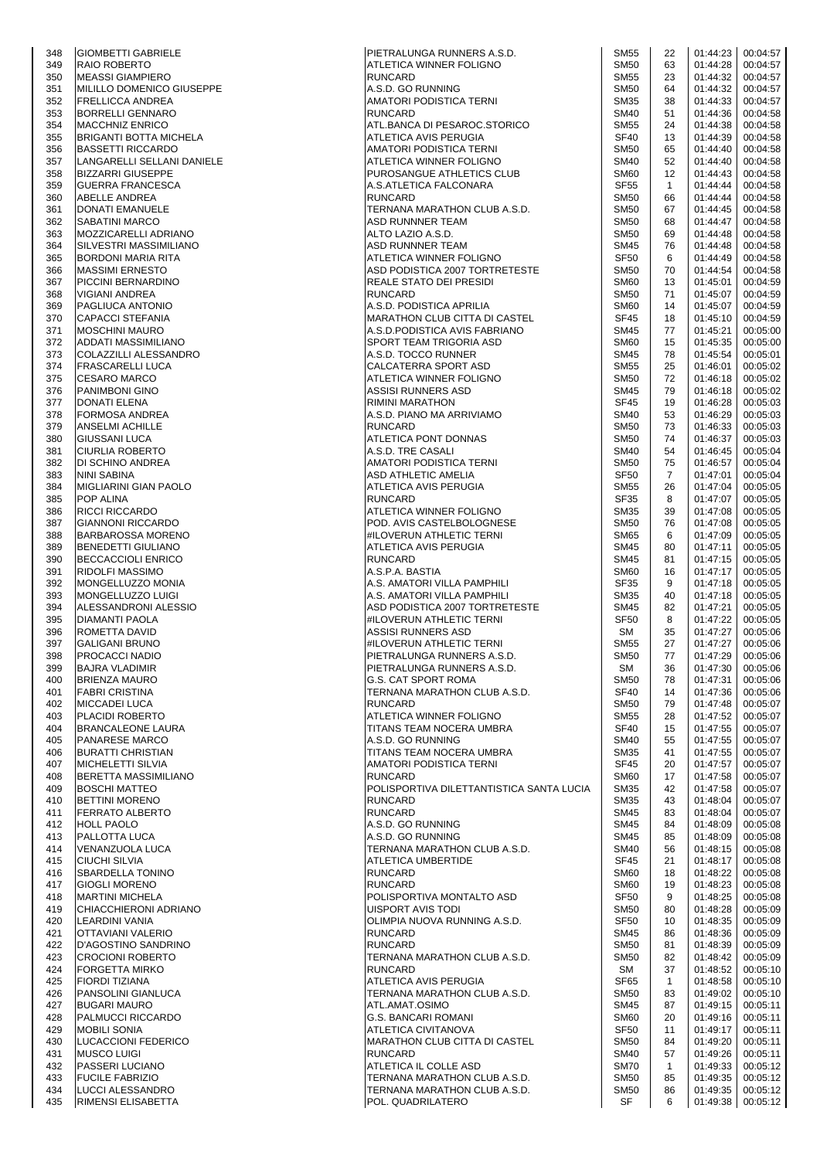| 348        | <b>GIOMBETTI GABRIELE</b>                              | PIETRALUNGA RUNNERS A.S.D.                                 | <b>SM55</b>                | 22                 | 01:44:23             | 00:04:57             |
|------------|--------------------------------------------------------|------------------------------------------------------------|----------------------------|--------------------|----------------------|----------------------|
| 349        | <b>RAIO ROBERTO</b>                                    | ATLETICA WINNER FOLIGNO                                    | <b>SM50</b>                | 63                 | 01:44:28             | 00:04:57             |
| 350        | <b>MEASSI GIAMPIERO</b>                                | <b>RUNCARD</b>                                             | <b>SM55</b>                | 23                 | 01:44:32             | 00:04:57             |
| 351<br>352 | MILILLO DOMENICO GIUSEPPE<br><b>FRELLICCA ANDREA</b>   | A.S.D. GO RUNNING<br>AMATORI PODISTICA TERNI               | <b>SM50</b><br><b>SM35</b> | 64<br>38           | 01:44:32<br>01:44:33 | 00:04:57<br>00:04:57 |
| 353        | <b>BORRELLI GENNARO</b>                                | <b>RUNCARD</b>                                             | <b>SM40</b>                | 51                 | 01:44:36             | 00:04:58             |
| 354        | <b>MACCHNIZ ENRICO</b>                                 | ATL.BANCA DI PESAROC.STORICO                               | <b>SM55</b>                | 24                 | 01:44:38             | 00:04:58             |
| 355        | <b>BRIGANTI BOTTA MICHELA</b>                          | ATLETICA AVIS PERUGIA                                      | <b>SF40</b>                | 13                 | 01:44:39             | 00:04:58             |
| 356        | <b>BASSETTI RICCARDO</b>                               | AMATORI PODISTICA TERNI                                    | <b>SM50</b>                | 65                 | 01:44:40             | 00:04:58             |
| 357<br>358 | LANGARELLI SELLANI DANIELE<br><b>BIZZARRI GIUSEPPE</b> | ATLETICA WINNER FOLIGNO<br>PUROSANGUE ATHLETICS CLUB       | <b>SM40</b><br><b>SM60</b> | 52<br>12           | 01:44:40<br>01:44:43 | 00:04:58<br>00:04:58 |
| 359        | <b>GUERRA FRANCESCA</b>                                | A.S.ATLETICA FALCONARA                                     | <b>SF55</b>                | $\mathbf{1}$       | 01:44:44             | 00:04:58             |
| 360        | <b>ABELLE ANDREA</b>                                   | <b>RUNCARD</b>                                             | <b>SM50</b>                | 66                 | 01:44:44             | 00:04:58             |
| 361        | DONATI EMANUELE                                        | TERNANA MARATHON CLUB A.S.D.                               | <b>SM50</b>                | 67                 | 01:44:45             | 00:04:58             |
| 362<br>363 | <b>SABATINI MARCO</b>                                  | ASD RUNNNER TEAM<br>ALTO LAZIO A.S.D.                      | <b>SM50</b><br><b>SM50</b> | 68<br>69           | 01:44:47             | 00:04:58             |
| 364        | MOZZICARELLI ADRIANO<br>SILVESTRI MASSIMILIANO         | ASD RUNNNER TEAM                                           | <b>SM45</b>                | 76                 | 01:44:48<br>01:44:48 | 00:04:58<br>00:04:58 |
| 365        | <b>BORDONI MARIA RITA</b>                              | ATLETICA WINNER FOLIGNO                                    | <b>SF50</b>                | 6                  | 01:44:49             | 00:04:58             |
| 366        | <b>MASSIMI ERNESTO</b>                                 | ASD PODISTICA 2007 TORTRETESTE                             | <b>SM50</b>                | 70                 | 01:44:54             | 00:04:58             |
| 367        | PICCINI BERNARDINO                                     | REALE STATO DEI PRESIDI                                    | <b>SM60</b>                | 13                 | 01:45:01             | 00:04:59             |
| 368<br>369 | VIGIANI ANDREA<br>PAGLIUCA ANTONIO                     | <b>RUNCARD</b><br>A.S.D. PODISTICA APRILIA                 | <b>SM50</b><br><b>SM60</b> | 71<br>14           | 01:45:07<br>01:45:07 | 00:04:59<br>00:04:59 |
| 370        | <b>CAPACCI STEFANIA</b>                                | <b>MARATHON CLUB CITTA DI CASTEL</b>                       | <b>SF45</b>                | 18                 | 01:45:10             | 00:04:59             |
| 371        | <b>MOSCHINI MAURO</b>                                  | A.S.D.PODISTICA AVIS FABRIANO                              | <b>SM45</b>                | 77                 | 01:45:21             | 00:05:00             |
| 372        | ADDATI MASSIMILIANO                                    | SPORT TEAM TRIGORIA ASD                                    | SM60                       | 15                 | 01:45:35             | 00:05:00             |
| 373        | COLAZZILLI ALESSANDRO                                  | A.S.D. TOCCO RUNNER                                        | <b>SM45</b>                | 78                 | 01:45:54             | 00:05:01             |
| 374<br>375 | <b>FRASCARELLI LUCA</b><br><b>CESARO MARCO</b>         | CALCATERRA SPORT ASD<br>ATLETICA WINNER FOLIGNO            | <b>SM55</b><br><b>SM50</b> | 25<br>72           | 01:46:01<br>01:46:18 | 00:05:02<br>00:05:02 |
| 376        | PANIMBONI GINO                                         | ASSISI RUNNERS ASD                                         | <b>SM45</b>                | 79                 | 01:46:18             | 00:05:02             |
| 377        | DONATI ELENA                                           | <b>RIMINI MARATHON</b>                                     | <b>SF45</b>                | 19                 | 01:46:28             | 00:05:03             |
| 378        | <b>FORMOSA ANDREA</b>                                  | A.S.D. PIANO MA ARRIVIAMO                                  | <b>SM40</b>                | 53                 | 01:46:29             | 00:05:03             |
| 379        | <b>ANSELMI ACHILLE</b>                                 | <b>RUNCARD</b>                                             | <b>SM50</b>                | 73                 | 01:46:33             | 00:05:03             |
| 380        | <b>GIUSSANI LUCA</b>                                   | ATLETICA PONT DONNAS                                       | <b>SM50</b>                | 74                 | 01:46:37             | 00:05:03             |
| 381<br>382 | <b>CIURLIA ROBERTO</b><br><b>DI SCHINO ANDREA</b>      | A.S.D. TRE CASALI<br>AMATORI PODISTICA TERNI               | <b>SM40</b><br><b>SM50</b> | 54<br>75           | 01:46:45<br>01:46:57 | 00:05:04<br>00:05:04 |
| 383        | NINI SABINA                                            | ASD ATHLETIC AMELIA                                        | SF <sub>50</sub>           | 7                  | 01:47:01             | 00:05:04             |
| 384        | <b>MIGLIARINI GIAN PAOLO</b>                           | ATLETICA AVIS PERUGIA                                      | <b>SM55</b>                | 26                 | 01:47:04             | 00:05:05             |
| 385        | POP ALINA                                              | <b>RUNCARD</b>                                             | SF35                       | 8                  | 01:47:07             | 00:05:05             |
| 386        | <b>RICCI RICCARDO</b>                                  | ATLETICA WINNER FOLIGNO                                    | <b>SM35</b>                | 39                 | 01:47:08             | 00:05:05             |
| 387<br>388 | <b>GIANNONI RICCARDO</b><br><b>BARBAROSSA MORENO</b>   | POD. AVIS CASTELBOLOGNESE<br>#ILOVERUN ATHLETIC TERNI      | <b>SM50</b><br><b>SM65</b> | 76<br>6            | 01:47:08<br>01:47:09 | 00:05:05<br>00:05:05 |
| 389        | <b>BENEDETTI GIULIANO</b>                              | ATLETICA AVIS PERUGIA                                      | <b>SM45</b>                | 80                 | 01:47:11             | 00:05:05             |
| 390        | <b>BECCACCIOLI ENRICO</b>                              | <b>RUNCARD</b>                                             | <b>SM45</b>                | 81                 | 01:47:15             | 00:05:05             |
| 391        | <b>RIDOLFI MASSIMO</b>                                 | A.S.P.A. BASTIA                                            | <b>SM60</b>                | 16                 | 01:47:17             | 00:05:05             |
| 392        | MONGELLUZZO MONIA                                      | A.S. AMATORI VILLA PAMPHILI                                | <b>SF35</b>                | 9                  | 01:47:18             | 00:05:05             |
| 393        | MONGELLUZZO LUIGI                                      | A.S. AMATORI VILLA PAMPHILI                                | <b>SM35</b><br><b>SM45</b> | 40                 | 01:47:18             | 00:05:05             |
| 394<br>395 | ALESSANDRONI ALESSIO<br><b>DIAMANTI PAOLA</b>          | ASD PODISTICA 2007 TORTRETESTE<br>#ILOVERUN ATHLETIC TERNI | <b>SF50</b>                | 82<br>8            | 01:47:21<br>01:47:22 | 00:05:05<br>00:05:05 |
| 396        | ROMETTA DAVID                                          | ASSISI RUNNERS ASD                                         | SM                         | 35                 | 01:47:27             | 00:05:06             |
| 397        | <b>GALIGANI BRUNO</b>                                  | #ILOVERUN ATHLETIC TERNI                                   | <b>SM55</b>                | 27                 | 01:47:27             | 00:05:06             |
| 398        | PROCACCI NADIO                                         | PIETRALUNGA RUNNERS A.S.D.                                 | <b>SM50</b>                | 77                 | 01:47:29             | 00:05:06             |
| 399        | <b>BAJRA VLADIMIR</b>                                  | PIETRALUNGA RUNNERS A.S.D.                                 | SM                         | 36                 | 01:47:30             | 00:05:06             |
| 400<br>401 | <b>BRIENZA MAURO</b><br><b>FABRI CRISTINA</b>          | <b>G.S. CAT SPORT ROMA</b><br>TERNANA MARATHON CLUB A.S.D. | <b>SM50</b><br><b>SF40</b> | 78<br>14           | 01:47:31<br>01:47:36 | 00:05:06<br>00:05:06 |
| 402        | <b>MICCADEI LUCA</b>                                   | <b>RUNCARD</b>                                             | <b>SM50</b>                | 79                 | 01:47:48             | 00:05:07             |
| 403        | <b>PLACIDI ROBERTO</b>                                 | ATLETICA WINNER FOLIGNO                                    | <b>SM55</b>                | 28                 | 01:47:52             | 00:05:07             |
| 404        | <b>BRANCALEONE LAURA</b>                               | TITANS TEAM NOCERA UMBRA                                   | <b>SF40</b>                | 15                 | 01:47:55             | 00:05:07             |
| 405        | <b>PANARESE MARCO</b>                                  | A.S.D. GO RUNNING                                          | <b>SM40</b>                | 55                 | 01:47:55             | 00:05:07             |
| 406<br>407 | <b>BURATTI CHRISTIAN</b><br><b>MICHELETTI SILVIA</b>   | TITANS TEAM NOCERA UMBRA<br>AMATORI PODISTICA TERNI        | <b>SM35</b><br><b>SF45</b> | 41<br>20           | 01:47:55<br>01:47:57 | 00:05:07<br>00:05:07 |
| 408        | <b>BERETTA MASSIMILIANO</b>                            | <b>RUNCARD</b>                                             | <b>SM60</b>                | 17                 | 01:47:58             | 00:05:07             |
| 409        | <b>BOSCHI MATTEO</b>                                   | POLISPORTIVA DILETTANTISTICA SANTA LUCIA                   | <b>SM35</b>                | 42                 | 01:47:58             | 00:05:07             |
| 410        | <b>BETTINI MORENO</b>                                  | <b>RUNCARD</b>                                             | <b>SM35</b>                | 43                 | 01:48:04             | 00:05:07             |
| 411        | <b>FERRATO ALBERTO</b>                                 | <b>RUNCARD</b>                                             | <b>SM45</b>                | 83                 | 01:48:04             | 00:05:07             |
| 412<br>413 | <b>HOLL PAOLO</b><br>PALLOTTA LUCA                     | A.S.D. GO RUNNING<br>A.S.D. GO RUNNING                     | <b>SM45</b><br><b>SM45</b> | 84<br>85           | 01:48:09<br>01:48:09 | 00:05:08<br>00:05:08 |
| 414        | VENANZUOLA LUCA                                        | TERNANA MARATHON CLUB A.S.D.                               | <b>SM40</b>                | 56                 | 01:48:15             | 00:05:08             |
| 415        | <b>CIUCHI SILVIA</b>                                   | ATLETICA UMBERTIDE                                         | <b>SF45</b>                | 21                 | 01:48:17             | 00:05:08             |
| 416        | <b>SBARDELLA TONINO</b>                                | <b>RUNCARD</b>                                             | SM <sub>60</sub>           | 18                 | 01:48:22             | 00:05:08             |
| 417        | <b>GIOGLI MORENO</b>                                   | <b>RUNCARD</b>                                             | <b>SM60</b>                | 19                 | 01:48:23             | 00:05:08             |
| 418        | <b>MARTINI MICHELA</b>                                 | POLISPORTIVA MONTALTO ASD                                  | <b>SF50</b>                | 9                  | 01:48:25             | 00:05:08             |
| 419<br>420 | CHIACCHIERONI ADRIANO<br>LEARDINI VANIA                | UISPORT AVIS TODI<br>OLIMPIA NUOVA RUNNING A.S.D.          | <b>SM50</b><br><b>SF50</b> | 80<br>10           | 01:48:28<br>01:48:35 | 00:05:09<br>00:05:09 |
| 421        | <b>OTTAVIANI VALERIO</b>                               | <b>RUNCARD</b>                                             | <b>SM45</b>                | 86                 | 01:48:36             | 00:05:09             |
| 422        | <b>D'AGOSTINO SANDRINO</b>                             | <b>RUNCARD</b>                                             | <b>SM50</b>                | 81                 | 01:48:39             | 00:05:09             |
| 423        | <b>CROCIONI ROBERTO</b>                                | TERNANA MARATHON CLUB A.S.D.                               | <b>SM50</b>                | 82                 | 01:48:42             | 00:05:09             |
| 424        | <b>FORGETTA MIRKO</b>                                  | RUNCARD                                                    | SM                         | 37                 | 01:48:52             | 00:05:10             |
| 425<br>426 | <b>FIORDI TIZIANA</b><br><b>PANSOLINI GIANLUCA</b>     | ATLETICA AVIS PERUGIA<br>TERNANA MARATHON CLUB A.S.D.      | <b>SF65</b><br><b>SM50</b> | $\mathbf{1}$<br>83 | 01:48:58<br>01:49:02 | 00:05:10<br>00:05:10 |
| 427        | <b>BUGARI MAURO</b>                                    | ATL.AMAT.OSIMO                                             | <b>SM45</b>                | 87                 | 01:49:15             | 00:05:11             |
| 428        | <b>PALMUCCI RICCARDO</b>                               | <b>G.S. BANCARI ROMANI</b>                                 | <b>SM60</b>                | 20                 | 01:49:16             | 00:05:11             |
| 429        | <b>MOBILI SONIA</b>                                    | ATLETICA CIVITANOVA                                        | <b>SF50</b>                | 11                 | 01:49:17             | 00:05:11             |
| 430        | LUCACCIONI FEDERICO                                    | MARATHON CLUB CITTA DI CASTEL                              | <b>SM50</b>                | 84                 | 01:49:20             | 00:05:11             |
| 431<br>432 | <b>MUSCO LUIGI</b><br>PASSERI LUCIANO                  | <b>RUNCARD</b><br>ATLETICA IL COLLE ASD                    | <b>SM40</b><br><b>SM70</b> | 57<br>$\mathbf{1}$ | 01:49:26<br>01:49:33 | 00:05:11<br>00:05:12 |
| 433        | <b>FUCILE FABRIZIO</b>                                 | TERNANA MARATHON CLUB A.S.D.                               | <b>SM50</b>                | 85                 | 01:49:35             | 00:05:12             |
| 434        | LUCCI ALESSANDRO                                       | TERNANA MARATHON CLUB A.S.D.                               | <b>SM50</b>                | 86                 | 01:49:35             | 00:05:12             |
| 435        | RIMENSI ELISABETTA                                     | POL. QUADRILATERO                                          | SF                         | 6                  | 01:49:38             | 00:05:12             |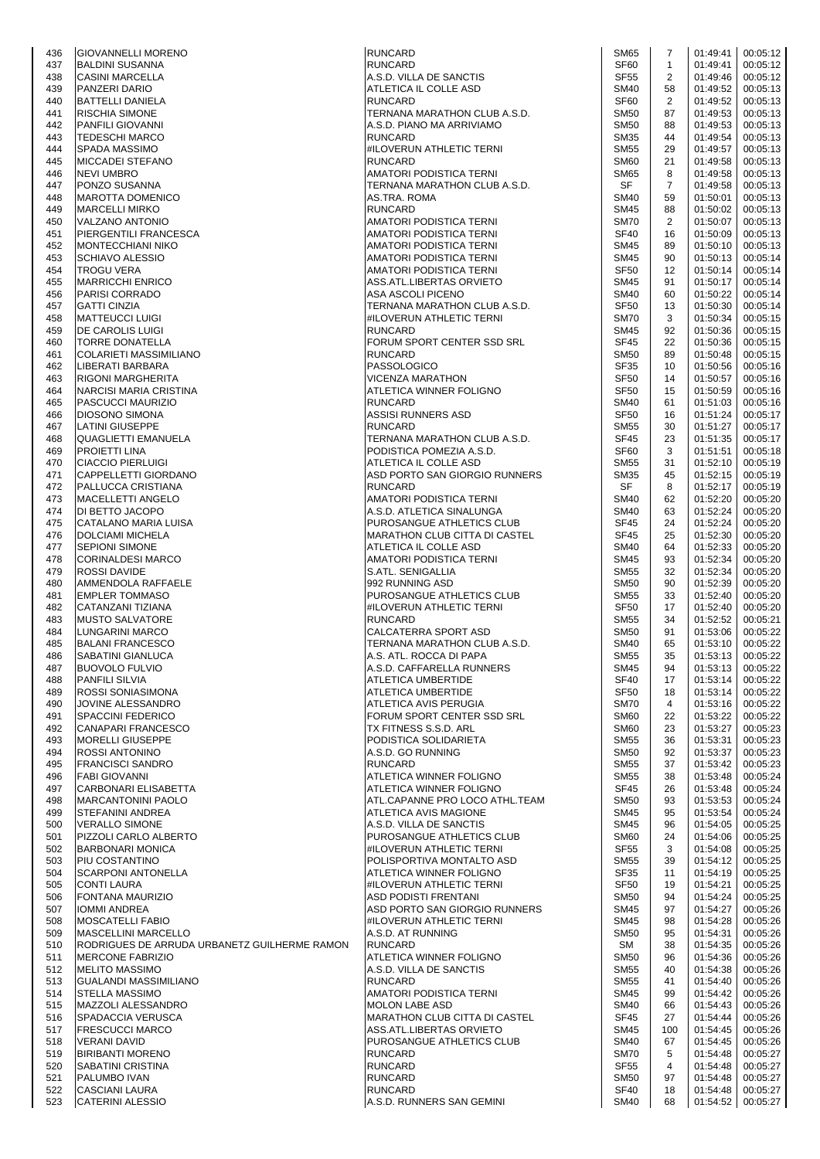| 436        | <b>GIOVANNELLI MORENO</b>                                                  | <b>RUNCARD</b>                                                    | <b>SM65</b>                     | 7                    | 01:49:41             | 00:05:12             |
|------------|----------------------------------------------------------------------------|-------------------------------------------------------------------|---------------------------------|----------------------|----------------------|----------------------|
| 437        | <b>BALDINI SUSANNA</b>                                                     | <b>RUNCARD</b>                                                    | <b>SF60</b>                     | $\mathbf{1}$         | 01:49:41             | 00:05:12             |
| 438        | <b>CASINI MARCELLA</b>                                                     | A.S.D. VILLA DE SANCTIS                                           | SF <sub>55</sub>                | 2                    | 01:49:46             | 00:05:12             |
| 439        | PANZERI DARIO                                                              | ATLETICA IL COLLE ASD                                             | <b>SM40</b>                     | 58                   | 01:49:52             | 00:05:13             |
| 440<br>441 | <b>BATTELLI DANIELA</b><br>RISCHIA SIMONE                                  | <b>RUNCARD</b><br>TERNANA MARATHON CLUB A.S.D.                    | SF <sub>60</sub><br><b>SM50</b> | 2<br>87              | 01:49:52<br>01:49:53 | 00:05:13<br>00:05:13 |
| 442        | PANFILI GIOVANNI                                                           | A.S.D. PIANO MA ARRIVIAMO                                         | <b>SM50</b>                     | 88                   | 01:49:53             | 00:05:13             |
| 443        | <b>TEDESCHI MARCO</b>                                                      | <b>RUNCARD</b>                                                    | <b>SM35</b>                     | 44                   | 01:49:54             | 00:05:13             |
| 444        | <b>SPADA MASSIMO</b>                                                       | #ILOVERUN ATHLETIC TERNI                                          | <b>SM55</b>                     | 29                   | 01:49:57             | 00:05:13             |
| 445        | <b>MICCADEI STEFANO</b>                                                    | <b>RUNCARD</b>                                                    | <b>SM60</b>                     | 21                   | 01:49:58             | 00:05:13             |
| 446        | <b>NEVI UMBRO</b>                                                          | AMATORI PODISTICA TERNI                                           | SM65                            | 8                    | 01:49:58             | 00:05:13             |
| 447<br>448 | PONZO SUSANNA<br><b>MAROTTA DOMENICO</b>                                   | TERNANA MARATHON CLUB A.S.D.<br>AS.TRA. ROMA                      | SF<br><b>SM40</b>               | $\overline{7}$<br>59 | 01:49:58<br>01:50:01 | 00:05:13<br>00:05:13 |
| 449        | <b>MARCELLI MIRKO</b>                                                      | <b>RUNCARD</b>                                                    | <b>SM45</b>                     | 88                   | 01:50:02             | 00:05:13             |
| 450        | VALZANO ANTONIO                                                            | AMATORI PODISTICA TERNI                                           | <b>SM70</b>                     | 2                    | 01:50:07             | 00:05:13             |
| 451        | PIERGENTILI FRANCESCA                                                      | AMATORI PODISTICA TERNI                                           | <b>SF40</b>                     | 16                   | 01:50:09             | 00:05:13             |
| 452        | <b>MONTECCHIANI NIKO</b>                                                   | AMATORI PODISTICA TERNI                                           | <b>SM45</b>                     | 89                   | 01:50:10             | 00:05:13             |
| 453        | SCHIAVO ALESSIO                                                            | AMATORI PODISTICA TERNI                                           | <b>SM45</b>                     | 90                   | 01:50:13             | 00:05:14             |
| 454<br>455 | <b>TROGU VERA</b><br><b>MARRICCHI ENRICO</b>                               | AMATORI PODISTICA TERNI<br>ASS.ATL.LIBERTAS ORVIETO               | <b>SF50</b><br><b>SM45</b>      | 12<br>91             | 01:50:14<br>01:50:17 | 00:05:14<br>00:05:14 |
| 456        | PARISI CORRADO                                                             | ASA ASCOLI PICENO                                                 | <b>SM40</b>                     | 60                   | 01:50:22             | 00:05:14             |
| 457        | <b>GATTI CINZIA</b>                                                        | TERNANA MARATHON CLUB A.S.D.                                      | SF <sub>50</sub>                | 13                   | 01:50:30             | 00:05:14             |
| 458        | <b>MATTEUCCI LUIGI</b>                                                     | #ILOVERUN ATHLETIC TERNI                                          | <b>SM70</b>                     | 3                    | 01:50:34             | 00:05:15             |
| 459        | DE CAROLIS LUIGI                                                           | <b>RUNCARD</b>                                                    | SM45                            | 92                   | 01:50:36             | 00:05:15             |
| 460        | <b>TORRE DONATELLA</b>                                                     | FORUM SPORT CENTER SSD SRL                                        | <b>SF45</b>                     | 22                   | 01:50:36             | 00:05:15             |
| 461<br>462 | <b>COLARIETI MASSIMILIANO</b><br>LIBERATI BARBARA                          | <b>RUNCARD</b><br>PASSOLOGICO                                     | <b>SM50</b><br><b>SF35</b>      | 89<br>10             | 01:50:48<br>01:50:56 | 00:05:15<br>00:05:16 |
| 463        | <b>RIGONI MARGHERITA</b>                                                   | VICENZA MARATHON                                                  | SF <sub>50</sub>                | 14                   | 01:50:57             | 00:05:16             |
| 464        | NARCISI MARIA CRISTINA                                                     | ATLETICA WINNER FOLIGNO                                           | SF <sub>50</sub>                | 15                   | 01:50:59             | 00:05:16             |
| 465        | PASCUCCI MAURIZIO                                                          | <b>RUNCARD</b>                                                    | <b>SM40</b>                     | 61                   | 01:51:03             | 00:05:16             |
| 466        | <b>DIOSONO SIMONA</b>                                                      | ASSISI RUNNERS ASD                                                | SF <sub>50</sub>                | 16                   | 01:51:24             | 00:05:17             |
| 467        | LATINI GIUSEPPE                                                            | <b>RUNCARD</b>                                                    | <b>SM55</b>                     | 30                   | 01:51:27             | 00:05:17             |
| 468<br>469 | <b>QUAGLIETTI EMANUELA</b><br><b>PROJETTI LINA</b>                         | TERNANA MARATHON CLUB A.S.D.<br>PODISTICA POMEZIA A.S.D.          | <b>SF45</b><br>SF <sub>60</sub> | 23<br>3              | 01:51:35<br>01:51:51 | 00:05:17<br>00:05:18 |
| 470        | <b>CIACCIO PIERLUIGI</b>                                                   | ATLETICA IL COLLE ASD                                             | <b>SM55</b>                     | 31                   | 01:52:10             | 00:05:19             |
| 471        | CAPPELLETTI GIORDANO                                                       | ASD PORTO SAN GIORGIO RUNNERS                                     | SM35                            | 45                   | 01:52:15             | 00:05:19             |
| 472        | PALLUCCA CRISTIANA                                                         | <b>RUNCARD</b>                                                    | SF                              | 8                    | 01:52:17             | 00:05:19             |
| 473        | MACELLETTI ANGELO                                                          | AMATORI PODISTICA TERNI                                           | <b>SM40</b>                     | 62                   | 01:52:20             | 00:05:20             |
| 474        | DI BETTO JACOPO                                                            | A.S.D. ATLETICA SINALUNGA                                         | <b>SM40</b>                     | 63                   | 01:52:24             | 00:05:20             |
| 475<br>476 | CATALANO MARIA LUISA<br><b>DOLCIAMI MICHELA</b>                            | PUROSANGUE ATHLETICS CLUB<br><b>MARATHON CLUB CITTA DI CASTEL</b> | <b>SF45</b><br><b>SF45</b>      | 24<br>25             | 01:52:24<br>01:52:30 | 00:05:20<br>00:05:20 |
| 477        | <b>SEPIONI SIMONE</b>                                                      | ATLETICA IL COLLE ASD                                             | <b>SM40</b>                     | 64                   | 01:52:33             | 00:05:20             |
| 478        | <b>CORINALDESI MARCO</b>                                                   | AMATORI PODISTICA TERNI                                           | <b>SM45</b>                     | 93                   | 01:52:34             | 00:05:20             |
| 479        | <b>ROSSI DAVIDE</b>                                                        | S.ATL. SENIGALLIA                                                 | <b>SM55</b>                     | 32                   | 01:52:34             | 00:05:20             |
| 480        | AMMENDOLA RAFFAELE                                                         | 992 RUNNING ASD                                                   | <b>SM50</b>                     | 90                   | 01:52:39             | 00:05:20             |
| 481        | <b>EMPLER TOMMASO</b>                                                      | PUROSANGUE ATHLETICS CLUB                                         | <b>SM55</b>                     | 33                   | 01:52:40             | 00:05:20             |
| 482<br>483 | CATANZANI TIZIANA                                                          | #ILOVERUN ATHLETIC TERNI<br><b>RUNCARD</b>                        | SF <sub>50</sub><br><b>SM55</b> | 17                   | 01:52:40             | 00:05:20             |
| 484        | <b>MUSTO SALVATORE</b><br>LUNGARINI MARCO                                  | CALCATERRA SPORT ASD                                              | <b>SM50</b>                     | 34<br>91             | 01:52:52<br>01:53:06 | 00:05:21<br>00:05:22 |
| 485        | <b>BALANI FRANCESCO</b>                                                    | TERNANA MARATHON CLUB A.S.D.                                      | <b>SM40</b>                     | 65                   | 01:53:10             | 00:05:22             |
| 486        | SABATINI GIANLUCA                                                          | A.S. ATL. ROCCA DI PAPA                                           | <b>SM55</b>                     | 35                   | 01:53:13             | 00:05:22             |
| 487        | <b>BUOVOLO FULVIO</b>                                                      | A.S.D. CAFFARELLA RUNNERS                                         | SM45                            | 94                   | 01:53:13             | 00:05:22             |
| 488        | <b>PANFILI SILVIA</b>                                                      | ATLETICA UMBERTIDE                                                | <b>SF40</b>                     | 17                   | 01:53:14             | 00:05:22             |
| 489<br>490 | ROSSI SONIASIMONA<br>JOVINE ALESSANDRO                                     | ATLETICA UMBERTIDE<br>ATLETICA AVIS PERUGIA                       | SF <sub>50</sub><br><b>SM70</b> | 18<br>4              | 01:53:14<br>01:53:16 | 00:05:22<br>00:05:22 |
| 491        | <b>SPACCINI FEDERICO</b>                                                   | FORUM SPORT CENTER SSD SRL                                        | <b>SM60</b>                     | 22                   | 01:53:22             | 00:05:22             |
| 492        | CANAPARI FRANCESCO                                                         | TX FITNESS S.S.D. ARL                                             | <b>SM60</b>                     | 23                   | 01:53:27             | 00:05:23             |
| 493        | <b>MORELLI GIUSEPPE</b>                                                    | PODISTICA SOLIDARIETA                                             | <b>SM55</b>                     | 36                   | 01:53:31             | 00:05:23             |
| 494        | <b>ROSSI ANTONINO</b>                                                      | A.S.D. GO RUNNING                                                 | <b>SM50</b>                     | 92                   | 01:53:37             | 00:05:23             |
| 495        | <b>FRANCISCI SANDRO</b>                                                    | <b>RUNCARD</b>                                                    | <b>SM55</b>                     | 37                   | 01:53:42             | 00:05:23             |
| 496<br>497 | <b>FABI GIOVANNI</b><br>CARBONARI ELISABETTA                               | ATLETICA WINNER FOLIGNO<br>ATLETICA WINNER FOLIGNO                | <b>SM55</b><br><b>SF45</b>      | 38<br>26             | 01:53:48<br>01:53:48 | 00:05:24<br>00:05:24 |
| 498        | <b>MARCANTONINI PAOLO</b>                                                  | ATL.CAPANNE PRO LOCO ATHL.TEAM                                    | <b>SM50</b>                     | 93                   | 01:53:53             | 00:05:24             |
| 499        | STEFANINI ANDREA                                                           | ATLETICA AVIS MAGIONE                                             | <b>SM45</b>                     | 95                   | 01:53:54             | 00:05:24             |
| 500        | <b>VERALLO SIMONE</b>                                                      | A.S.D. VILLA DE SANCTIS                                           | <b>SM45</b>                     | 96                   | 01:54:05             | 00:05:25             |
| 501        | PIZZOLI CARLO ALBERTO                                                      | PUROSANGUE ATHLETICS CLUB                                         | <b>SM60</b>                     | 24                   | 01:54:06             | 00:05:25             |
| 502<br>503 | <b>BARBONARI MONICA</b><br>PIU COSTANTINO                                  | #ILOVERUN ATHLETIC TERNI<br>POLISPORTIVA MONTALTO ASD             | SF <sub>55</sub><br><b>SM55</b> | 3<br>39              | 01:54:08<br>01:54:12 | 00:05:25<br>00:05:25 |
| 504        | <b>SCARPONI ANTONELLA</b>                                                  | ATLETICA WINNER FOLIGNO                                           | <b>SF35</b>                     | 11                   | 01:54:19             | 00:05:25             |
| 505        | <b>CONTI LAURA</b>                                                         | #ILOVERUN ATHLETIC TERNI                                          | <b>SF50</b>                     | 19                   | 01:54:21             | 00:05:25             |
| 506        | <b>FONTANA MAURIZIO</b>                                                    | ASD PODISTI FRENTANI                                              | <b>SM50</b>                     | 94                   | 01:54:24             | 00:05:25             |
| 507        | <b>IOMMI ANDREA</b>                                                        | ASD PORTO SAN GIORGIO RUNNERS                                     | <b>SM45</b>                     | 97                   | 01:54:27             | 00:05:26             |
| 508        | <b>MOSCATELLI FABIO</b>                                                    | #ILOVERUN ATHLETIC TERNI                                          | <b>SM45</b>                     | 98                   | 01:54:28             | 00:05:26             |
| 509        | <b>MASCELLINI MARCELLO</b><br>RODRIGUES DE ARRUDA URBANETZ GUILHERME RAMON | A.S.D. AT RUNNING<br><b>RUNCARD</b>                               | <b>SM50</b><br><b>SM</b>        | 95<br>38             | 01:54:31<br>01:54:35 | 00:05:26             |
| 510<br>511 | <b>MERCONE FABRIZIO</b>                                                    | ATLETICA WINNER FOLIGNO                                           | <b>SM50</b>                     | 96                   | 01:54:36             | 00:05:26<br>00:05:26 |
| 512        | <b>MELITO MASSIMO</b>                                                      | A.S.D. VILLA DE SANCTIS                                           | <b>SM55</b>                     | 40                   | 01:54:38             | 00:05:26             |
| 513        | <b>GUALANDI MASSIMILIANO</b>                                               | <b>RUNCARD</b>                                                    | <b>SM55</b>                     | 41                   | 01:54:40             | 00:05:26             |
| 514        | <b>STELLA MASSIMO</b>                                                      | AMATORI PODISTICA TERNI                                           | <b>SM45</b>                     | 99                   | 01:54:42             | 00:05:26             |
| 515        | MAZZOLI ALESSANDRO                                                         | <b>MOLON LABE ASD</b>                                             | <b>SM40</b>                     | 66                   | 01:54:43             | 00:05:26             |
| 516<br>517 | SPADACCIA VERUSCA<br><b>FRESCUCCI MARCO</b>                                | MARATHON CLUB CITTA DI CASTEL<br>ASS.ATL.LIBERTAS ORVIETO         | <b>SF45</b><br><b>SM45</b>      | 27<br>100            | 01:54:44<br>01:54:45 | 00:05:26<br>00:05:26 |
| 518        | <b>VERANI DAVID</b>                                                        | PUROSANGUE ATHLETICS CLUB                                         | <b>SM40</b>                     | 67                   | 01:54:45             | 00:05:26             |
| 519        | <b>BIRIBANTI MORENO</b>                                                    | <b>RUNCARD</b>                                                    | <b>SM70</b>                     | 5                    | 01:54:48             | 00:05:27             |
| 520        | SABATINI CRISTINA                                                          | <b>RUNCARD</b>                                                    | SF <sub>55</sub>                | 4                    | 01:54:48             | 00:05:27             |
| 521        | PALUMBO IVAN                                                               | <b>RUNCARD</b>                                                    | <b>SM50</b>                     | 97                   | 01:54:48             | 00:05:27             |
| 522        | <b>CASCIANI LAURA</b>                                                      | <b>RUNCARD</b>                                                    | SF40                            | 18                   | 01:54:48             | 00:05:27             |
| 523        | <b>CATERINI ALESSIO</b>                                                    | A.S.D. RUNNERS SAN GEMINI                                         | <b>SM40</b>                     | 68                   | 01:54:52             | 00:05:27             |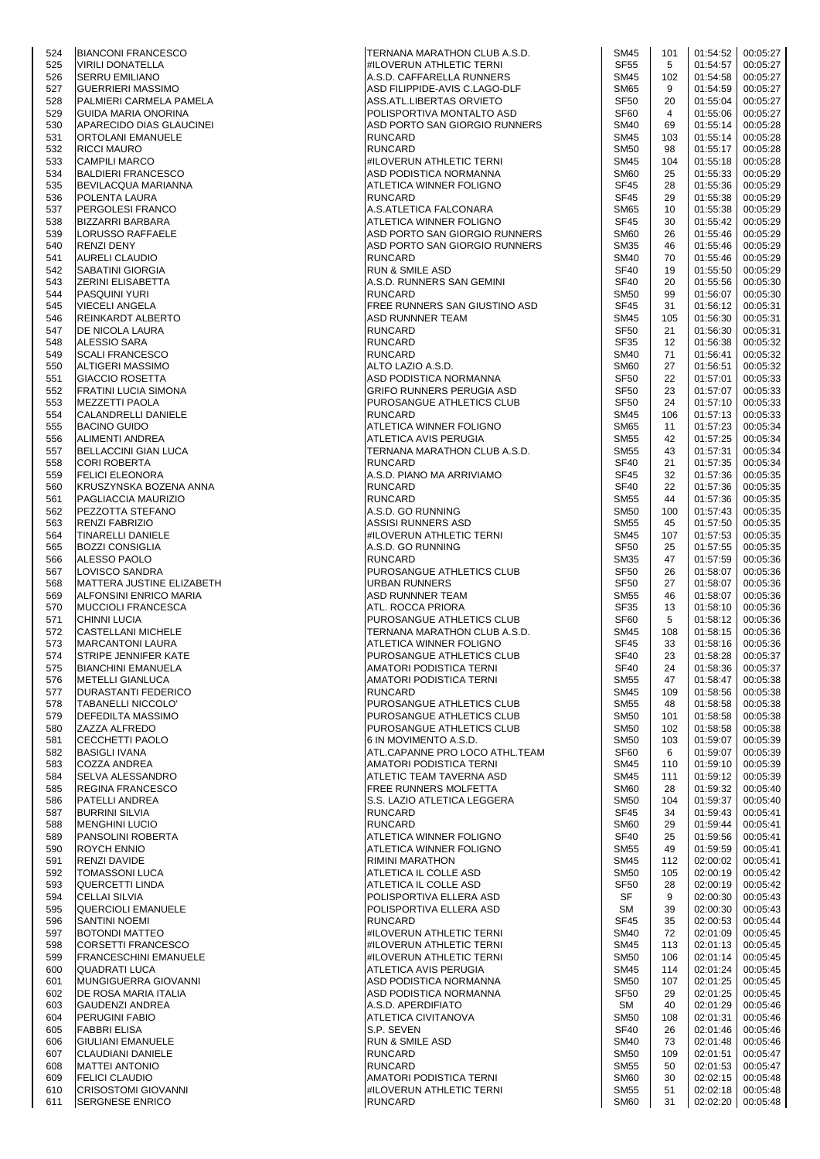| 524 | <b>BIANCONI FRANCESCO</b>    | TERNANA MARATHON CLUB A.S.D.   | <b>SM45</b>      | 101 | 01:54:52 | 00:05:27 |
|-----|------------------------------|--------------------------------|------------------|-----|----------|----------|
| 525 | <b>VIRILI DONATELLA</b>      | #ILOVERUN ATHLETIC TERNI       | <b>SF55</b>      | 5   | 01:54:57 | 00:05:27 |
| 526 | <b>SERRU EMILIANO</b>        | A.S.D. CAFFARELLA RUNNERS      | <b>SM45</b>      | 102 | 01:54:58 | 00:05:27 |
| 527 | <b>GUERRIERI MASSIMO</b>     | ASD FILIPPIDE-AVIS C.LAGO-DLF  | <b>SM65</b>      | 9   | 01:54:59 | 00:05:27 |
| 528 | PALMIERI CARMELA PAMELA      | ASS.ATL.LIBERTAS ORVIETO       | <b>SF50</b>      | 20  | 01:55:04 | 00:05:27 |
| 529 | <b>GUIDA MARIA ONORINA</b>   | POLISPORTIVA MONTALTO ASD      | SF <sub>60</sub> | 4   | 01:55:06 | 00:05:27 |
|     |                              |                                |                  |     |          |          |
| 530 | APARECIDO DIAS GLAUCINEI     | ASD PORTO SAN GIORGIO RUNNERS  | <b>SM40</b>      | 69  | 01:55:14 | 00:05:28 |
| 531 | ORTOLANI EMANUELE            | <b>RUNCARD</b>                 | <b>SM45</b>      | 103 | 01:55:14 | 00:05:28 |
| 532 | <b>RICCI MAURO</b>           | <b>RUNCARD</b>                 | <b>SM50</b>      | 98  | 01:55:17 | 00:05:28 |
| 533 | <b>CAMPILI MARCO</b>         | #ILOVERUN ATHLETIC TERNI       | <b>SM45</b>      | 104 | 01:55:18 | 00:05:28 |
| 534 | <b>BALDIERI FRANCESCO</b>    | ASD PODISTICA NORMANNA         | <b>SM60</b>      | 25  | 01:55:33 | 00:05:29 |
| 535 | <b>BEVILACQUA MARIANNA</b>   | ATLETICA WINNER FOLIGNO        | <b>SF45</b>      | 28  | 01:55:36 | 00:05:29 |
| 536 | POLENTA LAURA                | <b>RUNCARD</b>                 | <b>SF45</b>      | 29  | 01:55:38 | 00:05:29 |
| 537 | <b>PERGOLESI FRANCO</b>      | A.S.ATLETICA FALCONARA         | <b>SM65</b>      | 10  | 01:55:38 | 00:05:29 |
| 538 | <b>BIZZARRI BARBARA</b>      | ATLETICA WINNER FOLIGNO        | <b>SF45</b>      | 30  | 01:55:42 | 00:05:29 |
| 539 | <b>LORUSSO RAFFAELE</b>      | ASD PORTO SAN GIORGIO RUNNERS  | <b>SM60</b>      | 26  | 01:55:46 | 00:05:29 |
| 540 | <b>RENZI DENY</b>            | ASD PORTO SAN GIORGIO RUNNERS  | <b>SM35</b>      | 46  | 01:55:46 | 00:05:29 |
| 541 | <b>AURELI CLAUDIO</b>        | <b>RUNCARD</b>                 | <b>SM40</b>      | 70  | 01:55:46 | 00:05:29 |
| 542 | <b>SABATINI GIORGIA</b>      | <b>RUN &amp; SMILE ASD</b>     | <b>SF40</b>      | 19  | 01:55:50 | 00:05:29 |
| 543 | <b>ZERINI ELISABETTA</b>     | A.S.D. RUNNERS SAN GEMINI      | <b>SF40</b>      | 20  | 01:55:56 | 00:05:30 |
| 544 | <b>PASQUINI YURI</b>         | <b>RUNCARD</b>                 | <b>SM50</b>      | 99  | 01:56:07 | 00:05:30 |
|     |                              |                                |                  |     |          |          |
| 545 | <b>VIECELI ANGELA</b>        | FREE RUNNERS SAN GIUSTINO ASD  | <b>SF45</b>      | 31  | 01:56:12 | 00:05:31 |
| 546 | <b>REINKARDT ALBERTO</b>     | <b>ASD RUNNNER TEAM</b>        | <b>SM45</b>      | 105 | 01:56:30 | 00:05:31 |
| 547 | DE NICOLA LAURA              | <b>RUNCARD</b>                 | <b>SF50</b>      | 21  | 01:56:30 | 00:05:31 |
| 548 | <b>ALESSIO SARA</b>          | <b>RUNCARD</b>                 | <b>SF35</b>      | 12  | 01:56:38 | 00:05:32 |
| 549 | <b>SCALI FRANCESCO</b>       | <b>RUNCARD</b>                 | <b>SM40</b>      | 71  | 01:56:41 | 00:05:32 |
| 550 | <b>ALTIGERI MASSIMO</b>      | ALTO LAZIO A.S.D.              | <b>SM60</b>      | 27  | 01:56:51 | 00:05:32 |
| 551 | <b>GIACCIO ROSETTA</b>       | ASD PODISTICA NORMANNA         | SF <sub>50</sub> | 22  | 01:57:01 | 00:05:33 |
| 552 | FRATINI LUCIA SIMONA         | GRIFO RUNNERS PERUGIA ASD      | <b>SF50</b>      | 23  | 01:57:07 | 00:05:33 |
| 553 | <b>MEZZETTI PAOLA</b>        | PUROSANGUE ATHLETICS CLUB      | <b>SF50</b>      | 24  | 01:57:10 | 00:05:33 |
| 554 | CALANDRELLI DANIELE          | <b>RUNCARD</b>                 | <b>SM45</b>      | 106 | 01:57:13 | 00:05:33 |
| 555 | <b>BACINO GUIDO</b>          | ATLETICA WINNER FOLIGNO        | <b>SM65</b>      | 11  | 01:57:23 | 00:05:34 |
| 556 | ALIMENTI ANDREA              | ATLETICA AVIS PERUGIA          | <b>SM55</b>      | 42  | 01:57:25 | 00:05:34 |
|     |                              |                                |                  |     |          |          |
| 557 | <b>BELLACCINI GIAN LUCA</b>  | TERNANA MARATHON CLUB A.S.D.   | <b>SM55</b>      | 43  | 01:57:31 | 00:05:34 |
| 558 | <b>CORI ROBERTA</b>          | <b>RUNCARD</b>                 | <b>SF40</b>      | 21  | 01:57:35 | 00:05:34 |
| 559 | <b>FELICI ELEONORA</b>       | A.S.D. PIANO MA ARRIVIAMO      | <b>SF45</b>      | 32  | 01:57:36 | 00:05:35 |
| 560 | KRUSZYNSKA BOZENA ANNA       | <b>RUNCARD</b>                 | <b>SF40</b>      | 22  | 01:57:36 | 00:05:35 |
| 561 | PAGLIACCIA MAURIZIO          | <b>RUNCARD</b>                 | <b>SM55</b>      | 44  | 01:57:36 | 00:05:35 |
| 562 | PEZZOTTA STEFANO             | A.S.D. GO RUNNING              | <b>SM50</b>      | 100 | 01:57:43 | 00:05:35 |
| 563 | <b>RENZI FABRIZIO</b>        | ASSISI RUNNERS ASD             | <b>SM55</b>      | 45  | 01:57:50 | 00:05:35 |
| 564 | <b>TINARELLI DANIELE</b>     | #ILOVERUN ATHLETIC TERNI       | <b>SM45</b>      | 107 | 01:57:53 | 00:05:35 |
| 565 | <b>BOZZI CONSIGLIA</b>       | A.S.D. GO RUNNING              | <b>SF50</b>      | 25  | 01:57:55 | 00:05:35 |
| 566 | ALESSO PAOLO                 | <b>RUNCARD</b>                 | <b>SM35</b>      | 47  | 01:57:59 | 00:05:36 |
| 567 | LOVISCO SANDRA               | PUROSANGUE ATHLETICS CLUB      | <b>SF50</b>      | 26  | 01:58:07 | 00:05:36 |
| 568 | MATTERA JUSTINE ELIZABETH    | <b>URBAN RUNNERS</b>           | <b>SF50</b>      | 27  | 01:58:07 | 00:05:36 |
|     |                              |                                | <b>SM55</b>      |     |          |          |
| 569 | ALFONSINI ENRICO MARIA       | ASD RUNNNER TEAM               |                  | 46  | 01:58:07 | 00:05:36 |
| 570 | <b>MUCCIOLI FRANCESCA</b>    | ATL. ROCCA PRIORA              | SF35             | 13  | 01:58:10 | 00:05:36 |
| 571 | <b>CHINNI LUCIA</b>          | PUROSANGUE ATHLETICS CLUB      | SF60             | 5   | 01:58:12 | 00:05:36 |
| 572 | <b>CASTELLANI MICHELE</b>    | TERNANA MARATHON CLUB A.S.D.   | <b>SM45</b>      | 108 | 01:58:15 | 00:05:36 |
| 573 | <b>MARCANTONI LAURA</b>      | ATLETICA WINNER FOLIGNO        | <b>SF45</b>      | 33  | 01:58:16 | 00:05:36 |
| 574 | <b>STRIPE JENNIFER KATE</b>  | PUROSANGUE ATHLETICS CLUB      | <b>SF40</b>      | 23  | 01:58:28 | 00:05:37 |
| 575 | <b>BIANCHINI EMANUELA</b>    | AMATORI PODISTICA TERNI        | SF40             | 24  | 01:58:36 | 00:05:37 |
| 576 | <b>METELLI GIANLUCA</b>      | AMATORI PODISTICA TERNI        | <b>SM55</b>      | 47  | 01:58:47 | 00:05:38 |
| 577 | <b>DURASTANTI FEDERICO</b>   | <b>RUNCARD</b>                 | SM45             | 109 | 01:58:56 | 00:05:38 |
| 578 | <b>TABANELLI NICCOLO'</b>    | PUROSANGUE ATHLETICS CLUB      | <b>SM55</b>      | 48  | 01:58:58 | 00:05:38 |
| 579 | DEFEDILTA MASSIMO            | PUROSANGUE ATHLETICS CLUB      | <b>SM50</b>      | 101 | 01:58:58 | 00:05:38 |
| 580 | ZAZZA ALFREDO                | PUROSANGUE ATHLETICS CLUB      | <b>SM50</b>      | 102 | 01:58:58 | 00:05:38 |
| 581 | <b>CECCHETTI PAOLO</b>       | 6 IN MOVIMENTO A.S.D.          | <b>SM50</b>      | 103 | 01:59:07 | 00:05:39 |
| 582 | <b>BASIGLI IVANA</b>         | ATL.CAPANNE PRO LOCO ATHL.TEAM | <b>SF60</b>      | 6   | 01:59:07 | 00:05:39 |
|     |                              |                                |                  |     |          |          |
| 583 | <b>COZZA ANDREA</b>          | AMATORI PODISTICA TERNI        | SM45             | 110 | 01:59:10 | 00:05:39 |
| 584 | SELVA ALESSANDRO             | ATLETIC TEAM TAVERNA ASD       | <b>SM45</b>      | 111 | 01:59:12 | 00:05:39 |
| 585 | <b>REGINA FRANCESCO</b>      | <b>FREE RUNNERS MOLFETTA</b>   | <b>SM60</b>      | 28  | 01:59:32 | 00:05:40 |
| 586 | <b>PATELLI ANDREA</b>        | S.S. LAZIO ATLETICA LEGGERA    | <b>SM50</b>      | 104 | 01:59:37 | 00:05:40 |
| 587 | <b>BURRINI SILVIA</b>        | <b>RUNCARD</b>                 | <b>SF45</b>      | 34  | 01:59:43 | 00:05:41 |
| 588 | <b>MENGHINI LUCIO</b>        | <b>RUNCARD</b>                 | <b>SM60</b>      | 29  | 01:59:44 | 00:05:41 |
| 589 | PANSOLINI ROBERTA            | ATLETICA WINNER FOLIGNO        | <b>SF40</b>      | 25  | 01:59:56 | 00:05:41 |
| 590 | <b>ROYCH ENNIO</b>           | ATLETICA WINNER FOLIGNO        | <b>SM55</b>      | 49  | 01:59:59 | 00:05:41 |
| 591 | RENZI DAVIDE                 | <b>RIMINI MARATHON</b>         | <b>SM45</b>      | 112 | 02:00:02 | 00:05:41 |
| 592 | <b>TOMASSONI LUCA</b>        | ATLETICA IL COLLE ASD          | <b>SM50</b>      | 105 | 02:00:19 | 00:05:42 |
| 593 | <b>QUERCETTI LINDA</b>       | ATLETICA IL COLLE ASD          | <b>SF50</b>      | 28  | 02:00:19 | 00:05:42 |
| 594 | <b>CELLAI SILVIA</b>         | POLISPORTIVA ELLERA ASD        | SF               | 9   | 02:00:30 | 00:05:43 |
| 595 | <b>QUERCIOLI EMANUELE</b>    | POLISPORTIVA ELLERA ASD        | <b>SM</b>        | 39  | 02:00:30 | 00:05:43 |
| 596 | <b>SANTINI NOEMI</b>         | <b>RUNCARD</b>                 | <b>SF45</b>      | 35  | 02:00:53 | 00:05:44 |
| 597 | <b>BOTONDI MATTEO</b>        | #ILOVERUN ATHLETIC TERNI       | <b>SM40</b>      | 72  | 02:01:09 | 00:05:45 |
| 598 | <b>CORSETTI FRANCESCO</b>    | #ILOVERUN ATHLETIC TERNI       | <b>SM45</b>      | 113 | 02:01:13 | 00:05:45 |
| 599 | <b>FRANCESCHINI EMANUELE</b> | #ILOVERUN ATHLETIC TERNI       | <b>SM50</b>      | 106 | 02:01:14 | 00:05:45 |
|     |                              |                                |                  |     |          |          |
| 600 | <b>QUADRATI LUCA</b>         | ATLETICA AVIS PERUGIA          | <b>SM45</b>      | 114 | 02:01:24 | 00:05:45 |
| 601 | MUNGIGUERRA GIOVANNI         | ASD PODISTICA NORMANNA         | <b>SM50</b>      | 107 | 02:01:25 | 00:05:45 |
| 602 | DE ROSA MARIA ITALIA         | ASD PODISTICA NORMANNA         | <b>SF50</b>      | 29  | 02:01:25 | 00:05:45 |
| 603 | <b>GAUDENZI ANDREA</b>       | A.S.D. APERDIFIATO             | SM               | 40  | 02:01:29 | 00:05:46 |
| 604 | PERUGINI FABIO               | ATLETICA CIVITANOVA            | <b>SM50</b>      | 108 | 02:01:31 | 00:05:46 |
| 605 | <b>FABBRI ELISA</b>          | S.P. SEVEN                     | <b>SF40</b>      | 26  | 02:01:46 | 00:05:46 |
| 606 | <b>GIULIANI EMANUELE</b>     | <b>RUN &amp; SMILE ASD</b>     | <b>SM40</b>      | 73  | 02:01:48 | 00:05:46 |
| 607 | <b>CLAUDIANI DANIELE</b>     | <b>RUNCARD</b>                 | <b>SM50</b>      | 109 | 02:01:51 | 00:05:47 |
| 608 | <b>MATTEI ANTONIO</b>        | <b>RUNCARD</b>                 | <b>SM55</b>      | 50  | 02:01:53 | 00:05:47 |
| 609 | <b>FELICI CLAUDIO</b>        | AMATORI PODISTICA TERNI        | SM <sub>60</sub> | 30  | 02:02:15 | 00:05:48 |
| 610 | <b>CRISOSTOMI GIOVANNI</b>   | #ILOVERUN ATHLETIC TERNI       | SM55             | 51  | 02:02:18 | 00:05:48 |
| 611 | <b>SERGNESE ENRICO</b>       | <b>RUNCARD</b>                 | SM60             | 31  | 02:02:20 | 00:05:48 |
|     |                              |                                |                  |     |          |          |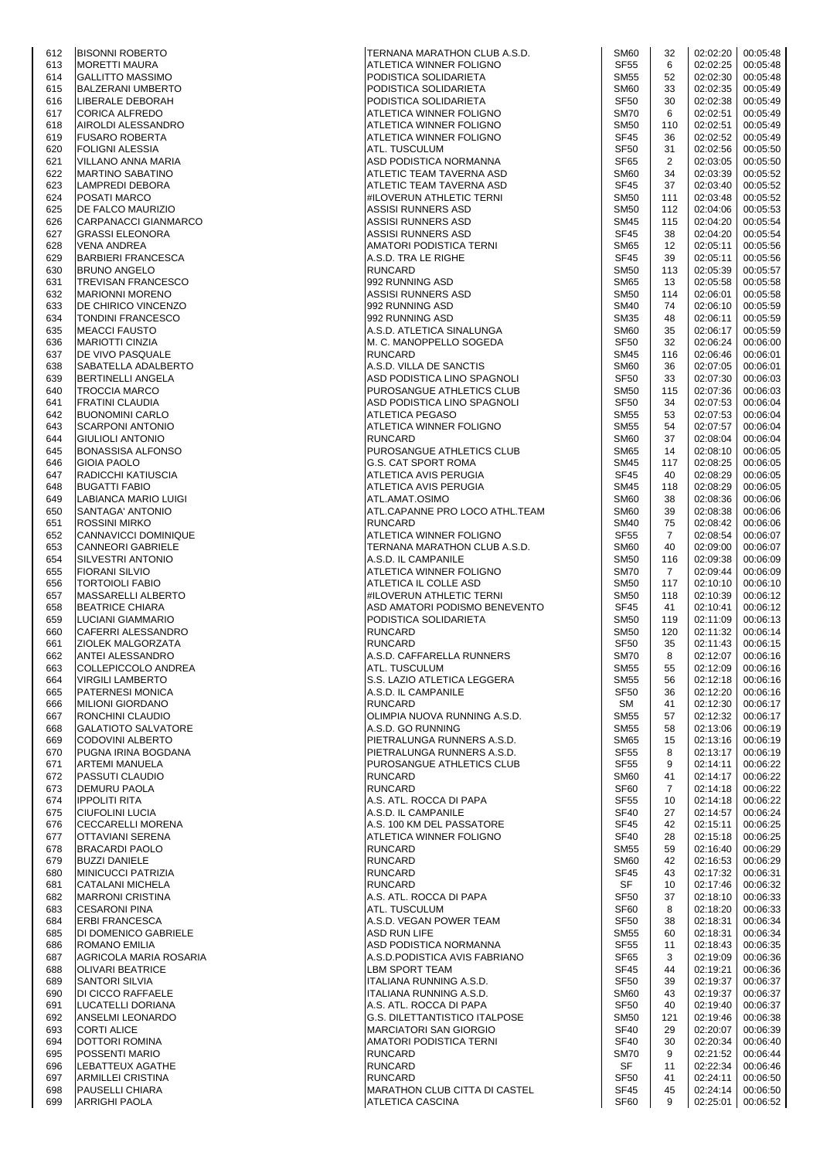| 0 I Z | DISUNNI RUDER I U        |
|-------|--------------------------|
| 613   | MORETTI MAURA            |
| 614   | GALLITTO MASSIMO         |
| 615   | <b>BALZERANI UMBERTO</b> |
| 616   | LIBERALE DEBORAH         |
| 617   | CORICA ALFREDO           |
| 618   |                          |
|       | AIROLDI ALESSANDRO       |
| 619   | <b>FUSARO ROBERTA</b>    |
| 620   | FOLIGNI ALESSIA          |
| 621   | VILLANO ANNA MARIA       |
| 622   | MARTINO SABATINO         |
| 623   | LAMPREDI DEBORA          |
| 624   | POSATI MARCO             |
|       | DE FALCO MAURIZIO        |
| 625   |                          |
| 626   | CARPANACCI GIANMARCO     |
| 627   | GRASSI ELEONORA          |
| 628   | VENA ANDREA              |
| 629   | BARBIERI FRANCESCA       |
| 630   | BRUNO ANGELO             |
| 631   | TREVISAN FRANCESCO       |
| 632   | <b>MARIONNI MORENO</b>   |
| 633   | DE CHIRICO VINCENZO      |
|       |                          |
| 634   | TONDINI FRANCESCO        |
| 635   | <b>MEACCI FAUSTO</b>     |
| 636   | <b>MARIOTTI CINZIA</b>   |
| 637   | DE VIVO PASQUALE         |
| 638   | SABATELLA ADALBERTO      |
| 639   | BERTINELLI ANGELA        |
| 640   | TROCCIA MARCO            |
|       |                          |
| 641   | FRATINI CLAUDIA          |
| 642   | <b>BUONOMINI CARLO</b>   |
| 643   | SCARPONI ANTONIO         |
| 644   | GIULIOLI ANTONIO         |
| 645   | BONASSISA ALFONSO        |
| 646   | GIOIA PAOLO              |
| 647   | RADICCHI KATIUSCIA       |
|       |                          |
| 648   | BUGATTI FABIO            |
| 649   | LABIANCA MARIO LUIGI     |
| 650   | SANTAGA' ANTONIO         |
| 651   | ROSSINI MIRKO            |
| 652   | CANNAVICCI DOMINIQUE     |
| 653   | CANNEORI GABRIELE        |
| 654   | SILVESTRI ANTONIO        |
| 655   | FIORANI SILVIO           |
| 656   | TORTOIOLI FABIO          |
|       |                          |
| 657   | MASSARELLI ALBERTO       |
| 658   | <b>BEATRICE CHIARA</b>   |
| 659   | LUCIANI GIAMMARIO        |
| 660   | CAFERRI ALESSANDRO       |
| 661   | ZIOLEK MALGORZATA        |
| 662   | ANTEI ALESSANDRO         |
| 663   | COLLEPICCOLO ANDREA      |
|       | <b>VIRGILI LAMBERTO</b>  |
| 664   |                          |
| 665   | PATERNESI MONICA         |
| 666   | MILIONI GIORDANO         |
| 667   | RONCHINI CLAUDIO         |
| 668   | GALATIOTO SALVATORE      |
| 669   | CODOVINI ALBERTO         |
| 670   | PUGNA IRINA BOGDANA      |
| 671   | ARTEMI MANUELA           |
| 672   | PASSUTI CLAUDIO          |
|       | <b>DEMURU PAOLA</b>      |
| 673   |                          |
| 674   | IPPOLITI RITA            |
| 675   | CIUFOLINI LUCIA          |
| 676   | CECCARELLI MORENA        |
| 677   | OTTAVIANI SERENA         |
| 678   | <b>BRACARDI PAOLO</b>    |
| 679   | <b>BUZZI DANIELE</b>     |
| 680   | MINICUCCI PATRIZIA       |
|       |                          |
| 681   | CATALANI MICHELA         |
| 682   | MARRONI CRISTINA         |
| 683   | CESARONI PINA            |
| 684   | <b>ERBI FRANCESCA</b>    |
| 685   | DI DOMENICO GABRIELE     |
| 686   | ROMANO EMILIA            |
| 687   | AGRICOLA MARIA ROSARIA   |
| 688   | OLIVARI BEATRICE         |
| 689   | SANTORI SILVIA           |
|       |                          |
| 690   | DI CICCO RAFFAELE        |
| 691   | LUCATELLI DORIANA        |
| 692   | ANSELMI LEONARDO         |
| 693   | CORTI ALICE              |
| 694   | DOTTORI ROMINA           |
| 695   | POSSENTI MARIO           |
| 696   | LEBATTEUX AGATHE         |
| 697   | ARMILLEI CRISTINA        |
| 698   | PAUSELLI CHIARA          |
| 699   | IARRIGHI PAOLA           |
|       |                          |

| 612 | <b>BISONNI ROBERTO</b>      | TERNANA MARATHON CLUB A.S.D.   | SM <sub>60</sub> | 32             | 02:02:20 | 00:05:48          |
|-----|-----------------------------|--------------------------------|------------------|----------------|----------|-------------------|
| 613 | <b>MORETTI MAURA</b>        | ATLETICA WINNER FOLIGNO        | <b>SF55</b>      | 6              | 02:02:25 | 00:05:48          |
| 614 | <b>GALLITTO MASSIMO</b>     | PODISTICA SOLIDARIETA          | <b>SM55</b>      | 52             | 02:02:30 | 00:05:48          |
| 615 | <b>BALZERANI UMBERTO</b>    | PODISTICA SOLIDARIETA          | SM <sub>60</sub> | 33             | 02:02:35 | 00:05:49          |
| 616 | LIBERALE DEBORAH            | PODISTICA SOLIDARIETA          | <b>SF50</b>      | 30             | 02:02:38 | 00:05:49          |
| 617 | <b>CORICA ALFREDO</b>       | ATLETICA WINNER FOLIGNO        | <b>SM70</b>      | 6              | 02:02:51 | 00:05:49          |
| 618 | AIROLDI ALESSANDRO          | ATLETICA WINNER FOLIGNO        | <b>SM50</b>      | 110            | 02:02:51 | 00:05:49          |
| 619 | <b>FUSARO ROBERTA</b>       | ATLETICA WINNER FOLIGNO        | <b>SF45</b>      | 36             | 02:02:52 | 00:05:49          |
| 620 | <b>FOLIGNI ALESSIA</b>      | ATL. TUSCULUM                  | SF <sub>50</sub> | 31             | 02:02:56 | 00:05:50          |
| 621 | VILLANO ANNA MARIA          | ASD PODISTICA NORMANNA         | SF65             | 2              | 02:03:05 | 00:05:50          |
| 622 | <b>MARTINO SABATINO</b>     | ATLETIC TEAM TAVERNA ASD       | SM60             | 34             | 02:03:39 | 00:05:52          |
| 623 | LAMPREDI DEBORA             | ATLETIC TEAM TAVERNA ASD       | <b>SF45</b>      | 37             | 02:03:40 | 00:05:52          |
| 624 | <b>POSATI MARCO</b>         | #ILOVERUN ATHLETIC TERNI       | <b>SM50</b>      | 111            | 02:03:48 | 00:05:52          |
|     |                             |                                | <b>SM50</b>      | 112            | 02:04:06 |                   |
| 625 | <b>DE FALCO MAURIZIO</b>    | ASSISI RUNNERS ASD             |                  |                |          | 00:05:53          |
| 626 | CARPANACCI GIANMARCO        | ASSISI RUNNERS ASD             | <b>SM45</b>      | 115            | 02:04:20 | 00:05:54          |
| 627 | <b>GRASSI ELEONORA</b>      | ASSISI RUNNERS ASD             | <b>SF45</b>      | 38             | 02:04:20 | 00:05:54          |
| 628 | <b>VENA ANDREA</b>          | AMATORI PODISTICA TERNI        | <b>SM65</b>      | 12             | 02:05:11 | 00:05:56          |
| 629 | <b>BARBIERI FRANCESCA</b>   | A.S.D. TRA LE RIGHE            | SF <sub>45</sub> | 39             | 02:05:11 | 00:05:56          |
| 630 | <b>BRUNO ANGELO</b>         | <b>RUNCARD</b>                 | <b>SM50</b>      | 113            | 02:05:39 | 00:05:57          |
| 631 | <b>TREVISAN FRANCESCO</b>   | 992 RUNNING ASD                | <b>SM65</b>      | 13             | 02:05:58 | 00:05:58          |
| 632 | <b>MARIONNI MORENO</b>      | ASSISI RUNNERS ASD             | <b>SM50</b>      | 114            | 02:06:01 | 00:05:58          |
| 633 | <b>DE CHIRICO VINCENZO</b>  | 992 RUNNING ASD                | <b>SM40</b>      | 74             | 02:06:10 | 00:05:59          |
| 634 | <b>TONDINI FRANCESCO</b>    | 992 RUNNING ASD                | <b>SM35</b>      | 48             | 02:06:11 | 00:05:59          |
| 635 | <b>MEACCI FAUSTO</b>        | A.S.D. ATLETICA SINALUNGA      | SM <sub>60</sub> | 35             | 02:06:17 | 00:05:59          |
| 636 | <b>MARIOTTI CINZIA</b>      | M. C. MANOPPELLO SOGEDA        | <b>SF50</b>      | 32             | 02:06:24 | 00:06:00          |
| 637 | <b>DE VIVO PASQUALE</b>     | <b>RUNCARD</b>                 | <b>SM45</b>      | 116            | 02:06:46 | 00:06:01          |
| 638 | SABATELLA ADALBERTO         | A.S.D. VILLA DE SANCTIS        | SM <sub>60</sub> | 36             | 02:07:05 | 00:06:01          |
| 639 | <b>BERTINELLI ANGELA</b>    | ASD PODISTICA LINO SPAGNOLI    | <b>SF50</b>      | 33             | 02:07:30 | 00:06:03          |
| 640 | <b>TROCCIA MARCO</b>        | PUROSANGUE ATHLETICS CLUB      | <b>SM50</b>      | 115            | 02:07:36 | 00:06:03          |
|     |                             | ASD PODISTICA LINO SPAGNOLI    | <b>SF50</b>      | 34             | 02:07:53 | 00:06:04          |
| 641 | <b>FRATINI CLAUDIA</b>      |                                |                  |                |          |                   |
| 642 | <b>BUONOMINI CARLO</b>      | <b>ATLETICA PEGASO</b>         | <b>SM55</b>      | 53             | 02:07:53 | 00:06:04          |
| 643 | <b>SCARPONI ANTONIO</b>     | ATLETICA WINNER FOLIGNO        | <b>SM55</b>      | 54             | 02:07:57 | 00:06:04          |
| 644 | <b>GIULIOLI ANTONIO</b>     | <b>RUNCARD</b>                 | SM <sub>60</sub> | 37             | 02:08:04 | 00:06:04          |
| 645 | <b>BONASSISA ALFONSO</b>    | PUROSANGUE ATHLETICS CLUB      | <b>SM65</b>      | 14             | 02:08:10 | 00:06:05          |
| 646 | <b>GIOIA PAOLO</b>          | G.S. CAT SPORT ROMA            | <b>SM45</b>      | 117            | 02:08:25 | 00:06:05          |
| 647 | RADICCHI KATIUSCIA          | ATLETICA AVIS PERUGIA          | <b>SF45</b>      | 40             | 02:08:29 | 00:06:05          |
| 648 | <b>BUGATTI FABIO</b>        | ATLETICA AVIS PERUGIA          | <b>SM45</b>      | 118            | 02:08:29 | 00:06:05          |
| 649 | LABIANCA MARIO LUIGI        | ATL.AMAT.OSIMO                 | <b>SM60</b>      | 38             | 02:08:36 | 00:06:06          |
| 650 | SANTAGA' ANTONIO            | ATL.CAPANNE PRO LOCO ATHL.TEAM | SM <sub>60</sub> | 39             | 02:08:38 | 00:06:06          |
| 651 | <b>ROSSINI MIRKO</b>        | <b>RUNCARD</b>                 | <b>SM40</b>      | 75             | 02:08:42 | 00:06:06          |
| 652 | CANNAVICCI DOMINIQUE        | ATLETICA WINNER FOLIGNO        | <b>SF55</b>      | $\overline{7}$ | 02:08:54 | 00:06:07          |
| 653 | <b>CANNEORI GABRIELE</b>    | TERNANA MARATHON CLUB A.S.D.   | SM <sub>60</sub> | 40             | 02:09:00 | 00:06:07          |
| 654 | <b>SILVESTRI ANTONIO</b>    | A.S.D. IL CAMPANILE            | <b>SM50</b>      | 116            | 02:09:38 | 00:06:09          |
| 655 | <b>FIORANI SILVIO</b>       | ATLETICA WINNER FOLIGNO        | <b>SM70</b>      | $\overline{7}$ | 02:09:44 | 00:06:09          |
| 656 | <b>TORTOIOLI FABIO</b>      | ATLETICA IL COLLE ASD          | <b>SM50</b>      | 117            | 02:10:10 | 00:06:10          |
|     |                             | #ILOVERUN ATHLETIC TERNI       | <b>SM50</b>      | 118            | 02:10:39 | 00:06:12          |
| 657 | MASSARELLI ALBERTO          |                                |                  |                |          |                   |
| 658 | <b>BEATRICE CHIARA</b>      | ASD AMATORI PODISMO BENEVENTO  | SF45             | 41             | 02:10:41 | 00:06:12          |
| 659 | <b>LUCIANI GIAMMARIO</b>    | PODISTICA SOLIDARIETA          | <b>SM50</b>      | 119            | 02:11:09 | 00:06:13          |
| 660 | CAFERRI ALESSANDRO          | <b>RUNCARD</b>                 | <b>SM50</b>      | 120            | 02:11:32 | 00:06:14          |
| 661 | ZIOLEK MALGORZATA           | <b>RUNCARD</b>                 | <b>SF50</b>      | 35             | 02:11:43 | 00:06:15          |
| 662 | ANTEI ALESSANDRO            | A.S.D. CAFFARELLA RUNNERS      | SM70             | 8              |          | 02:12:07 00:06:16 |
| 663 | COLLEPICCOLO ANDREA         | ATL. TUSCULUM                  | SM55             | 55             | 02:12:09 | 00:06:16          |
| 664 | <b>VIRGILI LAMBERTO</b>     | S.S. LAZIO ATLETICA LEGGERA    | <b>SM55</b>      | 56             | 02:12:18 | 00:06:16          |
| 665 | <b>PATERNESI MONICA</b>     | A.S.D. IL CAMPANILE            | SF <sub>50</sub> | 36             | 02:12:20 | 00:06:16          |
| 666 | <b>MILIONI GIORDANO</b>     | <b>RUNCARD</b>                 | SM               | 41             | 02:12:30 | 00:06:17          |
| 667 | RONCHINI CLAUDIO            | OLIMPIA NUOVA RUNNING A.S.D.   | <b>SM55</b>      | 57             | 02:12:32 | 00:06:17          |
| 668 | <b>GALATIOTO SALVATORE</b>  | A.S.D. GO RUNNING              | <b>SM55</b>      | 58             | 02:13:06 | 00:06:19          |
| 669 | <b>CODOVINI ALBERTO</b>     | PIETRALUNGA RUNNERS A.S.D.     | <b>SM65</b>      | 15             | 02:13:16 | 00:06:19          |
| 670 | PUGNA IRINA BOGDANA         | PIETRALUNGA RUNNERS A.S.D.     | <b>SF55</b>      | 8              | 02:13:17 | 00:06:19          |
| 671 | <b>ARTEMI MANUELA</b>       | PUROSANGUE ATHLETICS CLUB      | <b>SF55</b>      | 9              | 02:14:11 | 00:06:22          |
| 672 | <b>PASSUTI CLAUDIO</b>      | <b>RUNCARD</b>                 | SM60             | 41             | 02:14:17 | 00:06:22          |
| 673 | <b>DEMURU PAOLA</b>         | <b>RUNCARD</b>                 | <b>SF60</b>      | 7              | 02:14:18 | 00:06:22          |
| 674 | <b>IPPOLITI RITA</b>        | A.S. ATL. ROCCA DI PAPA        | <b>SF55</b>      | 10             | 02:14:18 | 00:06:22          |
| 675 | <b>CIUFOLINI LUCIA</b>      | A.S.D. IL CAMPANILE            | <b>SF40</b>      | 27             | 02:14:57 | 00:06:24          |
| 676 | <b>CECCARELLI MORENA</b>    | A.S. 100 KM DEL PASSATORE      | <b>SF45</b>      | 42             | 02:15:11 | 00:06:25          |
| 677 | <b>OTTAVIANI SERENA</b>     | ATLETICA WINNER FOLIGNO        | <b>SF40</b>      | 28             | 02:15:18 | 00:06:25          |
|     |                             |                                |                  |                |          |                   |
| 678 | <b>BRACARDI PAOLO</b>       | <b>RUNCARD</b>                 | <b>SM55</b>      | 59             | 02:16:40 | 00:06:29          |
| 679 | <b>BUZZI DANIELE</b>        | <b>RUNCARD</b>                 | SM <sub>60</sub> | 42             | 02:16:53 | 00:06:29          |
| 680 | <b>MINICUCCI PATRIZIA</b>   | <b>RUNCARD</b>                 | <b>SF45</b>      | 43             | 02:17:32 | 00:06:31          |
| 681 | CATALANI MICHELA            | <b>RUNCARD</b>                 | <b>SF</b>        | 10             | 02:17:46 | 00:06:32          |
| 682 | <b>MARRONI CRISTINA</b>     | A.S. ATL. ROCCA DI PAPA        | <b>SF50</b>      | 37             | 02:18:10 | 00:06:33          |
| 683 | <b>CESARONI PINA</b>        | ATL. TUSCULUM                  | SF60             | 8              | 02:18:20 | 00:06:33          |
| 684 | <b>ERBI FRANCESCA</b>       | A.S.D. VEGAN POWER TEAM        | SF <sub>50</sub> | 38             | 02:18:31 | 00:06:34          |
| 685 | <b>DI DOMENICO GABRIELE</b> | <b>ASD RUN LIFE</b>            | <b>SM55</b>      | 60             | 02:18:31 | 00:06:34          |
| 686 | ROMANO EMILIA               | ASD PODISTICA NORMANNA         | <b>SF55</b>      | 11             | 02:18:43 | 00:06:35          |
| 687 | AGRICOLA MARIA ROSARIA      | A.S.D. PODISTICA AVIS FABRIANO | SF65             | 3              | 02:19:09 | 00:06:36          |
| 688 | <b>OLIVARI BEATRICE</b>     | LBM SPORT TEAM                 | <b>SF45</b>      | 44             | 02:19:21 | 00:06:36          |
| 689 | <b>SANTORI SILVIA</b>       | ITALIANA RUNNING A.S.D.        | <b>SF50</b>      | 39             | 02:19:37 | 00:06:37          |
| 690 | <b>DI CICCO RAFFAELE</b>    | ITALIANA RUNNING A.S.D.        | SM <sub>60</sub> | 43             | 02:19:37 | 00:06:37          |
| 691 | LUCATELLI DORIANA           | A.S. ATL. ROCCA DI PAPA        | SF <sub>50</sub> | 40             | 02:19:40 | 00:06:37          |
| 692 | <b>ANSELMI LEONARDO</b>     | G.S. DILETTANTISTICO ITALPOSE  | <b>SM50</b>      | 121            | 02:19:46 | 00:06:38          |
| 693 | <b>CORTI ALICE</b>          | <b>MARCIATORI SAN GIORGIO</b>  | <b>SF40</b>      | 29             | 02:20:07 | 00:06:39          |
| 694 | <b>DOTTORI ROMINA</b>       | AMATORI PODISTICA TERNI        | <b>SF40</b>      | 30             | 02:20:34 | 00:06:40          |
| 695 | <b>POSSENTI MARIO</b>       | <b>RUNCARD</b>                 | <b>SM70</b>      | 9              | 02:21:52 | 00:06:44          |
| 696 | LEBATTEUX AGATHE            | <b>RUNCARD</b>                 | SF               | 11             | 02:22:34 | 00:06:46          |
| 697 | <b>ARMILLEI CRISTINA</b>    | <b>RUNCARD</b>                 | <b>SF50</b>      | 41             | 02:24:11 | 00:06:50          |
| 698 | <b>PAUSELLI CHIARA</b>      | MARATHON CLUB CITTA DI CASTEL  | SF45             | 45             | 02:24:14 | 00:06:50          |
| 699 | <b>ARRIGHI PAOLA</b>        | ATLETICA CASCINA               | SF60             | 9              | 02:25:01 | 00:06:52          |
|     |                             |                                |                  |                |          |                   |